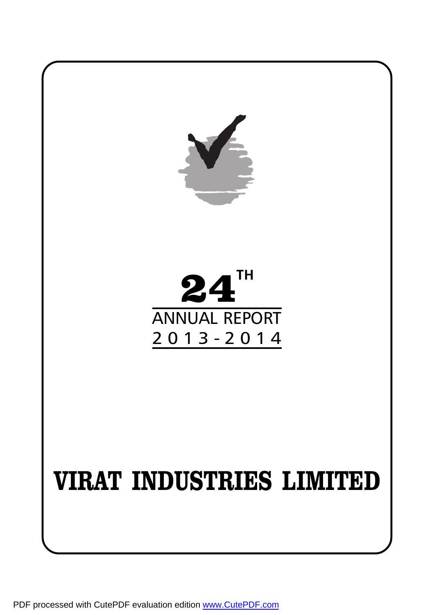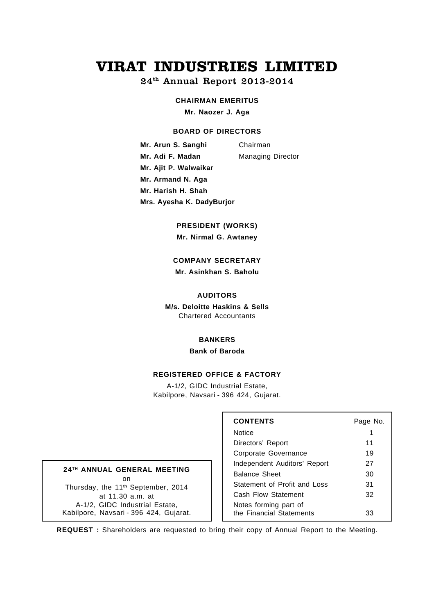# VIRAT INDUSTRIES LIMITED

24th Annual Report 2013-2014

#### **CHAIRMAN EMERITUS**

**Mr. Naozer J. Aga**

#### **BOARD OF DIRECTORS**

**Mr. Arun S. Sanghi** Chairman **Mr. Adi F. Madan** Managing Director **Mr. Ajit P. Walwaikar Mr. Armand N. Aga Mr. Harish H. Shah Mrs. Ayesha K. DadyBurjor**

**PRESIDENT (WORKS)**

**Mr. Nirmal G. Awtaney**

### **COMPANY SECRETARY**

**Mr. Asinkhan S. Baholu**

#### **AUDITORS**

**M/s. Deloitte Haskins & Sells** Chartered Accountants

### **BANKERS**

#### **Bank of Baroda**

### **REGISTERED OFFICE & FACTORY**

A-1/2, GIDC Industrial Estate, Kabilpore, Navsari - 396 424, Gujarat.

| 24TH ANNUAL GENERAL MEETING                    |
|------------------------------------------------|
| nn                                             |
| Thursday, the 11 <sup>th</sup> September, 2014 |
| at 11.30 a.m. at                               |
| A-1/2, GIDC Industrial Estate,                 |
| Kabilpore, Navsari - 396 424, Gujarat.         |

| <b>CONTENTS</b>                                   | Page No. |
|---------------------------------------------------|----------|
| <b>Notice</b>                                     | 1        |
| Directors' Report                                 | 11       |
| Corporate Governance                              | 19       |
| Independent Auditors' Report                      | 27       |
| <b>Balance Sheet</b>                              | 30       |
| Statement of Profit and Loss                      | 31       |
| Cash Flow Statement                               | 32       |
| Notes forming part of<br>the Financial Statements | 33       |

**REQUEST :** Shareholders are requested to bring their copy of Annual Report to the Meeting.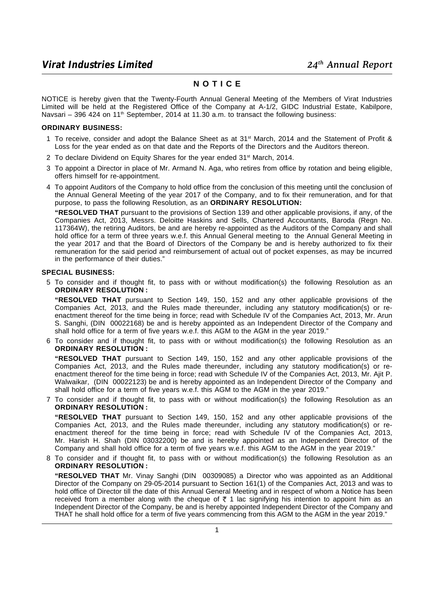## **N O T I C E**

NOTICE is hereby given that the Twenty-Fourth Annual General Meeting of the Members of Virat Industries Limited will be held at the Registered Office of the Company at A-1/2, GIDC Industrial Estate, Kabilpore, Navsari – 396 424 on 11<sup>th</sup> September, 2014 at 11.30 a.m. to transact the following business:

#### **ORDINARY BUSINESS:**

- 1 To receive, consider and adopt the Balance Sheet as at 31<sup>st</sup> March, 2014 and the Statement of Profit & Loss for the year ended as on that date and the Reports of the Directors and the Auditors thereon.
- 2 To declare Dividend on Equity Shares for the year ended 31<sup>st</sup> March, 2014.
- 3 To appoint a Director in place of Mr. Armand N. Aga, who retires from office by rotation and being eligible, offers himself for re-appointment.
- 4 To appoint Auditors of the Company to hold office from the conclusion of this meeting until the conclusion of the Annual General Meeting of the year 2017 of the Company, and to fix their remuneration, and for that purpose, to pass the following Resolution, as an **ORDINARY RESOLUTION:**

**"RESOLVED THAT** pursuant to the provisions of Section 139 and other applicable provisions, if any, of the Companies Act, 2013, Messrs. Deloitte Haskins and Sells, Chartered Accountants, Baroda (Regn No. 117364W), the retiring Auditors, be and are hereby re-appointed as the Auditors of the Company and shall hold office for a term of three years w.e.f. this Annual General meeting to the Annual General Meeting in the year 2017 and that the Board of Directors of the Company be and is hereby authorized to fix their remuneration for the said period and reimbursement of actual out of pocket expenses, as may be incurred in the performance of their duties."

#### **SPECIAL BUSINESS:**

5 To consider and if thought fit, to pass with or without modification(s) the following Resolution as an **ORDINARY RESOLUTION :**

**"RESOLVED THAT** pursuant to Section 149, 150, 152 and any other applicable provisions of the Companies Act, 2013, and the Rules made thereunder, including any statutory modification(s) or reenactment thereof for the time being in force; read with Schedule IV of the Companies Act, 2013, Mr. Arun S. Sanghi, (DIN 00022168) be and is hereby appointed as an Independent Director of the Company and shall hold office for a term of five years w.e.f. this AGM to the AGM in the year 2019."

6 To consider and if thought fit, to pass with or without modification(s) the following Resolution as an **ORDINARY RESOLUTION :**

**"RESOLVED THAT** pursuant to Section 149, 150, 152 and any other applicable provisions of the Companies Act, 2013, and the Rules made thereunder, including any statutory modification(s) or reenactment thereof for the time being in force; read with Schedule IV of the Companies Act, 2013, Mr. Ajit P. Walwaikar, (DIN 00022123) be and is hereby appointed as an Independent Director of the Company and shall hold office for a term of five years w.e.f. this AGM to the AGM in the year 2019."

7 To consider and if thought fit, to pass with or without modification(s) the following Resolution as an **ORDINARY RESOLUTION :**

**"RESOLVED THAT** pursuant to Section 149, 150, 152 and any other applicable provisions of the Companies Act, 2013, and the Rules made thereunder, including any statutory modification(s) or reenactment thereof for the time being in force; read with Schedule IV of the Companies Act, 2013, Mr. Harish H. Shah (DIN 03032200) be and is hereby appointed as an Independent Director of the Company and shall hold office for a term of five years w.e.f. this AGM to the AGM in the year 2019."

8 To consider and if thought fit, to pass with or without modification(s) the following Resolution as an **ORDINARY RESOLUTION :**

**"RESOLVED THAT** Mr. Vinay Sanghi (DIN 00309085) a Director who was appointed as an Additional Director of the Company on 29-05-2014 pursuant to Section 161(1) of the Companies Act, 2013 and was to hold office of Director till the date of this Annual General Meeting and in respect of whom a Notice has been received from a member along with the cheque of  $\bar{\tau}$  1 lac signifying his intention to appoint him as an Independent Director of the Company, be and is hereby appointed Independent Director of the Company and THAT he shall hold office for a term of five years commencing from this AGM to the AGM in the year 2019."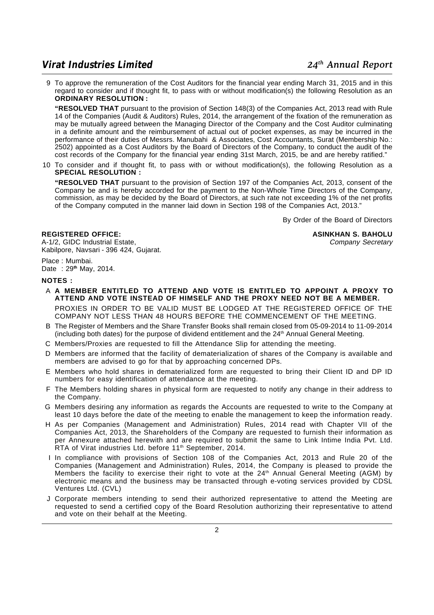## **Virat Industries Limited** 24<sup>th</sup> Annual Report

9 To approve the remuneration of the Cost Auditors for the financial year ending March 31, 2015 and in this regard to consider and if thought fit, to pass with or without modification(s) the following Resolution as an **ORDINARY RESOLUTION :**

**"RESOLVED THAT** pursuant to the provision of Section 148(3) of the Companies Act, 2013 read with Rule 14 of the Companies (Audit & Auditors) Rules, 2014, the arrangement of the fixation of the remuneration as may be mutually agreed between the Managing Director of the Company and the Cost Auditor culminating in a definite amount and the reimbursement of actual out of pocket expenses, as may be incurred in the performance of their duties of Messrs. Manubahi & Associates, Cost Accountants, Surat (Membership No.: 2502) appointed as a Cost Auditors by the Board of Directors of the Company, to conduct the audit of the cost records of the Company for the financial year ending 31st March, 2015, be and are hereby ratified."

10 To consider and if thought fit, to pass with or without modification(s), the following Resolution as a **SPECIAL RESOLUTION :**

**"RESOLVED THAT** pursuant to the provision of Section 197 of the Companies Act, 2013, consent of the Company be and is hereby accorded for the payment to the Non-Whole Time Directors of the Company, commission, as may be decided by the Board of Directors, at such rate not exceeding 1% of the net profits of the Company computed in the manner laid down in Section 198 of the Companies Act, 2013."

By Order of the Board of Directors

**REGISTERED OFFICE: ASINKHAN S. BAHOLU**

A-1/2, GIDC Industrial Estate, and the company Secretary company Secretary Kabilpore, Navsari - 396 424, Gujarat.

Place : Mumbai. Date : 29**th** May, 2014.

#### **NOTES :**

- A **A MEMBER ENTITLED TO ATTEND AND VOTE IS ENTITLED TO APPOINT A PROXY TO ATTEND AND VOTE INSTEAD OF HIMSELF AND THE PROXY NEED NOT BE A MEMBER.**
- PROXIES IN ORDER TO BE VALID MUST BE LODGED AT THE REGISTERED OFFICE OF THE COMPANY NOT LESS THAN 48 HOURS BEFORE THE COMMENCEMENT OF THE MEETING.
- B The Register of Members and the Share Transfer Books shall remain closed from 05-09-2014 to 11-09-2014 (including both dates) for the purpose of dividend entitlement and the 24<sup>th</sup> Annual General Meeting.
- C Members/Proxies are requested to fill the Attendance Slip for attending the meeting.
- D Members are informed that the facility of dematerialization of shares of the Company is available and members are advised to go for that by approaching concerned DPs.
- E Members who hold shares in dematerialized form are requested to bring their Client ID and DP ID numbers for easy identification of attendance at the meeting.
- F The Members holding shares in physical form are requested to notify any change in their address to the Company.
- G Members desiring any information as regards the Accounts are requested to write to the Company at least 10 days before the date of the meeting to enable the management to keep the information ready.
- H As per Companies (Management and Administration) Rules, 2014 read with Chapter VII of the Companies Act, 2013, the Shareholders of the Company are requested to furnish their information as per Annexure attached herewith and are required to submit the same to Link Intime India Pvt. Ltd. RTA of Virat industries Ltd. before 11<sup>th</sup> September, 2014.
- I In compliance with provisions of Section 108 of the Companies Act, 2013 and Rule 20 of the Companies (Management and Administration) Rules, 2014, the Company is pleased to provide the Members the facility to exercise their right to vote at the  $24<sup>th</sup>$  Annual General Meeting (AGM) by electronic means and the business may be transacted through e-voting services provided by CDSL Ventures Ltd. (CVL)
- J Corporate members intending to send their authorized representative to attend the Meeting are requested to send a certified copy of the Board Resolution authorizing their representative to attend and vote on their behalf at the Meeting.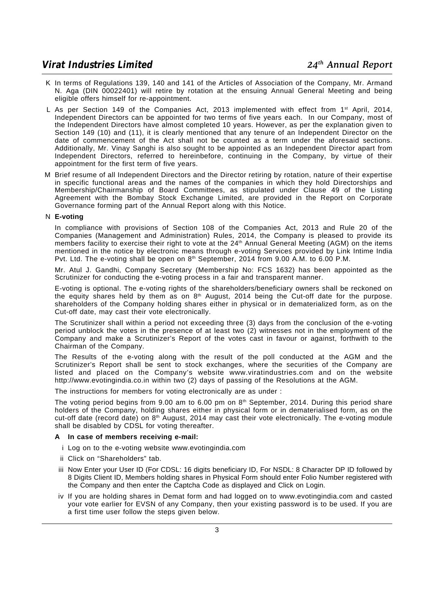## Virat Industries Limited **Annual Report** 24<sup>th</sup> Annual Report

- K In terms of Regulations 139, 140 and 141 of the Articles of Association of the Company, Mr. Armand N. Aga (DIN 00022401) will retire by rotation at the ensuing Annual General Meeting and being eligible offers himself for re-appointment.
- L As per Section 149 of the Companies Act, 2013 implemented with effect from 1<sup>st</sup> April, 2014, Independent Directors can be appointed for two terms of five years each. In our Company, most of the Independent Directors have almost completed 10 years. However, as per the explanation given to Section 149 (10) and (11), it is clearly mentioned that any tenure of an Independent Director on the date of commencement of the Act shall not be counted as a term under the aforesaid sections. Additionally, Mr. Vinay Sanghi is also sought to be appointed as an Independent Director apart from Independent Directors, referred to hereinbefore, continuing in the Company, by virtue of their appointment for the first term of five years.
- M Brief resume of all Independent Directors and the Director retiring by rotation, nature of their expertise in specific functional areas and the names of the companies in which they hold Directorships and Membership/Chairmanship of Board Committees, as stipulated under Clause 49 of the Listing Agreement with the Bombay Stock Exchange Limited, are provided in the Report on Corporate Governance forming part of the Annual Report along with this Notice.

#### N **E-voting**

In compliance with provisions of Section 108 of the Companies Act, 2013 and Rule 20 of the Companies (Management and Administration) Rules, 2014, the Company is pleased to provide its members facility to exercise their right to vote at the 24<sup>th</sup> Annual General Meeting (AGM) on the items mentioned in the notice by electronic means through e-voting Services provided by Link Intime India Pvt. Ltd. The e-voting shall be open on 8th September, 2014 from 9.00 A.M. to 6.00 P.M.

Mr. Atul J. Gandhi, Company Secretary (Membership No: FCS 1632) has been appointed as the Scrutinizer for conducting the e-voting process in a fair and transparent manner.

E-voting is optional. The e-voting rights of the shareholders/beneficiary owners shall be reckoned on the equity shares held by them as on  $8<sup>th</sup>$  August, 2014 being the Cut-off date for the purpose. shareholders of the Company holding shares either in physical or in dematerialized form, as on the Cut-off date, may cast their vote electronically.

The Scrutinizer shall within a period not exceeding three (3) days from the conclusion of the e-voting period unblock the votes in the presence of at least two (2) witnesses not in the employment of the Company and make a Scrutinizer's Report of the votes cast in favour or against, forthwith to the Chairman of the Company.

The Results of the e-voting along with the result of the poll conducted at the AGM and the Scrutinizer's Report shall be sent to stock exchanges, where the securities of the Company are listed and placed on the Company's website www.viratindustries.com and on the website http://www.evotingindia.co.in within two (2) days of passing of the Resolutions at the AGM.

The instructions for members for voting electronically are as under :

The voting period begins from 9.00 am to 6.00 pm on  $8<sup>th</sup>$  September, 2014. During this period share holders of the Company, holding shares either in physical form or in dematerialised form, as on the cut-off date (record date) on  $8<sup>th</sup>$  August, 2014 may cast their vote electronically. The e-voting module shall be disabled by CDSL for voting thereafter.

#### **A In case of members receiving e-mail:**

- i Log on to the e-voting website www.evotingindia.com
- ii Click on "Shareholders" tab.
- iii Now Enter your User ID (For CDSL: 16 digits beneficiary ID, For NSDL: 8 Character DP ID followed by 8 Digits Client ID, Members holding shares in Physical Form should enter Folio Number registered with the Company and then enter the Captcha Code as displayed and Click on Login.
- iv If you are holding shares in Demat form and had logged on to www.evotingindia.com and casted your vote earlier for EVSN of any Company, then your existing password is to be used. If you are a first time user follow the steps given below.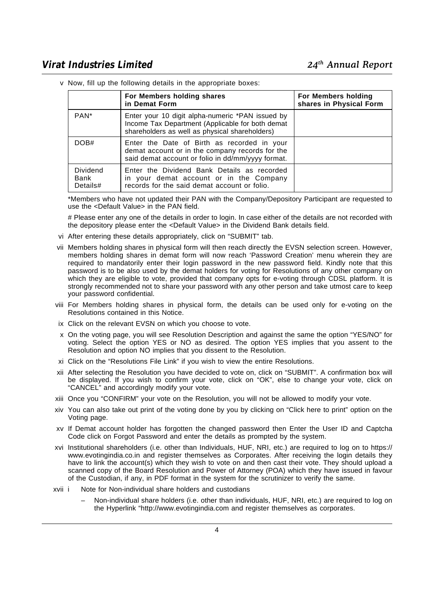## **Virat Industries Limited** 24<sup>th</sup> Annual Report

v Now, fill up the following details in the appropriate boxes:

|                              | For Members holding shares<br>in Demat Form                                                                                                            | <b>For Members holding</b><br>shares in Physical Form |
|------------------------------|--------------------------------------------------------------------------------------------------------------------------------------------------------|-------------------------------------------------------|
| PAN <sup>*</sup>             | Enter your 10 digit alpha-numeric *PAN issued by<br>Income Tax Department (Applicable for both demat<br>shareholders as well as physical shareholders) |                                                       |
| DOB#                         | Enter the Date of Birth as recorded in your<br>demat account or in the company records for the<br>said demat account or folio in dd/mm/yyyy format.    |                                                       |
| Dividend<br>Bank<br>Details# | Enter the Dividend Bank Details as recorded<br>in your demat account or in the Company<br>records for the said demat account or folio.                 |                                                       |

\*Members who have not updated their PAN with the Company/Depository Participant are requested to use the <Default Value> in the PAN field.

# Please enter any one of the details in order to login. In case either of the details are not recorded with the depository please enter the <Default Value> in the Dividend Bank details field.

- vi After entering these details appropriately, click on "SUBMIT" tab.
- vii Members holding shares in physical form will then reach directly the EVSN selection screen. However, members holding shares in demat form will now reach 'Password Creation' menu wherein they are required to mandatorily enter their login password in the new password field. Kindly note that this password is to be also used by the demat holders for voting for Resolutions of any other company on which they are eligible to vote, provided that company opts for e-voting through CDSL platform. It is strongly recommended not to share your password with any other person and take utmost care to keep your password confidential.
- viii For Members holding shares in physical form, the details can be used only for e-voting on the Resolutions contained in this Notice.
- ix Click on the relevant EVSN on which you choose to vote.
- x On the voting page, you will see Resolution Description and against the same the option "YES/NO" for voting. Select the option YES or NO as desired. The option YES implies that you assent to the Resolution and option NO implies that you dissent to the Resolution.
- xi Click on the "Resolutions File Link" if you wish to view the entire Resolutions.
- xii After selecting the Resolution you have decided to vote on, click on "SUBMIT". A confirmation box will be displayed. If you wish to confirm your vote, click on "OK", else to change your vote, click on "CANCEL" and accordingly modify your vote.
- xiii Once you "CONFIRM" your vote on the Resolution, you will not be allowed to modify your vote.
- xiv You can also take out print of the voting done by you by clicking on "Click here to print" option on the Voting page.
- xv If Demat account holder has forgotten the changed password then Enter the User ID and Captcha Code click on Forgot Password and enter the details as prompted by the system.
- xvi Institutional shareholders (i.e. other than Individuals, HUF, NRI, etc.) are required to log on to https:// www.evotingindia.co.in and register themselves as Corporates. After receiving the login details they have to link the account(s) which they wish to vote on and then cast their vote. They should upload a scanned copy of the Board Resolution and Power of Attorney (POA) which they have issued in favour of the Custodian, if any, in PDF format in the system for the scrutinizer to verify the same.
- xvii i Note for Non-individual share holders and custodians
	- Non-individual share holders (i.e. other than individuals, HUF, NRI, etc.) are required to log on the Hyperlink "http://www.evotingindia.com and register themselves as corporates.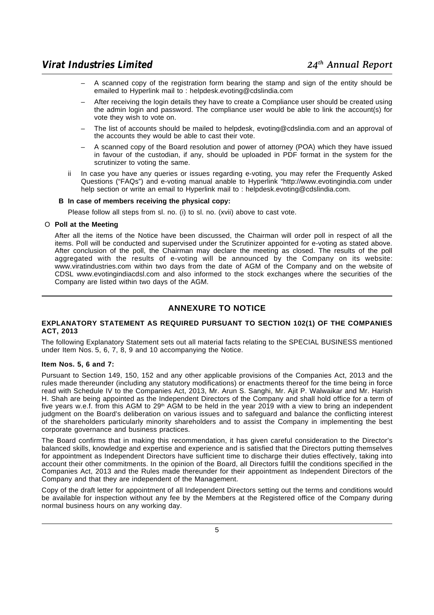- A scanned copy of the registration form bearing the stamp and sign of the entity should be emailed to Hyperlink mail to : helpdesk.evoting@cdslindia.com
- After receiving the login details they have to create a Compliance user should be created using the admin login and password. The compliance user would be able to link the account(s) for vote they wish to vote on.
- The list of accounts should be mailed to helpdesk, evoting@cdslindia.com and an approval of the accounts they would be able to cast their vote.
- A scanned copy of the Board resolution and power of attorney (POA) which they have issued in favour of the custodian, if any, should be uploaded in PDF format in the system for the scrutinizer to voting the same.
- ii In case you have any queries or issues regarding e-voting, you may refer the Frequently Asked Questions ("FAQs") and e-voting manual anable to Hyperlink "http://www.evotingindia.com under help section or write an email to Hyperlink mail to : helpdesk.evoting@cdslindia.com.

#### **B In case of members receiving the physical copy:**

Please follow all steps from sl. no. (i) to sl. no. (xvii) above to cast vote.

#### O **Poll at the Meeting**

After all the items of the Notice have been discussed, the Chairman will order poll in respect of all the items. Poll will be conducted and supervised under the Scrutinizer appointed for e-voting as stated above. After conclusion of the poll, the Chairman may declare the meeting as closed. The results of the poll aggregated with the results of e-voting will be announced by the Company on its website: www.viratindustries.com within two days from the date of AGM of the Company and on the website of CDSL www.evotingindiacdsl.com and also informed to the stock exchanges where the securities of the Company are listed within two days of the AGM.

### **ANNEXURE TO NOTICE**

#### **EXPLANATORY STATEMENT AS REQUIRED PURSUANT TO SECTION 102(1) OF THE COMPANIES ACT, 2013**

The following Explanatory Statement sets out all material facts relating to the SPECIAL BUSINESS mentioned under Item Nos. 5, 6, 7, 8, 9 and 10 accompanying the Notice.

#### **Item Nos. 5, 6 and 7:**

Pursuant to Section 149, 150, 152 and any other applicable provisions of the Companies Act, 2013 and the rules made thereunder (including any statutory modifications) or enactments thereof for the time being in force read with Schedule IV to the Companies Act, 2013, Mr. Arun S. Sanghi, Mr. Ajit P. Walwaikar and Mr. Harish H. Shah are being appointed as the Independent Directors of the Company and shall hold office for a term of five years w.e.f. from this AGM to 29<sup>th</sup> AGM to be held in the year 2019 with a view to bring an independent judgment on the Board's deliberation on various issues and to safeguard and balance the conflicting interest of the shareholders particularly minority shareholders and to assist the Company in implementing the best corporate governance and business practices.

The Board confirms that in making this recommendation, it has given careful consideration to the Director's balanced skills, knowledge and expertise and experience and is satisfied that the Directors putting themselves for appointment as Independent Directors have sufficient time to discharge their duties effectively, taking into account their other commitments. In the opinion of the Board, all Directors fulfill the conditions specified in the Companies Act, 2013 and the Rules made thereunder for their appointment as Independent Directors of the Company and that they are independent of the Management.

Copy of the draft letter for appointment of all Independent Directors setting out the terms and conditions would be available for inspection without any fee by the Members at the Registered office of the Company during normal business hours on any working day.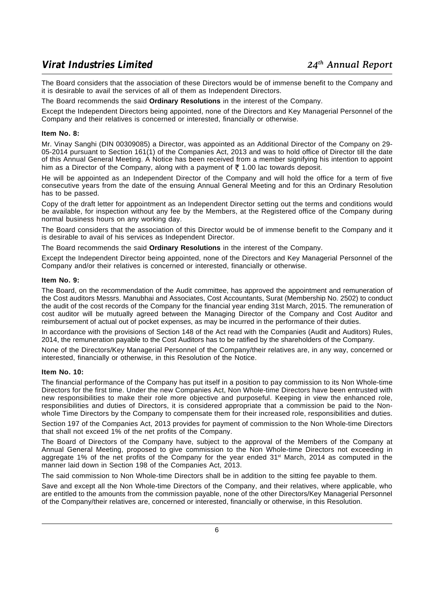## **Virat Industries Limited** 24<sup>th</sup> Annual Report

The Board considers that the association of these Directors would be of immense benefit to the Company and it is desirable to avail the services of all of them as Independent Directors.

The Board recommends the said **Ordinary Resolutions** in the interest of the Company.

Except the Independent Directors being appointed, none of the Directors and Key Managerial Personnel of the Company and their relatives is concerned or interested, financially or otherwise.

#### **Item No. 8:**

Mr. Vinay Sanghi (DIN 00309085) a Director, was appointed as an Additional Director of the Company on 29- 05-2014 pursuant to Section 161(1) of the Companies Act, 2013 and was to hold office of Director till the date of this Annual General Meeting. A Notice has been received from a member signifying his intention to appoint him as a Director of the Company, along with a payment of  $\overline{z}$  1.00 lac towards deposit.

He will be appointed as an Independent Director of the Company and will hold the office for a term of five consecutive years from the date of the ensuing Annual General Meeting and for this an Ordinary Resolution has to be passed.

Copy of the draft letter for appointment as an Independent Director setting out the terms and conditions would be available, for inspection without any fee by the Members, at the Registered office of the Company during normal business hours on any working day.

The Board considers that the association of this Director would be of immense benefit to the Company and it is desirable to avail of his services as Independent Director.

The Board recommends the said **Ordinary Resolutions** in the interest of the Company.

Except the Independent Director being appointed, none of the Directors and Key Managerial Personnel of the Company and/or their relatives is concerned or interested, financially or otherwise.

#### **Item No. 9:**

The Board, on the recommendation of the Audit committee, has approved the appointment and remuneration of the Cost auditors Messrs. Manubhai and Associates, Cost Accountants, Surat (Membership No. 2502) to conduct the audit of the cost records of the Company for the financial year ending 31st March, 2015. The remuneration of cost auditor will be mutually agreed between the Managing Director of the Company and Cost Auditor and reimbursement of actual out of pocket expenses, as may be incurred in the performance of their duties.

In accordance with the provisions of Section 148 of the Act read with the Companies (Audit and Auditors) Rules, 2014, the remuneration payable to the Cost Auditors has to be ratified by the shareholders of the Company.

None of the Directors/Key Managerial Personnel of the Company/their relatives are, in any way, concerned or interested, financially or otherwise, in this Resolution of the Notice.

#### **Item No. 10:**

The financial performance of the Company has put itself in a position to pay commission to its Non Whole-time Directors for the first time. Under the new Companies Act, Non Whole-time Directors have been entrusted with new responsibilities to make their role more objective and purposeful. Keeping in view the enhanced role, responsibilities and duties of Directors, it is considered appropriate that a commission be paid to the Nonwhole Time Directors by the Company to compensate them for their increased role, responsibilities and duties.

Section 197 of the Companies Act, 2013 provides for payment of commission to the Non Whole-time Directors that shall not exceed 1% of the net profits of the Company.

The Board of Directors of the Company have, subject to the approval of the Members of the Company at Annual General Meeting, proposed to give commission to the Non Whole-time Directors not exceeding in aggregate 1% of the net profits of the Company for the year ended 31st March, 2014 as computed in the manner laid down in Section 198 of the Companies Act, 2013.

The said commission to Non Whole-time Directors shall be in addition to the sitting fee payable to them.

Save and except all the Non Whole-time Directors of the Company, and their relatives, where applicable, who are entitled to the amounts from the commission payable, none of the other Directors/Key Managerial Personnel of the Company/their relatives are, concerned or interested, financially or otherwise, in this Resolution.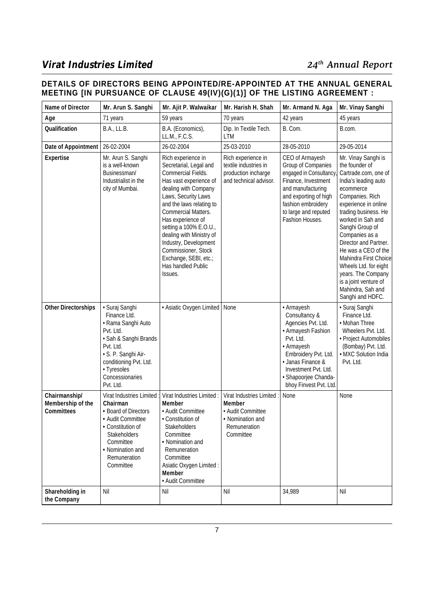# Virat Industries Limited<br>
Virat Industries Limited<br>
Annual Report

## **DETAILS OF DIRECTORS BEING APPOINTED/RE-APPOINTED AT THE ANNUAL GENERAL MEETING [IN PURSUANCE OF CLAUSE 49(IV)(G)(1)] OF THE LISTING AGREEMENT :**

| <b>Name of Director</b>                                                               | Mr. Arun S. Sanghi                                                                                                                                                                                                                                                                                                                                                                                      | Mr. Ajit P. Walwaikar                                                                                                                                                                                                                                                                                                                                                               | Mr. Harish H. Shah                                                                                         | Mr. Armand N. Aga                                                                                                                                                                                                                 | Mr. Vinay Sanghi                                                                                                                                                                                                                                                                                                                                                                                                          |
|---------------------------------------------------------------------------------------|---------------------------------------------------------------------------------------------------------------------------------------------------------------------------------------------------------------------------------------------------------------------------------------------------------------------------------------------------------------------------------------------------------|-------------------------------------------------------------------------------------------------------------------------------------------------------------------------------------------------------------------------------------------------------------------------------------------------------------------------------------------------------------------------------------|------------------------------------------------------------------------------------------------------------|-----------------------------------------------------------------------------------------------------------------------------------------------------------------------------------------------------------------------------------|---------------------------------------------------------------------------------------------------------------------------------------------------------------------------------------------------------------------------------------------------------------------------------------------------------------------------------------------------------------------------------------------------------------------------|
| Age                                                                                   | 71 years                                                                                                                                                                                                                                                                                                                                                                                                | 59 years                                                                                                                                                                                                                                                                                                                                                                            | 70 years                                                                                                   | 42 years                                                                                                                                                                                                                          | 45 years                                                                                                                                                                                                                                                                                                                                                                                                                  |
| Qualification                                                                         | B.A., LL.B.                                                                                                                                                                                                                                                                                                                                                                                             | B.A. (Economics),<br>LL.M., F.C.S.                                                                                                                                                                                                                                                                                                                                                  | Dip. In Textile Tech.<br>LTM                                                                               | B. Com.                                                                                                                                                                                                                           | B.com.                                                                                                                                                                                                                                                                                                                                                                                                                    |
| Date of Appointment                                                                   | 26-02-2004                                                                                                                                                                                                                                                                                                                                                                                              | 26-02-2004                                                                                                                                                                                                                                                                                                                                                                          | 25-03-2010                                                                                                 | 28-05-2010                                                                                                                                                                                                                        | 29-05-2014                                                                                                                                                                                                                                                                                                                                                                                                                |
| <b>Expertise</b>                                                                      | Mr. Arun S. Sanghi<br>is a well-known<br>Businessman/<br>Industrialist in the<br>city of Mumbai.                                                                                                                                                                                                                                                                                                        | Rich experience in<br>Secretarial, Legal and<br>Commercial Fields.<br>Has vast experience of<br>dealing with Company<br>Laws, Security Laws<br>and the laws relating to<br>Commercial Matters.<br>Has experience of<br>setting a 100% E.O.U.,<br>dealing with Ministry of<br>Industry, Development<br>Commissioner, Stock<br>Exchange, SEBI, etc.;<br>Has handled Public<br>lssues. | Rich experience in<br>textile industries in<br>production incharge<br>and technical advisor.               | CEO of Armayesh<br>Group of Companies<br>engaged in Consultancy,<br>Finance, Investment<br>and manufacturing<br>and exporting of high<br>fashion embroidery<br>to large and reputed<br>Fashion Houses.                            | Mr. Vinay Sanghi is<br>the founder of<br>Cartrade.com, one of<br>India's leading auto<br>ecommerce<br>Companies. Rich<br>experience in online<br>trading business. He<br>worked in Sah and<br>Sanghi Group of<br>Companies as a<br>Director and Partner.<br>He was a CEO of the<br>Mahindra First Choice<br>Wheels Ltd. for eight<br>years. The Company<br>is a joint venture of<br>Mahindra, Sah and<br>Sanghi and HDFC. |
| <b>Other Directorships</b><br>Chairmanship/<br>Membership of the<br><b>Committees</b> | • Suraj Sanghi<br>Finance Ltd.<br>• Rama Sanghi Auto<br>Pvt. Ltd.<br>· Sah & Sanghi Brands<br>Pvt. Ltd.<br>· S. P. Sanghi Air-<br>conditioning Pvt. Ltd.<br>• Tyresoles<br>Concessionaries<br>Pvt. Ltd.<br>Virat Industries Limited:<br>Chairman<br>• Board of Directors<br>• Audit Committee<br>• Constitution of<br><b>Stakeholders</b><br>Committee<br>• Nomination and<br>Remuneration<br>Committee | • Asiatic Oxygen Limited   None<br>Virat Industries Limited:<br>Member<br>• Audit Committee<br>• Constitution of<br>Stakeholders<br>Committee<br>• Nomination and<br>Remuneration<br>Committee<br>Asiatic Oxygen Limited:<br><b>Member</b><br>• Audit Committee                                                                                                                     | Virat Industries Limited :<br>Member<br>• Audit Committee<br>• Nomination and<br>Remuneration<br>Committee | • Armayesh<br>Consultancy &<br>Agencies Pvt. Ltd.<br>• Armayesh Fashion<br>Pvt. Ltd.<br>• Armayesh<br>Embroidery Pvt. Ltd.<br>• Janas Finance &<br>Investment Pvt. Ltd.<br>• Shapoorjee Chanda-<br>bhoy Finvest Pvt. Ltd.<br>None | • Suraj Sanghi<br>Finance Ltd.<br>• Mohan Three<br>Wheelers Pvt. Ltd.<br>• Project Automobiles<br>(Bombay) Pvt. Ltd.<br>· MXC Solution India<br>Pvt. Ltd.<br>None                                                                                                                                                                                                                                                         |
| Shareholding in<br>the Company                                                        | Nil                                                                                                                                                                                                                                                                                                                                                                                                     | Nil                                                                                                                                                                                                                                                                                                                                                                                 | Nil                                                                                                        | 34,989                                                                                                                                                                                                                            | Nil                                                                                                                                                                                                                                                                                                                                                                                                                       |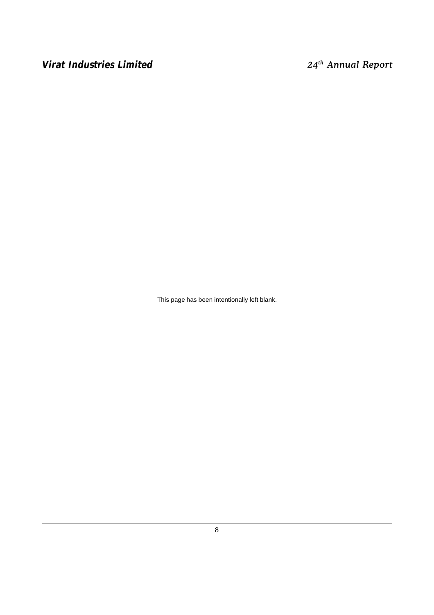This page has been intentionally left blank.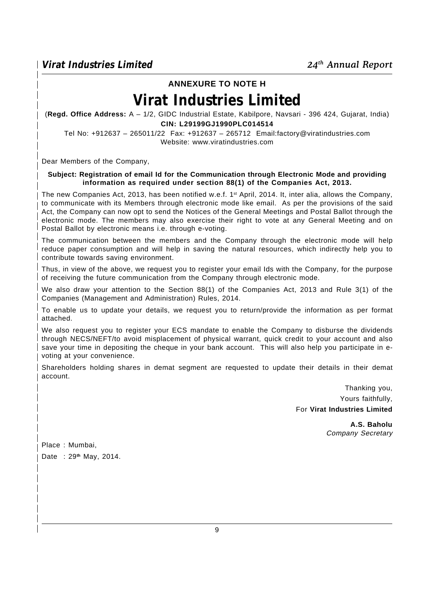## **ANNEXURE TO NOTE H**

# **Virat Industries Limited**

(**Regd. Office Address:** A – 1/2, GIDC Industrial Estate, Kabilpore, Navsari - 396 424, Gujarat, India) **CIN: L29199GJ1990PLC014514**

Tel No: +912637 – 265011/22 Fax: +912637 – 265712 Email:factory@viratindustries.com Website: www.viratindustries.com

Dear Members of the Company,

#### **Subject: Registration of email Id for the Communication through Electronic Mode and providing information as required under section 88(1) of the Companies Act, 2013.**

The new Companies Act, 2013, has been notified w.e.f. 1<sup>st</sup> April, 2014. It, inter alia, allows the Company, to communicate with its Members through electronic mode like email. As per the provisions of the said Act, the Company can now opt to send the Notices of the General Meetings and Postal Ballot through the electronic mode. The members may also exercise their right to vote at any General Meeting and on Postal Ballot by electronic means i.e. through e-voting.

The communication between the members and the Company through the electronic mode will help reduce paper consumption and will help in saving the natural resources, which indirectly help you to contribute towards saving environment.

Thus, in view of the above, we request you to register your email Ids with the Company, for the purpose of receiving the future communication from the Company through electronic mode.

We also draw your attention to the Section 88(1) of the Companies Act, 2013 and Rule 3(1) of the Companies (Management and Administration) Rules, 2014.

To enable us to update your details, we request you to return/provide the information as per format attached.

We also request you to register your ECS mandate to enable the Company to disburse the dividends through NECS/NEFT/to avoid misplacement of physical warrant, quick credit to your account and also save your time in depositing the cheque in your bank account. This will also help you participate in evoting at your convenience.

Shareholders holding shares in demat segment are requested to update their details in their demat account.

> Thanking you, Yours faithfully, For **Virat Industries Limited**

> > **A.S. Baholu** Company Secretary

Place : Mumbai, Date : 29**th** May, 2014.

 $\alpha$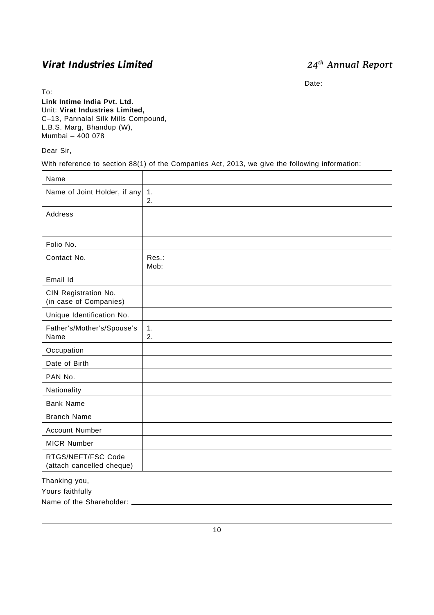Date:

To: **Link Intime India Pvt. Ltd.** Unit: **Virat Industries Limited,** C–13, Pannalal Silk Mills Compound, L.B.S. Marg, Bhandup (W), Mumbai – 400 078

Dear Sir,

With reference to section 88(1) of the Companies Act, 2013, we give the following information:

| Name                                            |               |
|-------------------------------------------------|---------------|
| Name of Joint Holder, if any                    | 1.<br>2.      |
| Address                                         |               |
|                                                 |               |
| Folio No.                                       |               |
| Contact No.                                     | Res.:<br>Mob: |
| Email Id                                        |               |
| CIN Registration No.<br>(in case of Companies)  |               |
| Unique Identification No.                       |               |
| Father's/Mother's/Spouse's<br>Name              | 1.<br>2.      |
| Occupation                                      |               |
| Date of Birth                                   |               |
| PAN No.                                         |               |
| Nationality                                     |               |
| <b>Bank Name</b>                                |               |
| <b>Branch Name</b>                              |               |
| <b>Account Number</b>                           |               |
| <b>MICR Number</b>                              |               |
| RTGS/NEFT/FSC Code<br>(attach cancelled cheque) |               |
| Thanking you,<br>Yours faithfully               |               |

Name of the Shareholder: \_\_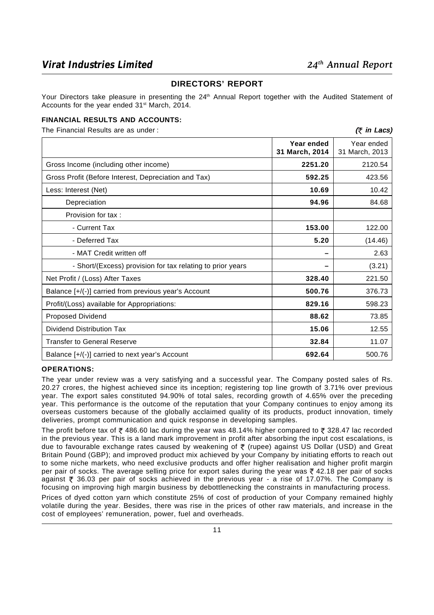## Virat Industries Limited **Annual Report** 24<sup>th</sup> Annual Report

## **DIRECTORS' REPORT**

Your Directors take pleasure in presenting the 24<sup>th</sup> Annual Report together with the Audited Statement of Accounts for the year ended 31<sup>st</sup> March, 2014.

#### **FINANCIAL RESULTS AND ACCOUNTS:**

The Financial Results are as under :  $(\bar{\tau}$  in Lacs)

|                                                            | Year ended<br>31 March, 2014 | Year ended<br>31 March, 2013 |
|------------------------------------------------------------|------------------------------|------------------------------|
| Gross Income (including other income)                      | 2251.20                      | 2120.54                      |
| Gross Profit (Before Interest, Depreciation and Tax)       | 592.25                       | 423.56                       |
| Less: Interest (Net)                                       | 10.69                        | 10.42                        |
| Depreciation                                               | 94.96                        | 84.68                        |
| Provision for tax:                                         |                              |                              |
| - Current Tax                                              | 153.00                       | 122.00                       |
| - Deferred Tax                                             | 5.20                         | (14.46)                      |
| - MAT Credit written off                                   |                              | 2.63                         |
| - Short/(Excess) provision for tax relating to prior years |                              | (3.21)                       |
| Net Profit / (Loss) After Taxes                            | 328.40                       | 221.50                       |
| Balance [+/(-)] carried from previous year's Account       | 500.76                       | 376.73                       |
| Profit/(Loss) available for Appropriations:                | 829.16                       | 598.23                       |
| Proposed Dividend                                          | 88.62                        | 73.85                        |
| Dividend Distribution Tax                                  | 15.06                        | 12.55                        |
| <b>Transfer to General Reserve</b>                         | 32.84                        | 11.07                        |
| Balance $[+/(-)]$ carried to next year's Account           | 692.64                       | 500.76                       |

#### **OPERATIONS:**

The year under review was a very satisfying and a successful year. The Company posted sales of Rs. 20.27 crores, the highest achieved since its inception; registering top line growth of 3.71% over previous year. The export sales constituted 94.90% of total sales, recording growth of 4.65% over the preceding year. This performance is the outcome of the reputation that your Company continues to enjoy among its overseas customers because of the globally acclaimed quality of its products, product innovation, timely deliveries, prompt communication and quick response in developing samples.

The profit before tax of  $\overline{\xi}$  486.60 lac during the year was 48.14% higher compared to  $\overline{\xi}$  328.47 lac recorded in the previous year. This is a land mark improvement in profit after absorbing the input cost escalations, is due to favourable exchange rates caused by weakening of  $\bar{\tau}$  (rupee) against US Dollar (USD) and Great Britain Pound (GBP); and improved product mix achieved by your Company by initiating efforts to reach out to some niche markets, who need exclusive products and offer higher realisation and higher profit margin per pair of socks. The average selling price for export sales during the year was  $\bar{\tau}$  42.18 per pair of socks against  $\bar{\tau}$  36.03 per pair of socks achieved in the previous year - a rise of 17.07%. The Company is focusing on improving high margin business by debottlenecking the constraints in manufacturing process.

Prices of dyed cotton yarn which constitute 25% of cost of production of your Company remained highly volatile during the year. Besides, there was rise in the prices of other raw materials, and increase in the cost of employees' remuneration, power, fuel and overheads.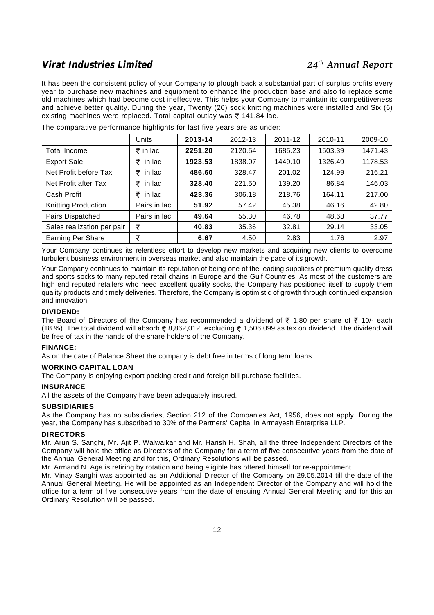## **Virat Industries Limited** 24<sup>th</sup> Annual Report

It has been the consistent policy of your Company to plough back a substantial part of surplus profits every year to purchase new machines and equipment to enhance the production base and also to replace some old machines which had become cost ineffective. This helps your Company to maintain its competitiveness and achieve better quality. During the year, Twenty (20) sock knitting machines were installed and Six (6) existing machines were replaced. Total capital outlay was  $\bar{\tau}$  141.84 lac.

|                            | Units            | 2013-14 | 2012-13 | 2011-12 | 2010-11 | 2009-10 |
|----------------------------|------------------|---------|---------|---------|---------|---------|
| Total Income               | $\bar{z}$ in lac | 2251.20 | 2120.54 | 1685.23 | 1503.39 | 1471.43 |
| <b>Export Sale</b>         | $\bar{z}$ in lac | 1923.53 | 1838.07 | 1449.10 | 1326.49 | 1178.53 |
| Net Profit before Tax      | in lac<br>₹      | 486.60  | 328.47  | 201.02  | 124.99  | 216.21  |
| Net Profit after Tax       | $\bar{z}$ in lac | 328.40  | 221.50  | 139.20  | 86.84   | 146.03  |
| Cash Profit                | in lac<br>₹      | 423.36  | 306.18  | 218.76  | 164.11  | 217.00  |
| Knitting Production        | Pairs in lac     | 51.92   | 57.42   | 45.38   | 46.16   | 42.80   |
| Pairs Dispatched           | Pairs in lac     | 49.64   | 55.30   | 46.78   | 48.68   | 37.77   |
| Sales realization per pair | ₹                | 40.83   | 35.36   | 32.81   | 29.14   | 33.05   |
| <b>Earning Per Share</b>   | ₹                | 6.67    | 4.50    | 2.83    | 1.76    | 2.97    |

The comparative performance highlights for last five years are as under:

Your Company continues its relentless effort to develop new markets and acquiring new clients to overcome turbulent business environment in overseas market and also maintain the pace of its growth.

Your Company continues to maintain its reputation of being one of the leading suppliers of premium quality dress and sports socks to many reputed retail chains in Europe and the Gulf Countries. As most of the customers are high end reputed retailers who need excellent quality socks, the Company has positioned itself to supply them quality products and timely deliveries. Therefore, the Company is optimistic of growth through continued expansion and innovation.

#### **DIVIDEND:**

The Board of Directors of the Company has recommended a dividend of  $\bar{\tau}$  1.80 per share of  $\bar{\tau}$  10/- each (18 %). The total dividend will absorb  $\overline{\xi}$  8,862,012, excluding  $\overline{\xi}$  1,506,099 as tax on dividend. The dividend will be free of tax in the hands of the share holders of the Company.

#### **FINANCE:**

As on the date of Balance Sheet the company is debt free in terms of long term loans.

#### **WORKING CAPITAL LOAN**

The Company is enjoying export packing credit and foreign bill purchase facilities.

#### **INSURANCE**

All the assets of the Company have been adequately insured.

#### **SUBSIDIARIES**

As the Company has no subsidiaries, Section 212 of the Companies Act, 1956, does not apply. During the year, the Company has subscribed to 30% of the Partners' Capital in Armayesh Enterprise LLP.

#### **DIRECTORS**

Mr. Arun S. Sanghi, Mr. Ajit P. Walwaikar and Mr. Harish H. Shah, all the three Independent Directors of the Company will hold the office as Directors of the Company for a term of five consecutive years from the date of the Annual General Meeting and for this, Ordinary Resolutions will be passed.

Mr. Armand N. Aga is retiring by rotation and being eligible has offered himself for re-appointment.

Mr. Vinay Sanghi was appointed as an Additional Director of the Company on 29.05.2014 till the date of the Annual General Meeting. He will be appointed as an Independent Director of the Company and will hold the office for a term of five consecutive years from the date of ensuing Annual General Meeting and for this an Ordinary Resolution will be passed.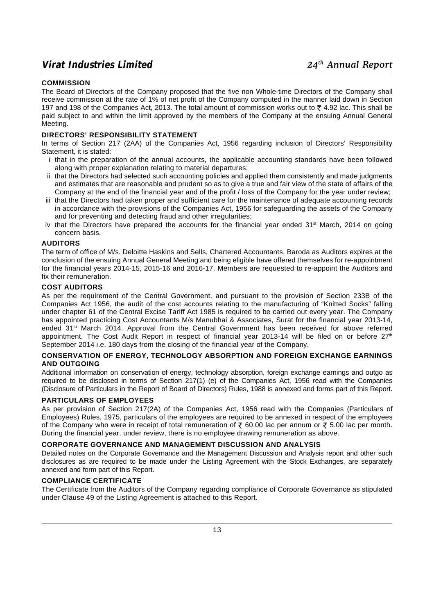## Virat Industries Limited **Annual Report** 24<sup>th</sup> Annual Report

#### **COMMISSION**

The Board of Directors of the Company proposed that the five non Whole-time Directors of the Company shall receive commission at the rate of 1% of net profit of the Company computed in the manner laid down in Section 197 and 198 of the Companies Act, 2013. The total amount of commission works out to  $\overline{\zeta}$  4.92 lac. This shall be paid subject to and within the limit approved by the members of the Company at the ensuing Annual General Meeting.

#### **DIRECTORS' RESPONSIBILITY STATEMENT**

In terms of Section 217 (2AA) of the Companies Act, 1956 regarding inclusion of Directors' Responsibility Statement, it is stated:

- i that in the preparation of the annual accounts, the applicable accounting standards have been followed along with proper explanation relating to material departures;
- ii that the Directors had selected such accounting policies and applied them consistently and made judgments and estimates that are reasonable and prudent so as to give a true and fair view of the state of affairs of the Company at the end of the financial year and of the profit / loss of the Company for the year under review;
- iii that the Directors had taken proper and sufficient care for the maintenance of adequate accounting records in accordance with the provisions of the Companies Act, 1956 for safeguarding the assets of the Company and for preventing and detecting fraud and other irregularities;
- iv that the Directors have prepared the accounts for the financial year ended  $31<sup>st</sup>$  March, 2014 on going concern basis.

#### **AUDITORS**

The term of office of M/s. Deloitte Haskins and Sells, Chartered Accountants, Baroda as Auditors expires at the conclusion of the ensuing Annual General Meeting and being eligible have offered themselves for re-appointment for the financial years 2014-15, 2015-16 and 2016-17. Members are requested to re-appoint the Auditors and fix their remuneration.

#### **COST AUDITORS**

As per the requirement of the Central Government, and pursuant to the provision of Section 233B of the Companies Act 1956, the audit of the cost accounts relating to the manufacturing of "Knitted Socks" falling under chapter 61 of the Central Excise Tariff Act 1985 is required to be carried out every year. The Company has appointed practicing Cost Accountants M/s Manubhai & Associates, Surat for the financial year 2013-14, ended 31st March 2014. Approval from the Central Government has been received for above referred appointment. The Cost Audit Report in respect of financial year 2013-14 will be filed on or before 27<sup>th</sup> September 2014 i.e. 180 days from the closing of the financial year of the Company.

#### **CONSERVATION OF ENERGY, TECHNOLOGY ABSORPTION AND FOREIGN EXCHANGE EARNINGS AND OUTGOING**

Additional information on conservation of energy, technology absorption, foreign exchange earnings and outgo as required to be disclosed in terms of Section 217(1) (e) of the Companies Act, 1956 read with the Companies (Disclosure of Particulars in the Report of Board of Directors) Rules, 1988 is annexed and forms part of this Report.

#### **PARTICULARS OF EMPLOYEES**

As per provision of Section 217(2A) of the Companies Act, 1956 read with the Companies (Particulars of Employees) Rules, 1975, particulars of the employees are required to be annexed in respect of the employees of the Company who were in receipt of total remuneration of  $\overline{5}$  60.00 lac per annum or  $\overline{5}$  5.00 lac per month. During the financial year, under review, there is no employee drawing remuneration as above.

#### **CORPORATE GOVERNANCE AND MANAGEMENT DISCUSSION AND ANALYSIS**

Detailed notes on the Corporate Governance and the Management Discussion and Analysis report and other such disclosures as are required to be made under the Listing Agreement with the Stock Exchanges, are separately annexed and form part of this Report.

#### **COMPLIANCE CERTIFICATE**

The Certificate from the Auditors of the Company regarding compliance of Corporate Governance as stipulated under Clause 49 of the Listing Agreement is attached to this Report.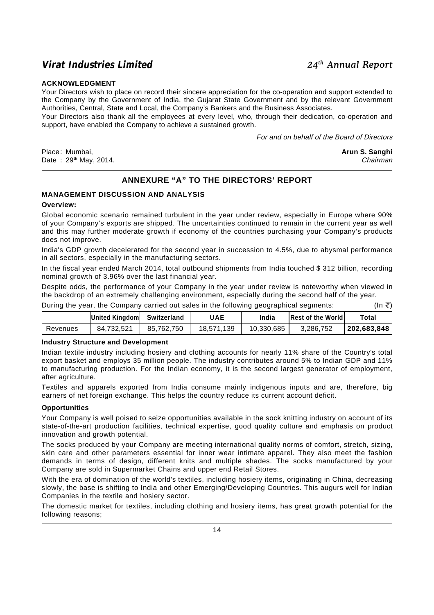## **Virat Industries Limited** 24<sup>th</sup> Annual Report

#### **ACKNOWLEDGMENT**

Your Directors wish to place on record their sincere appreciation for the co-operation and support extended to the Company by the Government of India, the Gujarat State Government and by the relevant Government Authorities, Central, State and Local, the Company's Bankers and the Business Associates.

Your Directors also thank all the employees at every level, who, through their dedication, co-operation and support, have enabled the Company to achieve a sustained growth.

For and on behalf of the Board of Directors

Place: Mumbai, **Arun S. Sanghi** Date : 29<sup>th</sup> May, 2014. Chairman **Chairman** Chairman Chairman Chairman Chairman Chairman Chairman Chairman Chairman

### **ANNEXURE "A" TO THE DIRECTORS' REPORT**

#### **MANAGEMENT DISCUSSION AND ANALYSIS**

#### **Overview:**

Global economic scenario remained turbulent in the year under review, especially in Europe where 90% of your Company's exports are shipped. The uncertainties continued to remain in the current year as well and this may further moderate growth if economy of the countries purchasing your Company's products does not improve.

India's GDP growth decelerated for the second year in succession to 4.5%, due to abysmal performance in all sectors, especially in the manufacturing sectors.

In the fiscal year ended March 2014, total outbound shipments from India touched \$ 312 billion, recording nominal growth of 3.96% over the last financial year.

Despite odds, the performance of your Company in the year under review is noteworthy when viewed in the backdrop of an extremely challenging environment, especially during the second half of the year.

During the year, the Company carried out sales in the following geographical segments: (In  $\bar{z}$ )

|          | United Kingdom | Switzerland | <b>UAE</b> | India      | <b>Rest of the World</b> | ⊤otal       |
|----------|----------------|-------------|------------|------------|--------------------------|-------------|
| Revenues | 84,732,521     | 85.762.750  | 18.571.139 | 10.330.685 | 3.286.752                | 202,683,848 |

#### **Industry Structure and Development**

Indian textile industry including hosiery and clothing accounts for nearly 11% share of the Country's total export basket and employs 35 million people. The industry contributes around 5% to Indian GDP and 11% to manufacturing production. For the Indian economy, it is the second largest generator of employment, after agriculture.

Textiles and apparels exported from India consume mainly indigenous inputs and are, therefore, big earners of net foreign exchange. This helps the country reduce its current account deficit.

#### **Opportunities**

Your Company is well poised to seize opportunities available in the sock knitting industry on account of its state-of-the-art production facilities, technical expertise, good quality culture and emphasis on product innovation and growth potential.

The socks produced by your Company are meeting international quality norms of comfort, stretch, sizing, skin care and other parameters essential for inner wear intimate apparel. They also meet the fashion demands in terms of design, different knits and multiple shades. The socks manufactured by your Company are sold in Supermarket Chains and upper end Retail Stores.

With the era of domination of the world's textiles, including hosiery items, originating in China, decreasing slowly, the base is shifting to India and other Emerging/Developing Countries. This augurs well for Indian Companies in the textile and hosiery sector.

The domestic market for textiles, including clothing and hosiery items, has great growth potential for the following reasons;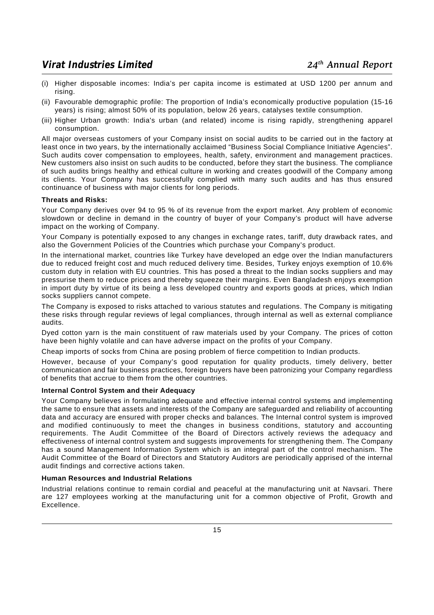## Virat Industries Limited **Annual Report** 24<sup>th</sup> Annual Report

- (i) Higher disposable incomes: India's per capita income is estimated at USD 1200 per annum and rising.
- (ii) Favourable demographic profile: The proportion of India's economically productive population (15-16 years) is rising; almost 50% of its population, below 26 years, catalyses textile consumption.
- (iii) Higher Urban growth: India's urban (and related) income is rising rapidly, strengthening apparel consumption.

All major overseas customers of your Company insist on social audits to be carried out in the factory at least once in two years, by the internationally acclaimed "Business Social Compliance Initiative Agencies". Such audits cover compensation to employees, health, safety, environment and management practices. New customers also insist on such audits to be conducted, before they start the business. The compliance of such audits brings healthy and ethical culture in working and creates goodwill of the Company among its clients. Your Company has successfully complied with many such audits and has thus ensured continuance of business with major clients for long periods.

#### **Threats and Risks:**

Your Company derives over 94 to 95 % of its revenue from the export market. Any problem of economic slowdown or decline in demand in the country of buyer of your Company's product will have adverse impact on the working of Company.

Your Company is potentially exposed to any changes in exchange rates, tariff, duty drawback rates, and also the Government Policies of the Countries which purchase your Company's product.

In the international market, countries like Turkey have developed an edge over the Indian manufacturers due to reduced freight cost and much reduced delivery time. Besides, Turkey enjoys exemption of 10.6% custom duty in relation with EU countries. This has posed a threat to the Indian socks suppliers and may pressurise them to reduce prices and thereby squeeze their margins. Even Bangladesh enjoys exemption in import duty by virtue of its being a less developed country and exports goods at prices, which Indian socks suppliers cannot compete.

The Company is exposed to risks attached to various statutes and regulations. The Company is mitigating these risks through regular reviews of legal compliances, through internal as well as external compliance audits.

Dyed cotton yarn is the main constituent of raw materials used by your Company. The prices of cotton have been highly volatile and can have adverse impact on the profits of your Company.

Cheap imports of socks from China are posing problem of fierce competition to Indian products.

However, because of your Company's good reputation for quality products, timely delivery, better communication and fair business practices, foreign buyers have been patronizing your Company regardless of benefits that accrue to them from the other countries.

#### **Internal Control System and their Adequacy**

Your Company believes in formulating adequate and effective internal control systems and implementing the same to ensure that assets and interests of the Company are safeguarded and reliability of accounting data and accuracy are ensured with proper checks and balances. The Internal control system is improved and modified continuously to meet the changes in business conditions, statutory and accounting requirements. The Audit Committee of the Board of Directors actively reviews the adequacy and effectiveness of internal control system and suggests improvements for strengthening them. The Company has a sound Management Information System which is an integral part of the control mechanism. The Audit Committee of the Board of Directors and Statutory Auditors are periodically apprised of the internal audit findings and corrective actions taken.

#### **Human Resources and Industrial Relations**

Industrial relations continue to remain cordial and peaceful at the manufacturing unit at Navsari. There are 127 employees working at the manufacturing unit for a common objective of Profit, Growth and Excellence.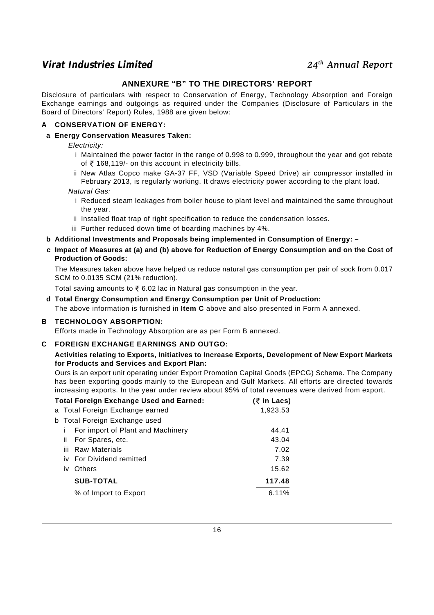## **ANNEXURE "B" TO THE DIRECTORS' REPORT**

Disclosure of particulars with respect to Conservation of Energy, Technology Absorption and Foreign Exchange earnings and outgoings as required under the Companies (Disclosure of Particulars in the Board of Directors' Report) Rules, 1988 are given below:

#### **A CONSERVATION OF ENERGY:**

#### **a Energy Conservation Measures Taken:**

Electricity:

- i Maintained the power factor in the range of 0.998 to 0.999, throughout the year and got rebate of  $\overline{\zeta}$  168,119/- on this account in electricity bills.
- ii New Atlas Copco make GA-37 FF, VSD (Variable Speed Drive) air compressor installed in February 2013, is regularly working. It draws electricity power according to the plant load.

Natural Gas:

- i Reduced steam leakages from boiler house to plant level and maintained the same throughout the year.
- ii Installed float trap of right specification to reduce the condensation losses.
- iii Further reduced down time of boarding machines by 4%.
- **b Additional Investments and Proposals being implemented in Consumption of Energy: –**
- **c Impact of Measures at (a) and (b) above for Reduction of Energy Consumption and on the Cost of Production of Goods:**

The Measures taken above have helped us reduce natural gas consumption per pair of sock from 0.017 SCM to 0.0135 SCM (21% reduction).

Total saving amounts to  $\overline{\xi}$  6.02 lac in Natural gas consumption in the year.

**d Total Energy Consumption and Energy Consumption per Unit of Production:**

The above information is furnished in **Item C** above and also presented in Form A annexed.

#### **B TECHNOLOGY ABSORPTION:**

Efforts made in Technology Absorption are as per Form B annexed.

#### **C FOREIGN EXCHANGE EARNINGS AND OUTGO:**

#### **Activities relating to Exports, Initiatives to Increase Exports, Development of New Export Markets for Products and Services and Export Plan:**

Ours is an export unit operating under Export Promotion Capital Goods (EPCG) Scheme. The Company has been exporting goods mainly to the European and Gulf Markets. All efforts are directed towards increasing exports. In the year under review about 95% of total revenues were derived from export.

|                                 | <b>Total Foreign Exchange Used and Earned:</b> | $(\bar{z}$ in Lacs) |  |  |  |  |  |
|---------------------------------|------------------------------------------------|---------------------|--|--|--|--|--|
| a Total Foreign Exchange earned |                                                |                     |  |  |  |  |  |
|                                 | b Total Foreign Exchange used                  |                     |  |  |  |  |  |
|                                 | For import of Plant and Machinery              | 44.41               |  |  |  |  |  |
|                                 | ii For Spares, etc.                            | 43.04               |  |  |  |  |  |
|                                 | iii Raw Materials                              | 7.02                |  |  |  |  |  |
|                                 | iv For Dividend remitted                       | 7.39                |  |  |  |  |  |
| iv                              | Others                                         | 15.62               |  |  |  |  |  |
|                                 | <b>SUB-TOTAL</b>                               | 117.48              |  |  |  |  |  |
|                                 | % of Import to Export                          | 6.11%               |  |  |  |  |  |
|                                 |                                                |                     |  |  |  |  |  |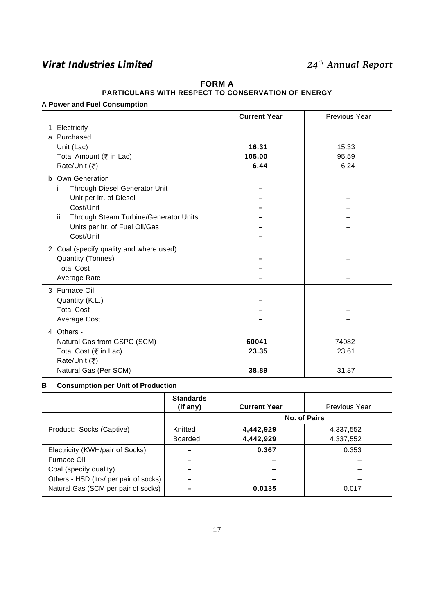# Virat Industries Limited<br>
Virat Industries Limited<br>
Annual Report

## **FORM A**

## **PARTICULARS WITH RESPECT TO CONSERVATION OF ENERGY**

### **A Power and Fuel Consumption**

|                                              | <b>Current Year</b> | Previous Year |
|----------------------------------------------|---------------------|---------------|
| 1 Electricity                                |                     |               |
| a Purchased                                  |                     |               |
| Unit (Lac)                                   | 16.31               | 15.33         |
| Total Amount (₹ in Lac)                      | 105.00              | 95.59         |
| Rate/Unit (₹)                                | 6.44                | 6.24          |
| b Own Generation                             |                     |               |
| Through Diesel Generator Unit<br>i           |                     |               |
| Unit per Itr. of Diesel                      |                     |               |
| Cost/Unit                                    |                     |               |
| Through Steam Turbine/Generator Units<br>ii. |                     |               |
| Units per Itr. of Fuel Oil/Gas               |                     |               |
| Cost/Unit                                    |                     |               |
| 2 Coal (specify quality and where used)      |                     |               |
| Quantity (Tonnes)                            |                     |               |
| <b>Total Cost</b>                            |                     |               |
| Average Rate                                 |                     |               |
| 3 Furnace Oil                                |                     |               |
| Quantity (K.L.)                              |                     |               |
| <b>Total Cost</b>                            |                     |               |
| Average Cost                                 |                     |               |
| 4 Others -                                   |                     |               |
| Natural Gas from GSPC (SCM)                  | 60041               | 74082         |
| Total Cost (₹ in Lac)                        | 23.35               | 23.61         |
| Rate/Unit (そ)                                |                     |               |
| Natural Gas (Per SCM)                        | 38.89               | 31.87         |

## **B Consumption per Unit of Production**

|                                        | <b>Standards</b><br>(if any) | <b>Current Year</b> | <b>Previous Year</b> |
|----------------------------------------|------------------------------|---------------------|----------------------|
|                                        |                              |                     | No. of Pairs         |
| Product: Socks (Captive)               | Knitted                      | 4,442,929           | 4,337,552            |
|                                        | <b>Boarded</b>               | 4,442,929           | 4,337,552            |
| Electricity (KWH/pair of Socks)        |                              | 0.367               | 0.353                |
| Furnace Oil                            |                              |                     |                      |
| Coal (specify quality)                 |                              |                     |                      |
| Others - HSD (Itrs/ per pair of socks) |                              |                     |                      |
| Natural Gas (SCM per pair of socks)    |                              | 0.0135              | 0.017                |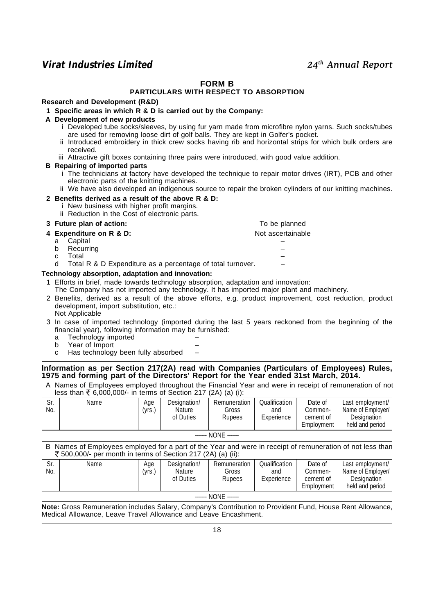## **FORM B**

### **PARTICULARS WITH RESPECT TO ABSORPTION**

#### **Research and Development (R&D)**

#### **1 Specific areas in which R & D is carried out by the Company:**

#### **A Development of new products**

- i Developed tube socks/sleeves, by using fur yarn made from microfibre nylon yarns. Such socks/tubes are used for removing loose dirt of golf balls. They are kept in Golfer's pocket.
- ii Introduced embroidery in thick crew socks having rib and horizontal strips for which bulk orders are received.
- iii Attractive gift boxes containing three pairs were introduced, with good value addition.

#### **B Repairing of imported parts**

- i The technicians at factory have developed the technique to repair motor drives (IRT), PCB and other electronic parts of the knitting machines.
- ii We have also developed an indigenous source to repair the broken cylinders of our knitting machines.

#### **2 Benefits derived as a result of the above R & D:**

- i New business with higher profit margins.
- ii Reduction in the Cost of electronic parts.

#### **3 Future plan of action:** To be planned

#### **4 Expenditure on R & D:** Not ascertainable a Capital b Recurring c Total – d Total R & D Expenditure as a percentage of total turnover. – **Technology absorption, adaptation and innovation:** 1 Efforts in brief, made towards technology absorption, adaptation and innovation: The Company has not imported any technology. It has imported major plant and machinery.

- 2 Benefits, derived as a result of the above efforts, e.g. product improvement, cost reduction, product development, import substitution, etc.: Not Applicable
- 3 In case of imported technology (imported during the last 5 years reckoned from the beginning of the financial year), following information may be furnished:
	- a Technology imported –
	- b Year of Import –
	- c Has technology been fully absorbed –

#### **Information as per Section 217(2A) read with Companies (Particulars of Employees) Rules, 1975 and forming part of the Directors' Report for the Year ended 31st March, 2014.**

A Names of Employees employed throughout the Financial Year and were in receipt of remuneration of not less than ₹ 6,000,000/- in terms of Section 217 (2A) (a) (i):

| Sr.<br>No.         | Name | Age<br>(yrs., | Designation/<br>Nature<br>of Duties | Remuneration<br>Gross<br><b>Rupees</b> | <b>Qualification</b><br>and<br>Experience | Date of<br>Commen-<br>cement of<br>Employment | Last employment/<br>Name of Emplover/<br>Designation<br>held and period |
|--------------------|------|---------------|-------------------------------------|----------------------------------------|-------------------------------------------|-----------------------------------------------|-------------------------------------------------------------------------|
| ------ NONE ------ |      |               |                                     |                                        |                                           |                                               |                                                                         |

B Names of Employees employed for a part of the Year and were in receipt of remuneration of not less than 500,000/- per month in terms of Section 217 (2A) (a) (ii):

| Sr.<br>No.         | Name | Age<br>(yrs. | Designation/<br>Nature<br>of Duties | Remuneration<br>Gross<br>Rupees | <b>Qualification</b><br>and<br>Experience | Date of<br>Commen-<br>cement of<br>Employment | Last employment/<br>Name of Emplover/<br>Designation<br>held and period |
|--------------------|------|--------------|-------------------------------------|---------------------------------|-------------------------------------------|-----------------------------------------------|-------------------------------------------------------------------------|
| ------ NONE ------ |      |              |                                     |                                 |                                           |                                               |                                                                         |

**Note:** Gross Remuneration includes Salary, Company's Contribution to Provident Fund, House Rent Allowance, Medical Allowance, Leave Travel Allowance and Leave Encashment.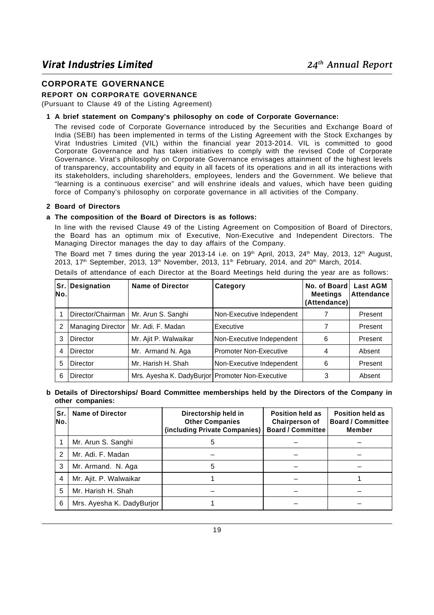## **CORPORATE GOVERNANCE**

#### **REPORT ON CORPORATE GOVERNANCE**

(Pursuant to Clause 49 of the Listing Agreement)

#### **1 A brief statement on Company's philosophy on code of Corporate Governance:**

The revised code of Corporate Governance introduced by the Securities and Exchange Board of India (SEBI) has been implemented in terms of the Listing Agreement with the Stock Exchanges by Virat Industries Limited (VIL) within the financial year 2013-2014. VIL is committed to good Corporate Governance and has taken initiatives to comply with the revised Code of Corporate Governance. Virat's philosophy on Corporate Governance envisages attainment of the highest levels of transparency, accountability and equity in all facets of its operations and in all its interactions with its stakeholders, including shareholders, employees, lenders and the Government. We believe that "learning is a continuous exercise" and will enshrine ideals and values, which have been guiding force of Company's philosophy on corporate governance in all activities of the Company.

#### **2 Board of Directors**

#### **a The composition of the Board of Directors is as follows:**

In line with the revised Clause 49 of the Listing Agreement on Composition of Board of Directors, the Board has an optimum mix of Executive, Non-Executive and Independent Directors. The Managing Director manages the day to day affairs of the Company.

The Board met 7 times during the year 2013-14 i.e. on 19th April, 2013, 24th May, 2013, 12th August, 2013, 17<sup>th</sup> September, 2013, 13<sup>th</sup> November, 2013, 11<sup>th</sup> February, 2014, and 20<sup>th</sup> March, 2014.

| ∣Sr. I<br>lNo. | Designation              | <b>Name of Director</b>                            | Category                      | No. of Board<br><b>Meetings</b><br>(Attendance) | <b>Last AGM</b><br><b>Attendance</b> |
|----------------|--------------------------|----------------------------------------------------|-------------------------------|-------------------------------------------------|--------------------------------------|
|                | Director/Chairman        | Mr. Arun S. Sanghi                                 | Non-Executive Independent     |                                                 | Present                              |
|                | <b>Managing Director</b> | Mr. Adi. F. Madan                                  | Executive                     |                                                 | Present                              |
| 3              | Director                 | Mr. Ajit P. Walwaikar                              | Non-Executive Independent     | 6                                               | Present                              |
| 4              | Director                 | Mr. Armand N. Aga                                  | <b>Promoter Non-Executive</b> | 4                                               | Absent                               |
| 5              | <b>Director</b>          | Mr. Harish H. Shah                                 | Non-Executive Independent     | 6                                               | Present                              |
| 6              | Director                 | Mrs. Ayesha K. DadyBurjor   Promoter Non-Executive |                               | 3                                               | Absent                               |

Details of attendance of each Director at the Board Meetings held during the year are as follows:

**b Details of Directorships/ Board Committee memberships held by the Directors of the Company in other companies:**

| ∣Sr.<br>No. | <b>Name of Director</b>   | Directorship held in<br><b>Other Companies</b><br>(including Private Companies) | <b>Position held as</b><br><b>Chairperson of</b><br><b>Board / Committee</b> | <b>Position held as</b><br><b>Board / Committee</b><br><b>Member</b> |
|-------------|---------------------------|---------------------------------------------------------------------------------|------------------------------------------------------------------------------|----------------------------------------------------------------------|
|             | Mr. Arun S. Sanghi        | 5                                                                               |                                                                              |                                                                      |
| 2           | Mr. Adi. F. Madan         |                                                                                 |                                                                              |                                                                      |
| 3           | Mr. Armand. N. Aga        | 5                                                                               |                                                                              |                                                                      |
| 4           | Mr. Ajit. P. Walwaikar    |                                                                                 |                                                                              |                                                                      |
| 5           | Mr. Harish H. Shah        |                                                                                 |                                                                              |                                                                      |
| 6           | Mrs. Ayesha K. DadyBurjor |                                                                                 |                                                                              |                                                                      |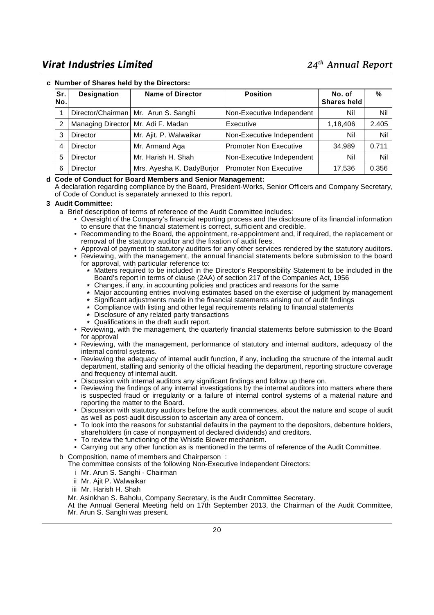## **Virat Industries Limited** 24<sup>th</sup> Annual Report

#### **c Number of Shares held by the Directors:**

| Sr.<br>lNo.    | <b>Designation</b>                 | <b>Name of Director</b>                | <b>Position</b>               | No. of<br><b>Shares held</b> | $\%$  |
|----------------|------------------------------------|----------------------------------------|-------------------------------|------------------------------|-------|
|                |                                    | Director/Chairman   Mr. Arun S. Sanghi | Non-Executive Independent     | Nil                          | Nil   |
| $\overline{2}$ | Managing Director Mr. Adi F. Madan |                                        | Executive                     | 1,18,406                     | 2.405 |
| 3              | Director                           | Mr. Ajit. P. Walwaikar                 | Non-Executive Independent     | Nil                          | Nil   |
| 4              | Director                           | Mr. Armand Aga                         | <b>Promoter Non Executive</b> | 34.989                       | 0.711 |
| 5              | Director                           | Mr. Harish H. Shah                     | Non-Executive Independent     | Nil                          | Nil   |
| 6              | Director                           | Mrs. Ayesha K. DadyBurjor              | <b>Promoter Non Executive</b> | 17,536                       | 0.356 |

#### **d Code of Conduct for Board Members and Senior Management:**

A declaration regarding compliance by the Board, President-Works, Senior Officers and Company Secretary, of Code of Conduct is separately annexed to this report.

#### **3 Audit Committee:**

- a Brief description of terms of reference of the Audit Committee includes:
	- Oversight of the Company's financial reporting process and the disclosure of its financial information to ensure that the financial statement is correct, sufficient and credible.
	- Recommending to the Board, the appointment, re-appointment and, if required, the replacement or removal of the statutory auditor and the fixation of audit fees.
	- Approval of payment to statutory auditors for any other services rendered by the statutory auditors.
	- Reviewing, with the management, the annual financial statements before submission to the board for approval, with particular reference to:
		- **\*** Matters required to be included in the Director's Responsibility Statement to be included in the Board's report in terms of clause (2AA) of section 217 of the Companies Act, 1956
		- **\*** Changes, if any, in accounting policies and practices and reasons for the same
		- **\*** Major accounting entries involving estimates based on the exercise of judgment by management
		- **\*** Significant adjustments made in the financial statements arising out of audit findings
		- **\*** Compliance with listing and other legal requirements relating to financial statements
		- **\*** Disclosure of any related party transactions
		- **\*** Qualifications in the draft audit report.
	- Reviewing, with the management, the quarterly financial statements before submission to the Board for approval
	- Reviewing, with the management, performance of statutory and internal auditors, adequacy of the internal control systems.
	- Reviewing the adequacy of internal audit function, if any, including the structure of the internal audit department, staffing and seniority of the official heading the department, reporting structure coverage and frequency of internal audit.
	- Discussion with internal auditors any significant findings and follow up there on.
	- Reviewing the findings of any internal investigations by the internal auditors into matters where there is suspected fraud or irregularity or a failure of internal control systems of a material nature and reporting the matter to the Board.
	- Discussion with statutory auditors before the audit commences, about the nature and scope of audit as well as post-audit discussion to ascertain any area of concern.
	- To look into the reasons for substantial defaults in the payment to the depositors, debenture holders, shareholders (in case of nonpayment of declared dividends) and creditors.
	- To review the functioning of the Whistle Blower mechanism.
	- Carrying out any other function as is mentioned in the terms of reference of the Audit Committee.

b Composition, name of members and Chairperson :

The committee consists of the following Non-Executive Independent Directors:

- i Mr. Arun S. Sanghi Chairman
- ii Mr. Ajit P. Walwaikar
- iii Mr. Harish H. Shah
- Mr. Asinkhan S. Baholu, Company Secretary, is the Audit Committee Secretary.

At the Annual General Meeting held on 17th September 2013, the Chairman of the Audit Committee, Mr. Arun S. Sanghi was present.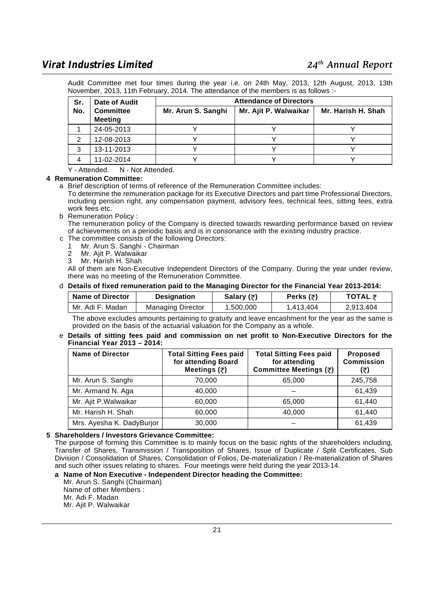## Virat Industries Limited **Annual Report** 24<sup>th</sup> Annual Report

Audit Committee met four times during the year i.e. on 24th May, 2013, 12th August, 2013, 13th November, 2013, 11th February, 2014. The attendance of the members is as follows :-

| Sr. | Date of Audit                      | <b>Attendance of Directors</b> |                       |                    |  |  |  |
|-----|------------------------------------|--------------------------------|-----------------------|--------------------|--|--|--|
| No. | <b>Committee</b><br><b>Meeting</b> | Mr. Arun S. Sanghi             | Mr. Ajit P. Walwaikar | Mr. Harish H. Shah |  |  |  |
|     | 24-05-2013                         |                                |                       |                    |  |  |  |
| 2   | 12-08-2013                         |                                |                       |                    |  |  |  |
| 3   | 13-11-2013                         |                                |                       |                    |  |  |  |
| 4   | 11-02-2014                         |                                |                       |                    |  |  |  |

Y - Attended. N - Not Attended.

#### **4 Remuneration Committee:**

a Brief description of terms of reference of the Remuneration Committee includes: To determine the remuneration package for its Executive Directors and part time Professional Directors,

including pension right, any compensation payment, advisory fees, technical fees, sitting fees, extra work fees etc.

- b Remuneration Policy : The remuneration policy of the Company is directed towards rewarding performance based on review of achievements on a periodic basis and is in consonance with the existing industry practice.
- c The committee consists of the following Directors:
	- 1 Mr. Arun S. Sanghi Chairman
	- 2 Mr. Ajit P. Walwaikar
	- 3 Mr. Harish H. Shah

All of them are Non-Executive Independent Directors of the Company. During the year under review, there was no meeting of the Remuneration Committee.

#### d **Details of fixed remuneration paid to the Managing Director for the Financial Year 2013-2014:**

| <b>Name of Director</b> | <b>Designation</b> | Salary $(\bar{z})$ | Perks (₹) | ΤΟΤΑL ₹   |
|-------------------------|--------------------|--------------------|-----------|-----------|
| Mr. Adi F. Madan        | Managing Director  | .500.000           | 1.413.404 | 2,913,404 |

The above excludes amounts pertaining to gratuity and leave encashment for the year as the same is provided on the basis of the actuarial valuation for the Company as a whole.

#### e **Details of sitting fees paid and commission on net profit to Non-Executive Directors for the Financial Year 2013 – 2014:**

| <b>Name of Director</b>   | <b>Total Sitting Fees paid</b><br>for attending Board<br>Meetings $($ 7) | <b>Total Sitting Fees paid</b><br>for attending<br>Committee Meetings (₹) | <b>Proposed</b><br><b>Commission</b><br>(₹) |
|---------------------------|--------------------------------------------------------------------------|---------------------------------------------------------------------------|---------------------------------------------|
| Mr. Arun S. Sanghi        | 70.000                                                                   | 65,000                                                                    | 245,758                                     |
| Mr. Armand N. Aga         | 40,000                                                                   |                                                                           | 61,439                                      |
| Mr. Ajit P. Walwaikar     | 60,000                                                                   | 65,000                                                                    | 61,440                                      |
| Mr. Harish H. Shah        | 60,000                                                                   | 40,000                                                                    | 61,440                                      |
| Mrs. Ayesha K. DadyBurjor | 30,000                                                                   |                                                                           | 61,439                                      |

#### **5 Shareholders / Investors Grievance Committee:**

The purpose of forming this Committee is to mainly focus on the basic rights of the shareholders including, Transfer of Shares, Transmission / Transposition of Shares, Issue of Duplicate / Split Certificates, Sub Division / Consolidation of Shares, Consolidation of Folios, De-materialization / Re-materialization of Shares and such other issues relating to shares. Four meetings were held during the year 2013-14.

**a Name of Non Executive - Independent Director heading the Committee:**

Mr. Arun S. Sanghi (Chairman) Name of other Members : Mr. Adi F. Madan Mr. Ajit P. Walwaikar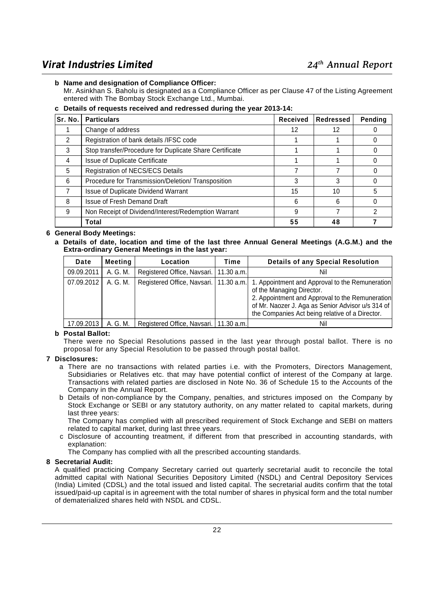## **Virat Industries Limited** 24<sup>th</sup> Annual Report

**b Name and designation of Compliance Officer:**

Mr. Asinkhan S. Baholu is designated as a Compliance Officer as per Clause 47 of the Listing Agreement entered with The Bombay Stock Exchange Ltd., Mumbai.

| Sr. No.        | <b>Particulars</b>                                      | Received | <b>Redressed</b> | Pending |
|----------------|---------------------------------------------------------|----------|------------------|---------|
|                | Change of address                                       | 12       | 12               |         |
| $\overline{2}$ | Registration of bank details /IFSC code                 |          |                  |         |
| 3              | Stop transfer/Procedure for Duplicate Share Certificate |          |                  |         |
| 4              | <b>Issue of Duplicate Certificate</b>                   |          |                  |         |
| 5              | Registration of NECS/ECS Details                        |          |                  |         |
| 6              | Procedure for Transmission/Deletion/ Transposition      |          |                  |         |
|                | <b>Issue of Duplicate Dividend Warrant</b>              | 15       | 10               | 5       |
| 8              | <b>Issue of Fresh Demand Draft</b>                      | 6        | 6                |         |
| 9              | Non Receipt of Dividend/Interest/Redemption Warrant     | 9        |                  |         |
|                | Total                                                   | 55       | 48               |         |

#### **c Details of requests received and redressed during the year 2013-14:**

#### **6 General Body Meetings:**

**a Details of date, location and time of the last three Annual General Meetings (A.G.M.) and the Extra-ordinary General Meetings in the last year:**

| Date       | Meeting  | Location                                 | Time | <b>Details of any Special Resolution</b>                                                                                                                                                                                                |
|------------|----------|------------------------------------------|------|-----------------------------------------------------------------------------------------------------------------------------------------------------------------------------------------------------------------------------------------|
| 09.09.2011 | A. G. M. | Registered Office, Navsari.   11.30 a.m. |      | Nil                                                                                                                                                                                                                                     |
| 07.09.2012 | A. G. M. | Registered Office, Navsari.   11.30 a.m. |      | 1. Appointment and Approval to the Remuneration<br>of the Managing Director.<br>2. Appointment and Approval to the Remuneration<br>of Mr. Naozer J. Aga as Senior Advisor u/s 314 of<br>the Companies Act being relative of a Director. |
| 17.09.2013 | A. G. M. | Registered Office, Navsari.   11.30 a.m. |      | Nil                                                                                                                                                                                                                                     |

#### **b Postal Ballot:**

There were no Special Resolutions passed in the last year through postal ballot. There is no proposal for any Special Resolution to be passed through postal ballot.

#### **7 Disclosures:**

- a There are no transactions with related parties i.e. with the Promoters, Directors Management, Subsidiaries or Relatives etc. that may have potential conflict of interest of the Company at large. Transactions with related parties are disclosed in Note No. 36 of Schedule 15 to the Accounts of the Company in the Annual Report.
- b Details of non-compliance by the Company, penalties, and strictures imposed on the Company by Stock Exchange or SEBI or any statutory authority, on any matter related to capital markets, during last three years:

The Company has complied with all prescribed requirement of Stock Exchange and SEBI on matters related to capital market, during last three years.

c Disclosure of accounting treatment, if different from that prescribed in accounting standards, with explanation:

The Company has complied with all the prescribed accounting standards.

#### **8 Secretarial Audit:**

A qualified practicing Company Secretary carried out quarterly secretarial audit to reconcile the total admitted capital with National Securities Depository Limited (NSDL) and Central Depository Services (India) Limited (CDSL) and the total issued and listed capital. The secretarial audits confirm that the total issued/paid-up capital is in agreement with the total number of shares in physical form and the total number of dematerialized shares held with NSDL and CDSL.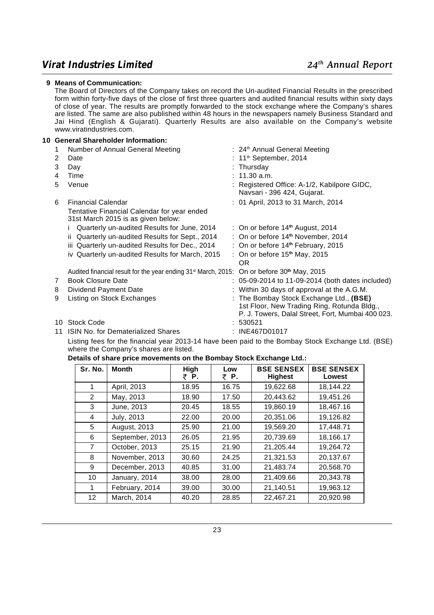## Virat Industries Limited<br>
Annual Report

#### **9 Means of Communication:**

The Board of Directors of the Company takes on record the Un-audited Financial Results in the prescribed form within forty-five days of the close of first three quarters and audited financial results within sixty days of close of year. The results are promptly forwarded to the stock exchange where the Company's shares are listed. The same are also published within 48 hours in the newspapers namely Business Standard and Jai Hind (English & Gujarati). Quarterly Results are also available on the Company's website www.viratindustries.com.

|    | 10 General Shareholder Information:                                                                                |                                                                                                                                             |
|----|--------------------------------------------------------------------------------------------------------------------|---------------------------------------------------------------------------------------------------------------------------------------------|
| 1. | Number of Annual General Meeting                                                                                   | : 24 <sup>th</sup> Annual General Meeting                                                                                                   |
| 2  | Date                                                                                                               | : $11th$ September, 2014                                                                                                                    |
| 3  | Day                                                                                                                | : Thursday                                                                                                                                  |
| 4  | Time                                                                                                               | $: 11.30$ a.m.                                                                                                                              |
| 5  | Venue                                                                                                              | : Registered Office: A-1/2, Kabilpore GIDC,<br>Navsari - 396 424, Gujarat.                                                                  |
| 6  | <b>Financial Calendar</b>                                                                                          | : 01 April, 2013 to 31 March, 2014                                                                                                          |
|    | Tentative Financial Calendar for year ended<br>31st March 2015 is as given below:                                  |                                                                                                                                             |
|    | Quarterly un-audited Results for June, 2014                                                                        | : On or before $14th$ August, 2014                                                                                                          |
|    | ii Quarterly un-audited Results for Sept., 2014                                                                    | : On or before 14 <sup>th</sup> November, 2014                                                                                              |
|    | iii Quarterly un-audited Results for Dec., 2014                                                                    | : On or before $14th$ February, 2015                                                                                                        |
|    | iv Quarterly un-audited Results for March, 2015                                                                    | : On or before $15th$ May, 2015<br>OR.                                                                                                      |
|    | Audited financial result for the year ending 31 <sup>st</sup> March, 2015: On or before 30 <sup>th</sup> May, 2015 |                                                                                                                                             |
| 7  | <b>Book Closure Date</b>                                                                                           | $: 05-09-2014$ to 11-09-2014 (both dates included)                                                                                          |
| 8  | Dividend Payment Date                                                                                              | : Within 30 days of approval at the A.G.M.                                                                                                  |
| 9  | Listing on Stock Exchanges                                                                                         | : The Bombay Stock Exchange Ltd., (BSE)<br>1st Floor, New Trading Ring, Rotunda Bldg.,<br>P. J. Towers, Dalal Street, Fort, Mumbai 400 023. |
|    | 10 Stock Code                                                                                                      | : 530521                                                                                                                                    |
| 11 | ISIN No. for Dematerialized Shares                                                                                 | : INE467D01017                                                                                                                              |
|    | Listing fees for the financial year 2013-14 have been paid to the Rombay Stock Exchange Ltd. (RSE)                 |                                                                                                                                             |

Listing fees for the financial year 2013-14 have been paid to the Bombay Stock Exchange Ltd. (BSE) where the Company's shares are listed.

#### **Details of share price movements on the Bombay Stock Exchange Ltd.:**

| Sr. No.         | <b>Month</b>    | High<br>₹ P. | Low<br>₹ P. | <b>BSE SENSEX</b><br><b>Highest</b> | <b>BSE SENSEX</b><br>Lowest |
|-----------------|-----------------|--------------|-------------|-------------------------------------|-----------------------------|
| 1               | April, 2013     | 18.95        | 16.75       | 19,622.68                           | 18,144.22                   |
| $\overline{2}$  | May, 2013       | 18.90        | 17.50       | 20,443.62                           | 19,451.26                   |
| 3               | June, 2013      | 20.45        | 18.55       | 19,860.19                           | 18,467.16                   |
| 4               | July, 2013      | 22.00        | 20.00       | 20,351.06                           | 19,126.82                   |
| 5               | August, 2013    | 25.90        | 21.00       | 19,569.20                           | 17,448.71                   |
| 6               | September, 2013 | 26.05        | 21.95       | 20,739.69                           | 18,166.17                   |
| $\overline{7}$  | October, 2013   | 25.15        | 21.90       | 21,205.44                           | 19,264.72                   |
| 8               | November, 2013  | 30.60        | 24.25       | 21,321.53                           | 20,137.67                   |
| 9               | December, 2013  | 40.85        | 31.00       | 21,483.74                           | 20,568.70                   |
| 10              | January, 2014   | 38.00        | 28.00       | 21,409.66                           | 20,343.78                   |
| 1               | February, 2014  | 39.00        | 30.00       | 21,140.51                           | 19,963.12                   |
| 12 <sup>2</sup> | March, 2014     | 40.20        | 28.85       | 22,467.21                           | 20,920.98                   |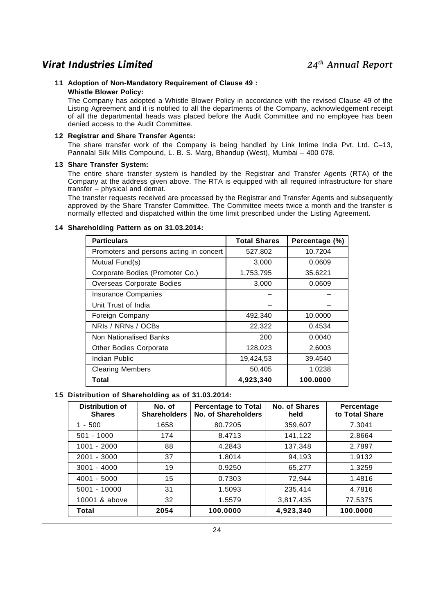## **Virat Industries Limited** 24<sup>th</sup> Annual Report

#### **11 Adoption of Non-Mandatory Requirement of Clause 49 : Whistle Blower Policy:**

The Company has adopted a Whistle Blower Policy in accordance with the revised Clause 49 of the Listing Agreement and it is notified to all the departments of the Company, acknowledgement receipt of all the departmental heads was placed before the Audit Committee and no employee has been denied access to the Audit Committee.

#### **12 Registrar and Share Transfer Agents:**

The share transfer work of the Company is being handled by Link Intime India Pvt. Ltd. C–13, Pannalal Silk Mills Compound, L. B. S. Marg, Bhandup (West), Mumbai – 400 078.

#### **13 Share Transfer System:**

The entire share transfer system is handled by the Registrar and Transfer Agents (RTA) of the Company at the address given above. The RTA is equipped with all required infrastructure for share transfer – physical and demat.

The transfer requests received are processed by the Registrar and Transfer Agents and subsequently approved by the Share Transfer Committee. The Committee meets twice a month and the transfer is normally effected and dispatched within the time limit prescribed under the Listing Agreement.

#### **14 Shareholding Pattern as on 31.03.2014:**

| <b>Particulars</b>                      | <b>Total Shares</b> | Percentage (%) |
|-----------------------------------------|---------------------|----------------|
| Promoters and persons acting in concert | 527,802             | 10.7204        |
| Mutual Fund(s)                          | 3,000               | 0.0609         |
| Corporate Bodies (Promoter Co.)         | 1,753,795           | 35.6221        |
| Overseas Corporate Bodies               | 3,000               | 0.0609         |
| Insurance Companies                     |                     |                |
| Unit Trust of India                     |                     |                |
| Foreign Company                         | 492,340             | 10.0000        |
| NRIS / NRNS / OCBS                      | 22,322              | 0.4534         |
| Non Nationalised Banks                  | 200                 | 0.0040         |
| <b>Other Bodies Corporate</b>           | 128,023             | 2.6003         |
| Indian Public                           | 19,424,53           | 39.4540        |
| <b>Clearing Members</b>                 | 50,405              | 1.0238         |
| Total                                   | 4,923,340           | 100.0000       |

#### **15 Distribution of Shareholding as of 31.03.2014:**

| <b>Distribution of</b><br><b>Shares</b> | No. of<br><b>Shareholders</b> | <b>Percentage to Total</b><br>No. of Shareholders | No. of Shares<br>held | Percentage<br>to Total Share |
|-----------------------------------------|-------------------------------|---------------------------------------------------|-----------------------|------------------------------|
| $1 - 500$                               | 1658                          | 80.7205                                           | 359,607               | 7.3041                       |
| $501 - 1000$                            | 174                           | 8.4713                                            | 141,122               | 2.8664                       |
| $1001 - 2000$                           | 88                            | 4.2843                                            | 137,348               | 2.7897                       |
| 2001 - 3000                             | 37                            | 1.8014                                            | 94,193                | 1.9132                       |
| $3001 - 4000$                           | 19                            | 0.9250                                            | 65.277                | 1.3259                       |
| $4001 - 5000$                           | 15                            | 0.7303                                            | 72,944                | 1.4816                       |
| 5001 - 10000                            | 31                            | 1.5093                                            | 235,414               | 4.7816                       |
| 10001 & above                           | 32                            | 1.5579                                            | 3,817,435             | 77.5375                      |
| Total                                   | 2054                          | 100.0000                                          | 4,923,340             | 100.0000                     |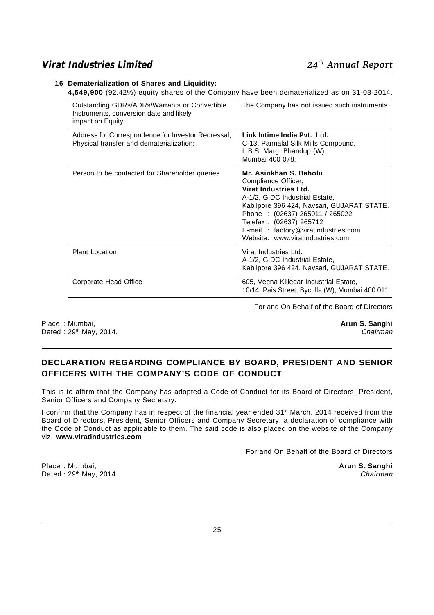## Virat Industries Limited **Annual Report** 24<sup>th</sup> Annual Report

### **16 Dematerialization of Shares and Liquidity:**

**4,549,900** (92.42%) equity shares of the Company have been dematerialized as on 31-03-2014.

| Outstanding GDRs/ADRs/Warrants or Convertible<br>Instruments, conversion date and likely<br>impact on Equity | The Company has not issued such instruments.                                                                                                                                                                                                                                                   |
|--------------------------------------------------------------------------------------------------------------|------------------------------------------------------------------------------------------------------------------------------------------------------------------------------------------------------------------------------------------------------------------------------------------------|
| Address for Correspondence for Investor Redressal,<br>Physical transfer and dematerialization:               | Link Intime India Pvt. Ltd.<br>C-13, Pannalal Silk Mills Compound,<br>L.B.S. Marg, Bhandup (W),<br>Mumbai 400 078.                                                                                                                                                                             |
| Person to be contacted for Shareholder queries                                                               | Mr. Asinkhan S. Baholu<br>Compliance Officer,<br>Virat Industries Ltd.<br>A-1/2, GIDC Industrial Estate,<br>Kabilpore 396 424, Navsari, GUJARAT STATE.<br>Phone: (02637) 265011 / 265022<br>Telefax: (02637) 265712<br>E-mail: factory@viratindustries.com<br>Website: www.viratindustries.com |
| <b>Plant Location</b>                                                                                        | Virat Industries Ltd.<br>A-1/2, GIDC Industrial Estate,<br>Kabilpore 396 424, Navsari, GUJARAT STATE.                                                                                                                                                                                          |
| Corporate Head Office                                                                                        | 605, Veena Killedar Industrial Estate,<br>10/14, Pais Street, Byculla (W), Mumbai 400 011.                                                                                                                                                                                                     |

For and On Behalf of the Board of Directors

Place : Mumbai, **Arun S. Sanghi** Dated : 29<sup>th</sup> May, 2014.

## **DECLARATION REGARDING COMPLIANCE BY BOARD, PRESIDENT AND SENIOR OFFICERS WITH THE COMPANY'S CODE OF CONDUCT**

This is to affirm that the Company has adopted a Code of Conduct for its Board of Directors, President, Senior Officers and Company Secretary.

I confirm that the Company has in respect of the financial year ended 31<sup>st</sup> March, 2014 received from the Board of Directors, President, Senior Officers and Company Secretary, a declaration of compliance with the Code of Conduct as applicable to them. The said code is also placed on the website of the Company viz. **www.viratindustries.com**

For and On Behalf of the Board of Directors

Place : Mumbai, **Arun S. Sanghi** Dated : 29**th** May, 2014. Chairman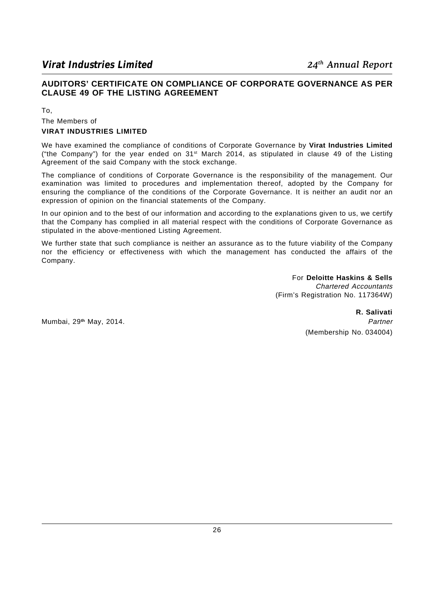### **AUDITORS' CERTIFICATE ON COMPLIANCE OF CORPORATE GOVERNANCE AS PER CLAUSE 49 OF THE LISTING AGREEMENT**

To,

The Members of **VIRAT INDUSTRIES LIMITED**

### We have examined the compliance of conditions of Corporate Governance by **Virat Industries Limited** ("the Company") for the year ended on  $31<sup>st</sup>$  March 2014, as stipulated in clause 49 of the Listing Agreement of the said Company with the stock exchange.

The compliance of conditions of Corporate Governance is the responsibility of the management. Our examination was limited to procedures and implementation thereof, adopted by the Company for ensuring the compliance of the conditions of the Corporate Governance. It is neither an audit nor an expression of opinion on the financial statements of the Company.

In our opinion and to the best of our information and according to the explanations given to us, we certify that the Company has complied in all material respect with the conditions of Corporate Governance as stipulated in the above-mentioned Listing Agreement.

We further state that such compliance is neither an assurance as to the future viability of the Company nor the efficiency or effectiveness with which the management has conducted the affairs of the Company.

> For **Deloitte Haskins & Sells** Chartered Accountants (Firm's Registration No. 117364W)

**R. Salivati** Mumbai, 29**th** May, 2014. Partner (Membership No. 034004)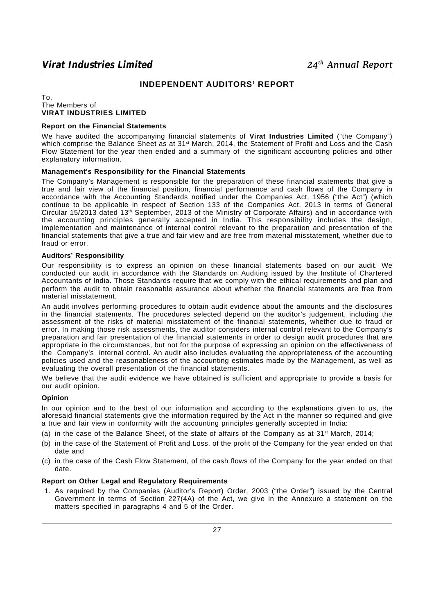## **INDEPENDENT AUDITORS' REPORT**

#### To, The Members of **VIRAT INDUSTRIES LIMITED**

#### **Report on the Financial Statements**

We have audited the accompanying financial statements of **Virat Industries Limited** ("the Company") which comprise the Balance Sheet as at 31<sup>st</sup> March, 2014, the Statement of Profit and Loss and the Cash Flow Statement for the year then ended and a summary of the significant accounting policies and other explanatory information.

#### **Management's Responsibility for the Financial Statements**

The Company's Management is responsible for the preparation of these financial statements that give a true and fair view of the financial position, financial performance and cash flows of the Company in accordance with the Accounting Standards notified under the Companies Act, 1956 ("the Act") (which continue to be applicable in respect of Section 133 of the Companies Act, 2013 in terms of General Circular 15/2013 dated 13<sup>th</sup> September, 2013 of the Ministry of Corporate Affairs) and in accordance with the accounting principles generally accepted in India. This responsibility includes the design, implementation and maintenance of internal control relevant to the preparation and presentation of the financial statements that give a true and fair view and are free from material misstatement, whether due to fraud or error.

#### **Auditors' Responsibility**

Our responsibility is to express an opinion on these financial statements based on our audit. We conducted our audit in accordance with the Standards on Auditing issued by the Institute of Chartered Accountants of India. Those Standards require that we comply with the ethical requirements and plan and perform the audit to obtain reasonable assurance about whether the financial statements are free from material misstatement.

An audit involves performing procedures to obtain audit evidence about the amounts and the disclosures in the financial statements. The procedures selected depend on the auditor's judgement, including the assessment of the risks of material misstatement of the financial statements, whether due to fraud or error. In making those risk assessments, the auditor considers internal control relevant to the Company's preparation and fair presentation of the financial statements in order to design audit procedures that are appropriate in the circumstances, but not for the purpose of expressing an opinion on the effectiveness of the Company's internal control. An audit also includes evaluating the appropriateness of the accounting policies used and the reasonableness of the accounting estimates made by the Management, as well as evaluating the overall presentation of the financial statements.

We believe that the audit evidence we have obtained is sufficient and appropriate to provide a basis for our audit opinion.

#### **Opinion**

In our opinion and to the best of our information and according to the explanations given to us, the aforesaid financial statements give the information required by the Act in the manner so required and give a true and fair view in conformity with the accounting principles generally accepted in India:

- (a) in the case of the Balance Sheet, of the state of affairs of the Company as at  $31<sup>st</sup>$  March, 2014;
- (b) in the case of the Statement of Profit and Loss, of the profit of the Company for the year ended on that date and
- (c) in the case of the Cash Flow Statement, of the cash flows of the Company for the year ended on that date.

#### **Report on Other Legal and Regulatory Requirements**

1. As required by the Companies (Auditor's Report) Order, 2003 ("the Order") issued by the Central Government in terms of Section 227(4A) of the Act, we give in the Annexure a statement on the matters specified in paragraphs 4 and 5 of the Order.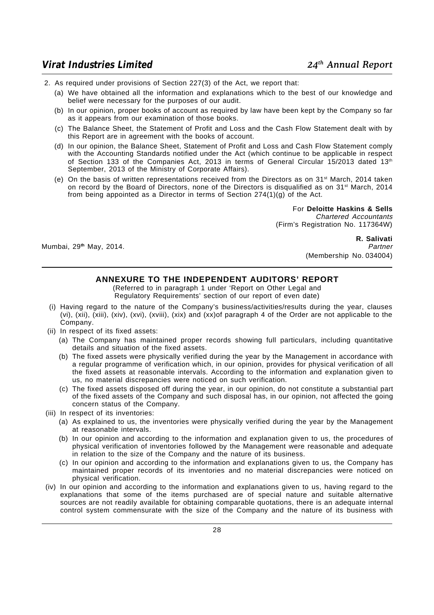2. As required under provisions of Section 227(3) of the Act, we report that:

- (a) We have obtained all the information and explanations which to the best of our knowledge and belief were necessary for the purposes of our audit.
- (b) In our opinion, proper books of account as required by law have been kept by the Company so far as it appears from our examination of those books.
- (c) The Balance Sheet, the Statement of Profit and Loss and the Cash Flow Statement dealt with by this Report are in agreement with the books of account.
- (d) In our opinion, the Balance Sheet, Statement of Profit and Loss and Cash Flow Statement comply with the Accounting Standards notified under the Act (which continue to be applicable in respect of Section 133 of the Companies Act, 2013 in terms of General Circular 15/2013 dated 13<sup>th</sup> September, 2013 of the Ministry of Corporate Affairs).
- (e) On the basis of written representations received from the Directors as on 31<sup>st</sup> March, 2014 taken on record by the Board of Directors, none of the Directors is disqualified as on 31<sup>st</sup> March, 2014 from being appointed as a Director in terms of Section  $274(1)(g)$  of the Act.

For **Deloitte Haskins & Sells** Chartered Accountants (Firm's Registration No. 117364W)

**R. Salivati** Mumbai, 29**th** May, 2014. Partner (Membership No. 034004)

### **ANNEXURE TO THE INDEPENDENT AUDITORS' REPORT**

(Referred to in paragraph 1 under 'Report on Other Legal and Regulatory Requirements' section of our report of even date)

- (i) Having regard to the nature of the Company's business/activities/results during the year, clauses (vi), (xii), (xiii), (xiv), (xvi), (xviii), (xix) and (xx)of paragraph 4 of the Order are not applicable to the Company.
- (ii) In respect of its fixed assets:
	- (a) The Company has maintained proper records showing full particulars, including quantitative details and situation of the fixed assets.
	- (b) The fixed assets were physically verified during the year by the Management in accordance with a regular programme of verification which, in our opinion, provides for physical verification of all the fixed assets at reasonable intervals. According to the information and explanation given to us, no material discrepancies were noticed on such verification.
	- (c) The fixed assets disposed off during the year, in our opinion, do not constitute a substantial part of the fixed assets of the Company and such disposal has, in our opinion, not affected the going concern status of the Company.
- (iii) In respect of its inventories:
	- (a) As explained to us, the inventories were physically verified during the year by the Management at reasonable intervals.
	- (b) In our opinion and according to the information and explanation given to us, the procedures of physical verification of inventories followed by the Management were reasonable and adequate in relation to the size of the Company and the nature of its business.
	- (c) In our opinion and according to the information and explanations given to us, the Company has maintained proper records of its inventories and no material discrepancies were noticed on physical verification.
- (iv) In our opinion and according to the information and explanations given to us, having regard to the explanations that some of the items purchased are of special nature and suitable alternative sources are not readily available for obtaining comparable quotations, there is an adequate internal control system commensurate with the size of the Company and the nature of its business with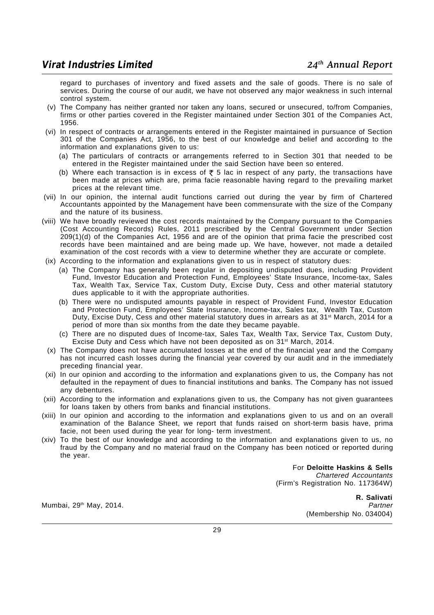regard to purchases of inventory and fixed assets and the sale of goods. There is no sale of services. During the course of our audit, we have not observed any major weakness in such internal control system.

- (v) The Company has neither granted nor taken any loans, secured or unsecured, to/from Companies, firms or other parties covered in the Register maintained under Section 301 of the Companies Act, 1956.
- (vi) In respect of contracts or arrangements entered in the Register maintained in pursuance of Section 301 of the Companies Act, 1956, to the best of our knowledge and belief and according to the information and explanations given to us:
	- (a) The particulars of contracts or arrangements referred to in Section 301 that needed to be entered in the Register maintained under the said Section have been so entered.
	- (b) Where each transaction is in excess of  $\bar{\tau}$  5 lac in respect of any party, the transactions have been made at prices which are, prima facie reasonable having regard to the prevailing market prices at the relevant time.
- (vii) In our opinion, the internal audit functions carried out during the year by firm of Chartered Accountants appointed by the Management have been commensurate with the size of the Company and the nature of its business.
- (viii) We have broadly reviewed the cost records maintained by the Company pursuant to the Companies (Cost Accounting Records) Rules, 2011 prescribed by the Central Government under Section 209(1)(d) of the Companies Act, 1956 and are of the opinion that prima facie the prescribed cost records have been maintained and are being made up. We have, however, not made a detailed examination of the cost records with a view to determine whether they are accurate or complete.
- (ix) According to the information and explanations given to us in respect of statutory dues:
	- (a) The Company has generally been regular in depositing undisputed dues, including Provident Fund, Investor Education and Protection Fund, Employees' State Insurance, Income-tax, Sales Tax, Wealth Tax, Service Tax, Custom Duty, Excise Duty, Cess and other material statutory dues applicable to it with the appropriate authorities.
	- (b) There were no undisputed amounts payable in respect of Provident Fund, Investor Education and Protection Fund, Employees' State Insurance, Income-tax, Sales tax, Wealth Tax, Custom Duty, Excise Duty, Cess and other material statutory dues in arrears as at 31<sup>st</sup> March, 2014 for a period of more than six months from the date they became payable.
	- (c) There are no disputed dues of Income-tax, Sales Tax, Wealth Tax, Service Tax, Custom Duty, Excise Duty and Cess which have not been deposited as on 31st March, 2014.
- (x) The Company does not have accumulated losses at the end of the financial year and the Company has not incurred cash losses during the financial year covered by our audit and in the immediately preceding financial year.
- (xi) In our opinion and according to the information and explanations given to us, the Company has not defaulted in the repayment of dues to financial institutions and banks. The Company has not issued any debentures.
- (xii) According to the information and explanations given to us, the Company has not given guarantees for loans taken by others from banks and financial institutions.
- (xiii) In our opinion and according to the information and explanations given to us and on an overall examination of the Balance Sheet, we report that funds raised on short-term basis have, prima facie, not been used during the year for long- term investment.
- (xiv) To the best of our knowledge and according to the information and explanations given to us, no fraud by the Company and no material fraud on the Company has been noticed or reported during the year.

For **Deloitte Haskins & Sells** Chartered Accountants (Firm's Registration No. 117364W)

**R. Salivati** Mumbai, 29<sup>th</sup> May, 2014. **Partner** Mumbai, 29<sup>th</sup> May, 2014. (Membership No. 034004)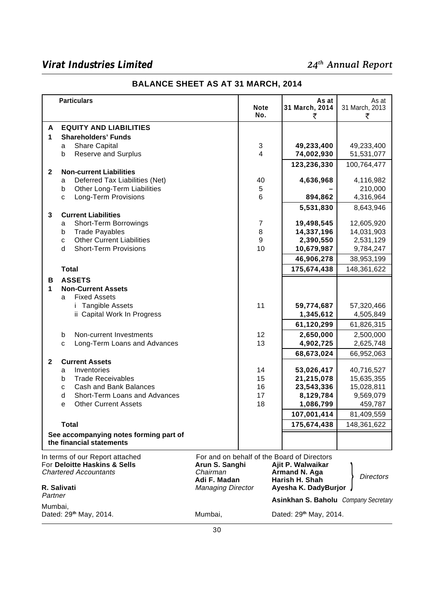# **Virat Industries Limited** 24<sup>th</sup> Annual Report

|              | <b>Particulars</b>                                                 |                          |                         | As at                                       | As at                |
|--------------|--------------------------------------------------------------------|--------------------------|-------------------------|---------------------------------------------|----------------------|
|              |                                                                    |                          | <b>Note</b><br>No.      | 31 March, 2014<br>₹                         | 31 March, 2013<br>₹  |
| A            | <b>EQUITY AND LIABILITIES</b>                                      |                          |                         |                                             |                      |
| 1            | <b>Shareholders' Funds</b>                                         |                          |                         |                                             |                      |
|              | <b>Share Capital</b><br>a                                          |                          | $\sqrt{3}$              | 49,233,400                                  | 49,233,400           |
|              | Reserve and Surplus<br>b                                           |                          | $\overline{\mathbf{4}}$ | 74,002,930                                  | 51,531,077           |
|              |                                                                    |                          |                         | 123,236,330                                 | 100,764,477          |
| $\mathbf{2}$ | <b>Non-current Liabilities</b>                                     |                          |                         |                                             |                      |
|              | Deferred Tax Liabilities (Net)<br>a                                |                          | 40                      | 4,636,968                                   | 4,116,982<br>210,000 |
|              | Other Long-Term Liabilities<br>b<br>Long-Term Provisions<br>C      |                          | 5<br>6                  | 894,862                                     | 4,316,964            |
|              |                                                                    |                          |                         |                                             |                      |
| 3            | <b>Current Liabilities</b>                                         |                          |                         | 5,531,830                                   | 8,643,946            |
|              | Short-Term Borrowings<br>a                                         |                          | $\overline{7}$          | 19,498,545                                  | 12,605,920           |
|              | <b>Trade Payables</b><br>b                                         |                          | 8                       | 14,337,196                                  | 14,031,903           |
|              | <b>Other Current Liabilities</b><br>C                              |                          | 9                       | 2,390,550                                   | 2,531,129            |
|              | d<br><b>Short-Term Provisions</b>                                  |                          | 10                      | 10,679,987                                  | 9,784,247            |
|              |                                                                    |                          |                         | 46,906,278                                  | 38,953,199           |
|              | <b>Total</b>                                                       |                          |                         | 175,674,438                                 | 148,361,622          |
| В            | <b>ASSETS</b>                                                      |                          |                         |                                             |                      |
| 1            | <b>Non-Current Assets</b>                                          |                          |                         |                                             |                      |
|              | <b>Fixed Assets</b><br>a                                           |                          |                         |                                             |                      |
|              | <b>Tangible Assets</b><br>Ĺ                                        |                          | 11                      | 59,774,687                                  | 57,320,466           |
|              | ii Capital Work In Progress                                        |                          |                         | 1,345,612                                   | 4,505,849            |
|              |                                                                    |                          |                         | 61,120,299                                  | 61,826,315           |
|              | Non-current Investments<br>b                                       |                          | 12                      | 2,650,000                                   | 2,500,000            |
|              | $\mathbf{C}$<br>Long-Term Loans and Advances                       |                          | 13                      | 4,902,725                                   | 2,625,748            |
|              |                                                                    |                          |                         | 68,673,024                                  | 66,952,063           |
| $\mathbf{2}$ | <b>Current Assets</b>                                              |                          |                         |                                             |                      |
|              | Inventories<br>a                                                   |                          | 14                      | 53,026,417                                  | 40,716,527           |
|              | <b>Trade Receivables</b><br>b                                      |                          | 15                      | 21,215,078                                  | 15,635,355           |
|              | Cash and Bank Balances<br>$\mathbf c$                              |                          | 16                      | 23,543,336                                  | 15,028,811           |
|              | d<br>Short-Term Loans and Advances                                 |                          | 17                      | 8,129,784                                   | 9,569,079            |
|              | <b>Other Current Assets</b><br>e                                   |                          | 18                      | 1,086,799                                   | 459,787              |
|              |                                                                    |                          |                         | 107,001,414                                 | 81,409,559           |
|              | <b>Total</b>                                                       |                          |                         | 175,674,438                                 | 148,361,622          |
|              | See accompanying notes forming part of<br>the financial statements |                          |                         |                                             |                      |
|              | In terms of our Report attached                                    |                          |                         | For and on behalf of the Board of Directors |                      |
|              | For Deloitte Haskins & Sells                                       | Arun S. Sanghi           |                         | Ajit P. Walwaikar                           |                      |
|              | <b>Chartered Accountants</b>                                       | Chairman                 |                         | Armand N. Aga                               | <b>Directors</b>     |
|              |                                                                    | Adi F. Madan             |                         | Harish H. Shah                              |                      |
| Partner      | R. Salivati                                                        | <b>Managing Director</b> |                         | Ayesha K. DadyBurjor                        |                      |
| Mumbai,      |                                                                    |                          |                         | Asinkhan S. Baholu Company Secretary        |                      |
|              | Dated: 29 <sup>th</sup> May, 2014.                                 | Mumbai,                  | Dated: 29th May, 2014.  |                                             |                      |
|              |                                                                    |                          |                         |                                             |                      |

## **BALANCE SHEET AS AT 31 MARCH, 2014**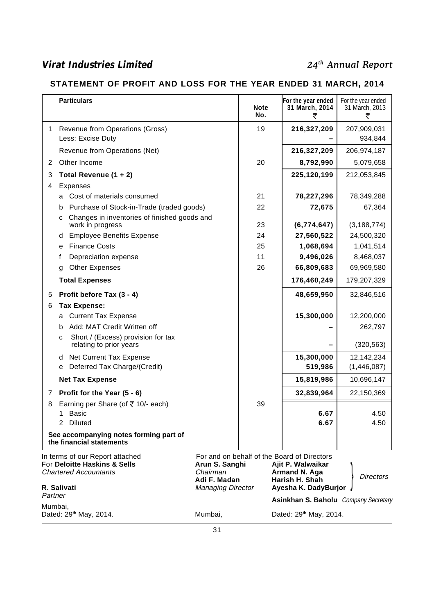# **Virat Industries Limited** Annual Report **Virat Industries Limited** Annual Report

## **STATEMENT OF PROFIT AND LOSS FOR THE YEAR ENDED 31 MARCH, 2014**

|                                                                                                                           |    | <b>Particulars</b>                                                     |         | <b>Note</b><br>No.                                                                                                          | For the year ended<br>31 March, 2014<br>₹   | For the year ended<br>31 March, 2013<br>₹ |
|---------------------------------------------------------------------------------------------------------------------------|----|------------------------------------------------------------------------|---------|-----------------------------------------------------------------------------------------------------------------------------|---------------------------------------------|-------------------------------------------|
| 1                                                                                                                         |    | Revenue from Operations (Gross)<br>Less: Excise Duty                   |         | 19                                                                                                                          | 216,327,209                                 | 207,909,031<br>934,844                    |
|                                                                                                                           |    | Revenue from Operations (Net)                                          |         |                                                                                                                             | 216,327,209                                 | 206,974,187                               |
| 2                                                                                                                         |    | Other Income                                                           |         | 20                                                                                                                          | 8,792,990                                   | 5,079,658                                 |
| 3                                                                                                                         |    | Total Revenue (1 + 2)                                                  |         |                                                                                                                             | 225,120,199                                 | 212,053,845                               |
| 4                                                                                                                         |    | Expenses                                                               |         |                                                                                                                             |                                             |                                           |
|                                                                                                                           |    | a Cost of materials consumed                                           |         | 21                                                                                                                          | 78,227,296                                  | 78,349,288                                |
|                                                                                                                           | b  | Purchase of Stock-in-Trade (traded goods)                              |         | 22                                                                                                                          | 72,675                                      | 67,364                                    |
|                                                                                                                           | C  | Changes in inventories of finished goods and<br>work in progress       |         | 23                                                                                                                          | (6,774,647)                                 | (3, 188, 774)                             |
|                                                                                                                           | d  | <b>Employee Benefits Expense</b>                                       |         | 24                                                                                                                          | 27,560,522                                  | 24,500,320                                |
|                                                                                                                           | е  | <b>Finance Costs</b>                                                   |         | 25                                                                                                                          | 1,068,694                                   | 1,041,514                                 |
|                                                                                                                           | f  | Depreciation expense                                                   |         | 11                                                                                                                          | 9,496,026                                   | 8,468,037                                 |
|                                                                                                                           | g  | <b>Other Expenses</b>                                                  |         | 26                                                                                                                          | 66,809,683                                  | 69,969,580                                |
|                                                                                                                           |    | <b>Total Expenses</b>                                                  |         |                                                                                                                             | 176,460,249                                 | 179,207,329                               |
| 5                                                                                                                         |    | Profit before Tax (3 - 4)                                              |         |                                                                                                                             | 48,659,950                                  | 32,846,516                                |
| 6                                                                                                                         |    | <b>Tax Expense:</b>                                                    |         |                                                                                                                             |                                             |                                           |
|                                                                                                                           | a  | <b>Current Tax Expense</b>                                             |         |                                                                                                                             | 15,300,000                                  | 12,200,000                                |
|                                                                                                                           | b. | Add: MAT Credit Written off                                            |         |                                                                                                                             |                                             | 262,797                                   |
|                                                                                                                           | с  | Short / (Excess) provision for tax<br>relating to prior years          |         |                                                                                                                             |                                             | (320, 563)                                |
|                                                                                                                           | d  | Net Current Tax Expense                                                |         |                                                                                                                             | 15,300,000                                  | 12,142,234                                |
|                                                                                                                           | е  | Deferred Tax Charge/(Credit)                                           |         |                                                                                                                             | 519,986                                     | (1,446,087)                               |
|                                                                                                                           |    | <b>Net Tax Expense</b>                                                 |         |                                                                                                                             | 15,819,986                                  | 10,696,147                                |
| 7                                                                                                                         |    | Profit for the Year (5 - 6)                                            |         |                                                                                                                             | 32,839,964                                  | 22,150,369                                |
| 8                                                                                                                         |    | Earning per Share (of ₹ 10/- each)                                     |         | 39                                                                                                                          |                                             |                                           |
|                                                                                                                           |    | 1 Basic                                                                |         |                                                                                                                             | 6.67                                        | 4.50                                      |
|                                                                                                                           |    | 2 Diluted                                                              |         |                                                                                                                             | 6.67                                        | 4.50                                      |
|                                                                                                                           |    | See accompanying notes forming part of<br>the financial statements     |         |                                                                                                                             |                                             |                                           |
| In terms of our Report attached<br>For Deloitte Haskins & Sells<br><b>Chartered Accountants</b><br>R. Salivati<br>Partner |    | Arun S. Sanghi<br>Chairman<br>Adi F. Madan<br><b>Managing Director</b> |         | For and on behalf of the Board of Directors<br>Ajit P. Walwaikar<br>Armand N. Aga<br>Harish H. Shah<br>Ayesha K. DadyBurjor | <b>Directors</b>                            |                                           |
| Mumbai,                                                                                                                   |    |                                                                        |         |                                                                                                                             | <b>Asinkhan S. Baholu</b> Company Secretary |                                           |
|                                                                                                                           |    | Dated: 29 <sup>th</sup> May, 2014.                                     | Mumbai, |                                                                                                                             | Dated: 29 <sup>th</sup> May, 2014.          |                                           |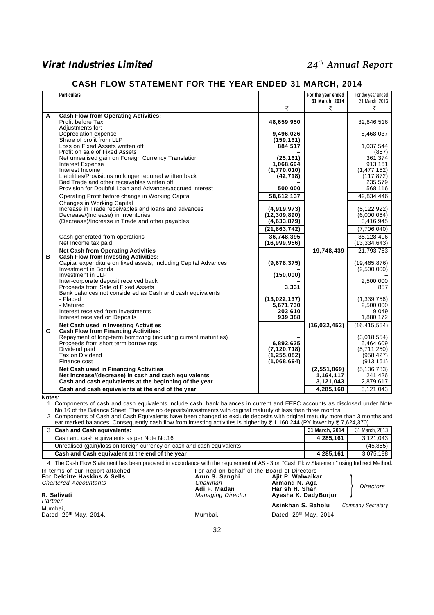# **Virat Industries Limited** 24<sup>th</sup> Annual Report

|   | <b>Particulars</b>                                                                                             |                               | For the year ended     | For the year ended           |
|---|----------------------------------------------------------------------------------------------------------------|-------------------------------|------------------------|------------------------------|
|   |                                                                                                                |                               | 31 March, 2014         | 31 March, 2013               |
|   |                                                                                                                | ₹                             | ₹                      | ₹                            |
| A | <b>Cash Flow from Operating Activities:</b>                                                                    |                               |                        |                              |
|   | Profit before Tax                                                                                              | 48,659,950                    |                        | 32,846,516                   |
|   | Adjustments for:<br>Depreciation expense                                                                       | 9,496,026                     |                        |                              |
|   | Share of profit from LLP                                                                                       | (159, 161)                    |                        | 8,468,037                    |
|   | Loss on Fixed Assets written off                                                                               | 884,517                       |                        | 1,037,544                    |
|   | Profit on sale of Fixed Assets                                                                                 |                               |                        | (857)                        |
|   | Net unrealised gain on Foreign Currency Translation                                                            | (25, 161)                     |                        | 361,374                      |
|   | <b>Interest Expense</b><br>Interest Income                                                                     | 1,068,694<br>(1,770,010)      |                        | 913,161<br>(1, 477, 152)     |
|   | Liabilities/Provisions no longer required written back                                                         | (42, 718)                     |                        | (117, 872)                   |
|   | Bad Trade and other receivables written off                                                                    |                               |                        | 235,579                      |
|   | Provision for Doubful Loan and Advances/accrued interest                                                       | 500,000                       |                        | 568,116                      |
|   | Operating Profit before change in Working Capital                                                              | 58,612,137                    |                        | 42.834.446                   |
|   | <b>Changes in Working Capital</b>                                                                              |                               |                        |                              |
|   | Increase in Trade receivables and loans and advances<br>Decrease/(Increase) in Inventories                     | (4,919,973)<br>(12, 309, 890) |                        | (5, 122, 922)<br>(6,000,064) |
|   | (Decrease)/Increase in Trade and other payables                                                                | (4,633,879)                   |                        | 3,416,945                    |
|   |                                                                                                                | (21, 863, 742)                |                        | (7,706,040)                  |
|   | Cash generated from operations                                                                                 | 36,748,395                    |                        | 35,128,406                   |
|   | Net Income tax paid                                                                                            | (16,999,956)                  |                        | (13, 334, 643)               |
|   | <b>Net Cash from Operating Activities</b>                                                                      |                               | 19,748,439             | 21,793,763                   |
| в | <b>Cash Flow from Investing Activities:</b>                                                                    |                               |                        |                              |
|   | Capital expenditure on fixed assets, including Capital Advances<br>Investment in Bonds                         | (9,678,375)                   |                        | (19, 465, 876)               |
|   | Investment in LLP                                                                                              | (150,000)                     |                        | (2,500,000)                  |
|   | Inter-corporate deposit received back                                                                          |                               |                        | 2,500,000                    |
|   | Proceeds from Sale of Fixed Assets                                                                             | 3,331                         |                        | 857                          |
|   | Bank balances not considered as Cash and cash equivalents<br>- Placed                                          |                               |                        |                              |
|   | - Matured                                                                                                      | (13,022,137)<br>5,671,730     |                        | (1,339,756)<br>2,500,000     |
|   | Interest received from Investments                                                                             | 203,610                       |                        | 9,049                        |
|   | Interest received on Deposits                                                                                  | 939,388                       |                        | 1,880,172                    |
|   | Net Cash used in Investing Activities                                                                          |                               | (16,032,453)           | (16, 415, 554)               |
| C | <b>Cash Flow from Financing Activities:</b>                                                                    |                               |                        |                              |
|   | Repayment of long-term borrowing (including current maturities)<br>Proceeds from short term borrowings         | 6,892,625                     |                        | (3,018,554)<br>5,464,609     |
|   | Dividend paid                                                                                                  | (7, 120, 718)                 |                        | (5,711,250)                  |
|   | Tax on Dividend                                                                                                | (1, 255, 082)                 |                        | (958, 427)                   |
|   | Finance cost                                                                                                   | (1,068,694)                   |                        | (913, 161)                   |
|   | Net Cash used in Financing Activities                                                                          |                               | (2,551,869)            | (5, 136, 783)                |
|   | Net increase/(decrease) in cash and cash equivalents<br>Cash and cash equivalents at the beginning of the year |                               | 1,164,117<br>3,121,043 | 241,426<br>2,879,617         |
|   |                                                                                                                |                               |                        |                              |
|   | Cash and cash equivalents at the end of the year                                                               |                               | 4,285,160              | 3,121,043                    |

#### **CASH FLOW STATEMENT FOR THE YEAR ENDED 31 MARCH, 2014**

**Notes:**

1 Components of cash and cash equivalents include cash, bank balances in current and EEFC accounts as disclosed under Note No.16 of the Balance Sheet. There are no deposits/investments with original maturity of less than three months.

2 Components of Cash and Cash Equivalents have been changed to exclude deposits with original maturity more than 3 months and ear marked balances. Consequently cash flow from investing activities is higher by ₹1,160,244 (PY lower by ₹7,624,370).

| 3 Cash and Cash equivalents:                                            | 31 March, 2014           | 31 March, 2013 |
|-------------------------------------------------------------------------|--------------------------|----------------|
| Cash and cash equivalents as per Note No.16                             | 4.285.161                | 3.121.043      |
| Unrealised (gain)/loss on foreign currency on cash and cash equivalents | $\overline{\phantom{0}}$ | (45, 855)      |
| Cash and Cash equivalent at the end of the year                         | 4.285.161                | 3.075.188      |

4 The Cash Flow Statement has been prepared in accordance with the requirement of AS - 3 on "Cash Flow Statement" using Indirect Method.<br>
For and an babalf of the Beard of Directors In terms of the Board of Directors Contact For and on behalf of the Board of Directors

| in terms of our Report attached                              | For and on behalf of the Board of Directors |                                                      |                   |
|--------------------------------------------------------------|---------------------------------------------|------------------------------------------------------|-------------------|
| For Deloitte Haskins & Sells<br><b>Chartered Accountants</b> | Arun S. Sanghi<br>Chairman<br>Adi F. Madan  | Ajit P. Walwaikar<br>Armand N. Aga<br>Harish H. Shah | <b>Directors</b>  |
| R. Salivati<br>Partner                                       | <b>Managing Director</b>                    | Ayesha K. DadyBurjor                                 |                   |
| Mumbai.                                                      |                                             | Asinkhan S. Baholu                                   | Company Secretary |
| Dated: 29 <sup>th</sup> May, 2014.                           | Mumbai,                                     | Dated: 29 <sup>th</sup> May, 2014.                   |                   |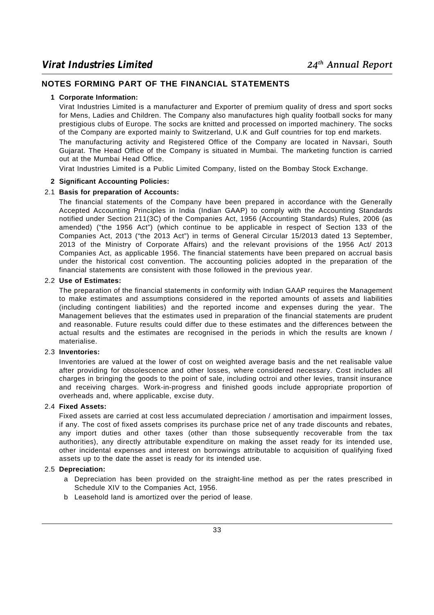#### **1 Corporate Information:**

Virat Industries Limited is a manufacturer and Exporter of premium quality of dress and sport socks for Mens, Ladies and Children. The Company also manufactures high quality football socks for many prestigious clubs of Europe. The socks are knitted and processed on imported machinery. The socks of the Company are exported mainly to Switzerland, U.K and Gulf countries for top end markets. The manufacturing activity and Registered Office of the Company are located in Navsari, South

Gujarat. The Head Office of the Company is situated in Mumbai. The marketing function is carried out at the Mumbai Head Office.

Virat Industries Limited is a Public Limited Company, listed on the Bombay Stock Exchange.

#### **2 Significant Accounting Policies:**

#### 2.1 **Basis for preparation of Accounts:**

The financial statements of the Company have been prepared in accordance with the Generally Accepted Accounting Principles in India (Indian GAAP) to comply with the Accounting Standards notified under Section 211(3C) of the Companies Act, 1956 (Accounting Standards) Rules, 2006 (as amended) ("the 1956 Act") (which continue to be applicable in respect of Section 133 of the Companies Act, 2013 ("the 2013 Act") in terms of General Circular 15/2013 dated 13 September, 2013 of the Ministry of Corporate Affairs) and the relevant provisions of the 1956 Act/ 2013 Companies Act, as applicable 1956. The financial statements have been prepared on accrual basis under the historical cost convention. The accounting policies adopted in the preparation of the financial statements are consistent with those followed in the previous year.

#### 2.2 **Use of Estimates:**

The preparation of the financial statements in conformity with Indian GAAP requires the Management to make estimates and assumptions considered in the reported amounts of assets and liabilities (including contingent liabilities) and the reported income and expenses during the year. The Management believes that the estimates used in preparation of the financial statements are prudent and reasonable. Future results could differ due to these estimates and the differences between the actual results and the estimates are recognised in the periods in which the results are known / materialise.

### 2.3 **Inventories:**

Inventories are valued at the lower of cost on weighted average basis and the net realisable value after providing for obsolescence and other losses, where considered necessary. Cost includes all charges in bringing the goods to the point of sale, including octroi and other levies, transit insurance and receiving charges. Work-in-progress and finished goods include appropriate proportion of overheads and, where applicable, excise duty.

#### 2.4 **Fixed Assets:**

Fixed assets are carried at cost less accumulated depreciation / amortisation and impairment losses, if any. The cost of fixed assets comprises its purchase price net of any trade discounts and rebates, any import duties and other taxes (other than those subsequently recoverable from the tax authorities), any directly attributable expenditure on making the asset ready for its intended use, other incidental expenses and interest on borrowings attributable to acquisition of qualifying fixed assets up to the date the asset is ready for its intended use.

#### 2.5 **Depreciation:**

- a Depreciation has been provided on the straight-line method as per the rates prescribed in Schedule XIV to the Companies Act, 1956.
- b Leasehold land is amortized over the period of lease.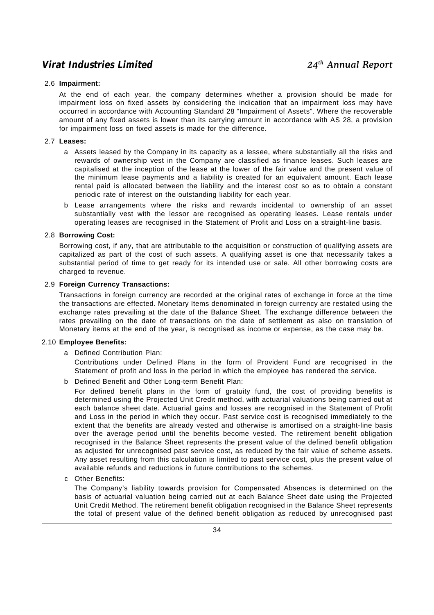#### 2.6 **Impairment:**

At the end of each year, the company determines whether a provision should be made for impairment loss on fixed assets by considering the indication that an impairment loss may have occurred in accordance with Accounting Standard 28 "Impairment of Assets". Where the recoverable amount of any fixed assets is lower than its carrying amount in accordance with AS 28, a provision for impairment loss on fixed assets is made for the difference.

#### 2.7 **Leases:**

- a Assets leased by the Company in its capacity as a lessee, where substantially all the risks and rewards of ownership vest in the Company are classified as finance leases. Such leases are capitalised at the inception of the lease at the lower of the fair value and the present value of the minimum lease payments and a liability is created for an equivalent amount. Each lease rental paid is allocated between the liability and the interest cost so as to obtain a constant periodic rate of interest on the outstanding liability for each year.
- b Lease arrangements where the risks and rewards incidental to ownership of an asset substantially vest with the lessor are recognised as operating leases. Lease rentals under operating leases are recognised in the Statement of Profit and Loss on a straight-line basis.

#### 2.8 **Borrowing Cost:**

Borrowing cost, if any, that are attributable to the acquisition or construction of qualifying assets are capitalized as part of the cost of such assets. A qualifying asset is one that necessarily takes a substantial period of time to get ready for its intended use or sale. All other borrowing costs are charged to revenue.

#### 2.9 **Foreign Currency Transactions:**

Transactions in foreign currency are recorded at the original rates of exchange in force at the time the transactions are effected. Monetary Items denominated in foreign currency are restated using the exchange rates prevailing at the date of the Balance Sheet. The exchange difference between the rates prevailing on the date of transactions on the date of settlement as also on translation of Monetary items at the end of the year, is recognised as income or expense, as the case may be.

#### 2.10 **Employee Benefits:**

a Defined Contribution Plan:

Contributions under Defined Plans in the form of Provident Fund are recognised in the Statement of profit and loss in the period in which the employee has rendered the service.

b Defined Benefit and Other Long-term Benefit Plan:

For defined benefit plans in the form of gratuity fund, the cost of providing benefits is determined using the Projected Unit Credit method, with actuarial valuations being carried out at each balance sheet date. Actuarial gains and losses are recognised in the Statement of Profit and Loss in the period in which they occur. Past service cost is recognised immediately to the extent that the benefits are already vested and otherwise is amortised on a straight-line basis over the average period until the benefits become vested. The retirement benefit obligation recognised in the Balance Sheet represents the present value of the defined benefit obligation as adjusted for unrecognised past service cost, as reduced by the fair value of scheme assets. Any asset resulting from this calculation is limited to past service cost, plus the present value of available refunds and reductions in future contributions to the schemes.

#### c Other Benefits:

The Company's liability towards provision for Compensated Absences is determined on the basis of actuarial valuation being carried out at each Balance Sheet date using the Projected Unit Credit Method. The retirement benefit obligation recognised in the Balance Sheet represents the total of present value of the defined benefit obligation as reduced by unrecognised past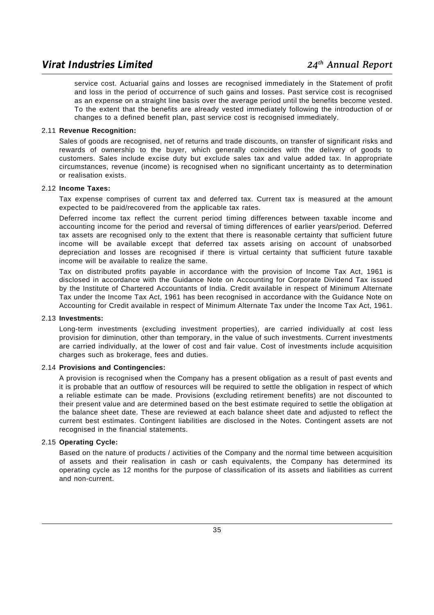## Virat Industries Limited **Annual Report** 24<sup>th</sup> Annual Report

service cost. Actuarial gains and losses are recognised immediately in the Statement of profit and loss in the period of occurrence of such gains and losses. Past service cost is recognised as an expense on a straight line basis over the average period until the benefits become vested. To the extent that the benefits are already vested immediately following the introduction of or changes to a defined benefit plan, past service cost is recognised immediately.

#### 2.11 **Revenue Recognition:**

Sales of goods are recognised, net of returns and trade discounts, on transfer of significant risks and rewards of ownership to the buyer, which generally coincides with the delivery of goods to customers. Sales include excise duty but exclude sales tax and value added tax. In appropriate circumstances, revenue (income) is recognised when no significant uncertainty as to determination or realisation exists.

#### 2.12 **Income Taxes:**

Tax expense comprises of current tax and deferred tax. Current tax is measured at the amount expected to be paid/recovered from the applicable tax rates.

Deferred income tax reflect the current period timing differences between taxable income and accounting income for the period and reversal of timing differences of earlier years/period. Deferred tax assets are recognised only to the extent that there is reasonable certainty that sufficient future income will be available except that deferred tax assets arising on account of unabsorbed depreciation and losses are recognised if there is virtual certainty that sufficient future taxable income will be available to realize the same.

Tax on distributed profits payable in accordance with the provision of Income Tax Act, 1961 is disclosed in accordance with the Guidance Note on Accounting for Corporate Dividend Tax issued by the Institute of Chartered Accountants of India. Credit available in respect of Minimum Alternate Tax under the Income Tax Act, 1961 has been recognised in accordance with the Guidance Note on Accounting for Credit available in respect of Minimum Alternate Tax under the Income Tax Act, 1961.

#### 2.13 **Investments:**

Long-term investments (excluding investment properties), are carried individually at cost less provision for diminution, other than temporary, in the value of such investments. Current investments are carried individually, at the lower of cost and fair value. Cost of investments include acquisition charges such as brokerage, fees and duties.

#### 2.14 **Provisions and Contingencies:**

A provision is recognised when the Company has a present obligation as a result of past events and it is probable that an outflow of resources will be required to settle the obligation in respect of which a reliable estimate can be made. Provisions (excluding retirement benefits) are not discounted to their present value and are determined based on the best estimate required to settle the obligation at the balance sheet date. These are reviewed at each balance sheet date and adjusted to reflect the current best estimates. Contingent liabilities are disclosed in the Notes. Contingent assets are not recognised in the financial statements.

#### 2.15 **Operating Cycle:**

Based on the nature of products / activities of the Company and the normal time between acquisition of assets and their realisation in cash or cash equivalents, the Company has determined its operating cycle as 12 months for the purpose of classification of its assets and liabilities as current and non-current.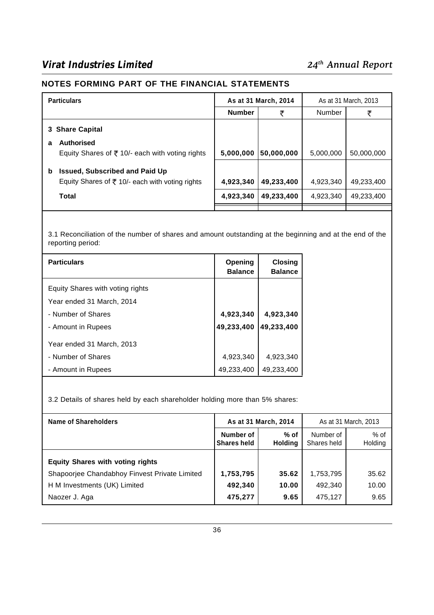|   | <b>Particulars</b>                                                                                  | As at 31 March, 2014 |            | As at 31 March, 2013 |            |
|---|-----------------------------------------------------------------------------------------------------|----------------------|------------|----------------------|------------|
|   |                                                                                                     | <b>Number</b>        | ₹          | Number               | ₹          |
| a | 3 Share Capital<br>Authorised                                                                       |                      |            |                      |            |
|   | Equity Shares of $\overline{\zeta}$ 10/- each with voting rights                                    | 5,000,000            | 50,000,000 | 5,000,000            | 50,000,000 |
| b | <b>Issued, Subscribed and Paid Up</b><br>Equity Shares of $\bar{\tau}$ 10/- each with voting rights | 4,923,340            | 49,233,400 | 4,923,340            | 49.233.400 |
|   | <b>Total</b>                                                                                        | 4,923,340            | 49,233,400 | 4,923,340            | 49.233.400 |
|   |                                                                                                     |                      |            |                      |            |

3.1 Reconciliation of the number of shares and amount outstanding at the beginning and at the end of the reporting period:

| <b>Particulars</b>               | <b>Opening</b><br><b>Balance</b> | <b>Closing</b><br><b>Balance</b> |
|----------------------------------|----------------------------------|----------------------------------|
| Equity Shares with voting rights |                                  |                                  |
| Year ended 31 March, 2014        |                                  |                                  |
| - Number of Shares               | 4,923,340                        | 4,923,340                        |
| - Amount in Rupees               | 49,233,400                       | 49,233,400                       |
| Year ended 31 March, 2013        |                                  |                                  |
| - Number of Shares               | 4,923,340                        | 4,923,340                        |
| - Amount in Rupees               | 49,233,400                       | 49,233,400                       |

3.2 Details of shares held by each shareholder holding more than 5% shares:

| Name of Shareholders                          | As at 31 March, 2014            |                          | As at 31 March, 2013     |                 |
|-----------------------------------------------|---------------------------------|--------------------------|--------------------------|-----------------|
|                                               | Number of<br><b>Shares held</b> | $%$ of<br><b>Holding</b> | Number of<br>Shares held | % of<br>Holding |
| <b>Equity Shares with voting rights</b>       |                                 |                          |                          |                 |
| Shapoorjee Chandabhoy Finvest Private Limited | 1,753,795                       | 35.62                    | 1,753,795                | 35.62           |
| H M Investments (UK) Limited                  | 492,340                         | 10.00                    | 492.340                  | 10.00           |
| Naozer J. Aga                                 | 475,277                         | 9.65                     | 475,127                  | 9.65            |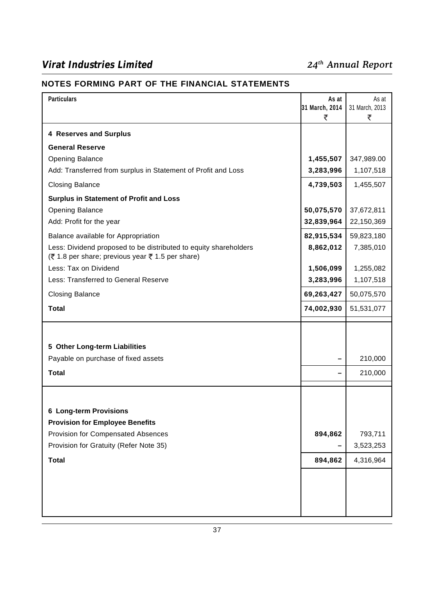# Virat Industries Limited<br>
Virat Industries Limited<br>
Annual Report

| <b>Particulars</b>                                                                                                 | As at<br>31 March, 2014 | As at               |
|--------------------------------------------------------------------------------------------------------------------|-------------------------|---------------------|
|                                                                                                                    | ₹                       | 31 March, 2013<br>₹ |
| 4 Reserves and Surplus                                                                                             |                         |                     |
| <b>General Reserve</b>                                                                                             |                         |                     |
| <b>Opening Balance</b>                                                                                             | 1,455,507               | 347,989.00          |
| Add: Transferred from surplus in Statement of Profit and Loss                                                      | 3,283,996               | 1,107,518           |
| <b>Closing Balance</b>                                                                                             | 4,739,503               | 1,455,507           |
| <b>Surplus in Statement of Profit and Loss</b>                                                                     |                         |                     |
| <b>Opening Balance</b>                                                                                             | 50,075,570              | 37,672,811          |
| Add: Profit for the year                                                                                           | 32,839,964              | 22,150,369          |
| Balance available for Appropriation                                                                                | 82,915,534              | 59,823,180          |
| Less: Dividend proposed to be distributed to equity shareholders<br>(₹1.8 per share; previous year ₹1.5 per share) | 8,862,012               | 7,385,010           |
| Less: Tax on Dividend                                                                                              | 1,506,099               | 1,255,082           |
| Less: Transferred to General Reserve                                                                               | 3,283,996               | 1,107,518           |
| <b>Closing Balance</b>                                                                                             | 69,263,427              | 50,075,570          |
| <b>Total</b>                                                                                                       | 74,002,930              | 51,531,077          |
|                                                                                                                    |                         |                     |
| 5 Other Long-term Liabilities                                                                                      |                         |                     |
| Payable on purchase of fixed assets                                                                                |                         | 210,000             |
| <b>Total</b>                                                                                                       |                         | 210,000             |
|                                                                                                                    |                         |                     |
| <b>6 Long-term Provisions</b>                                                                                      |                         |                     |
| <b>Provision for Employee Benefits</b>                                                                             |                         |                     |
| Provision for Compensated Absences                                                                                 | 894,862                 | 793,711             |
| Provision for Gratuity (Refer Note 35)                                                                             |                         | 3,523,253           |
| <b>Total</b>                                                                                                       | 894,862                 | 4,316,964           |
|                                                                                                                    |                         |                     |
|                                                                                                                    |                         |                     |
|                                                                                                                    |                         |                     |
|                                                                                                                    |                         |                     |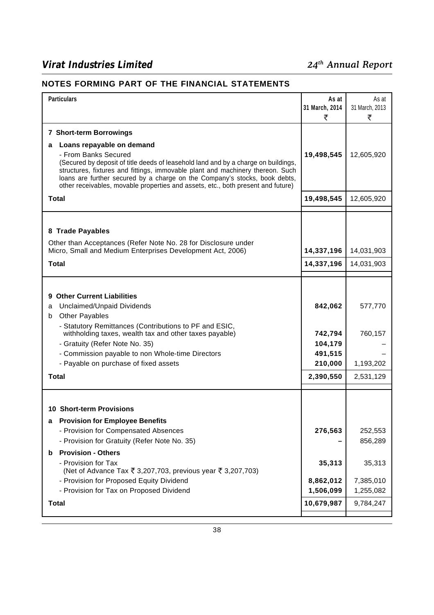| <b>Particulars</b>                                                                                                                                                                                                                                                                                                                     | As at               | As at               |
|----------------------------------------------------------------------------------------------------------------------------------------------------------------------------------------------------------------------------------------------------------------------------------------------------------------------------------------|---------------------|---------------------|
|                                                                                                                                                                                                                                                                                                                                        | 31 March, 2014<br>₹ | 31 March, 2013<br>₹ |
|                                                                                                                                                                                                                                                                                                                                        |                     |                     |
| 7 Short-term Borrowings<br>Loans repayable on demand<br>a                                                                                                                                                                                                                                                                              |                     |                     |
| - From Banks Secured                                                                                                                                                                                                                                                                                                                   | 19,498,545          | 12,605,920          |
| (Secured by deposit of title deeds of leasehold land and by a charge on buildings,<br>structures, fixtures and fittings, immovable plant and machinery thereon. Such<br>loans are further secured by a charge on the Company's stocks, book debts,<br>other receivables, movable properties and assets, etc., both present and future) |                     |                     |
| <b>Total</b>                                                                                                                                                                                                                                                                                                                           | 19,498,545          | 12,605,920          |
|                                                                                                                                                                                                                                                                                                                                        |                     |                     |
| 8 Trade Payables                                                                                                                                                                                                                                                                                                                       |                     |                     |
| Other than Acceptances (Refer Note No. 28 for Disclosure under<br>Micro, Small and Medium Enterprises Development Act, 2006)                                                                                                                                                                                                           | 14,337,196          | 14,031,903          |
| <b>Total</b>                                                                                                                                                                                                                                                                                                                           | 14,337,196          | 14,031,903          |
|                                                                                                                                                                                                                                                                                                                                        |                     |                     |
| <b>9 Other Current Liabilities</b>                                                                                                                                                                                                                                                                                                     |                     |                     |
| Unclaimed/Unpaid Dividends<br>a                                                                                                                                                                                                                                                                                                        | 842,062             | 577,770             |
| <b>Other Payables</b><br>b                                                                                                                                                                                                                                                                                                             |                     |                     |
| - Statutory Remittances (Contributions to PF and ESIC,<br>withholding taxes, wealth tax and other taxes payable)                                                                                                                                                                                                                       | 742,794             | 760,157             |
| - Gratuity (Refer Note No. 35)                                                                                                                                                                                                                                                                                                         | 104,179             |                     |
| - Commission payable to non Whole-time Directors                                                                                                                                                                                                                                                                                       | 491,515             |                     |
| - Payable on purchase of fixed assets                                                                                                                                                                                                                                                                                                  | 210,000             | 1,193,202           |
| <b>Total</b>                                                                                                                                                                                                                                                                                                                           | 2,390,550           | 2,531,129           |
|                                                                                                                                                                                                                                                                                                                                        |                     |                     |
| <b>10 Short-term Provisions</b>                                                                                                                                                                                                                                                                                                        |                     |                     |
| <b>Provision for Employee Benefits</b><br>a                                                                                                                                                                                                                                                                                            |                     |                     |
| - Provision for Compensated Absences                                                                                                                                                                                                                                                                                                   | 276,563             | 252,553             |
| - Provision for Gratuity (Refer Note No. 35)                                                                                                                                                                                                                                                                                           |                     | 856,289             |
| <b>Provision - Others</b><br>b                                                                                                                                                                                                                                                                                                         |                     |                     |
| - Provision for Tax<br>(Net of Advance Tax $\bar{\tau}$ 3,207,703, previous year $\bar{\tau}$ 3,207,703)                                                                                                                                                                                                                               | 35,313              | 35,313              |
| - Provision for Proposed Equity Dividend                                                                                                                                                                                                                                                                                               | 8,862,012           | 7,385,010           |
| - Provision for Tax on Proposed Dividend                                                                                                                                                                                                                                                                                               | 1,506,099           | 1,255,082           |
| <b>Total</b>                                                                                                                                                                                                                                                                                                                           | 10,679,987          | 9,784,247           |
|                                                                                                                                                                                                                                                                                                                                        |                     |                     |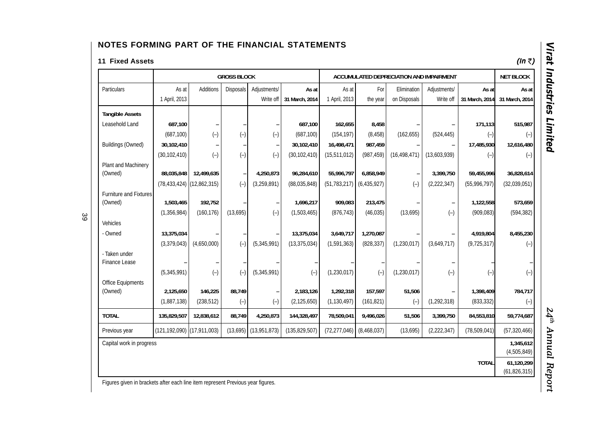|                               | <b>GROSS BLOCK</b>                 |                   |                  |                           | ACCUMULATED DEPRECIATION AND IMPAIRMENT |                        |                                                                             |                          | <b>NET BLOCK</b>         |                          |                          |
|-------------------------------|------------------------------------|-------------------|------------------|---------------------------|-----------------------------------------|------------------------|-----------------------------------------------------------------------------|--------------------------|--------------------------|--------------------------|--------------------------|
| Particulars                   | As at<br>1 April, 2013             | <b>Additions</b>  | <b>Disposals</b> | Adjustments/<br>Write off | As at<br>31 March, 2014                 | As at<br>1 April, 2013 | For<br>Elimination<br>Adjustments/<br>the year<br>on Disposals<br>Write off |                          |                          | As atl<br>31 March, 2014 | As at<br>31 March, 2014  |
| <b>Tangible Assets</b>        |                                    |                   |                  |                           |                                         |                        |                                                                             |                          |                          |                          |                          |
| Leasehold Land                | 687,100                            |                   |                  |                           | 687,100                                 | 162,655                | 8,458                                                                       |                          |                          | 171,113                  | 515,987                  |
|                               | (687, 100)                         | $\left( -\right)$ | $(-)$            | $(-)$                     | (687, 100)                              | (154, 197)             | (8, 458)                                                                    | (162, 655)               | (524, 445)               | $(-)$                    | $(-)$                    |
| <b>Buildings (Owned)</b>      | 30,102,410                         |                   |                  |                           | 30,102,410                              | 16,498,471             | 987,459                                                                     |                          |                          | 17,485,930               | 12,616,480               |
|                               | (30, 102, 410)                     | $(-)$             | $(-)$            | $(-)$                     | (30, 102, 410)                          | (15, 511, 012)         | (987, 459)                                                                  | (16, 498, 471)           | (13,603,939)             | $(-)$                    | $(-)$                    |
| Plant and Machinery           |                                    |                   |                  |                           |                                         |                        |                                                                             |                          |                          |                          |                          |
| (Owned)                       | 88,035,848                         | 12,499,635        |                  | 4,250,873                 | 96,284,610                              | 55,996,797             | 6,858,949                                                                   | $\overline{\phantom{a}}$ | 3,399,750                | 59,455,996               | 36,828,614               |
|                               | $(78, 433, 424)$ (12,862,315)      |                   | $(-)$            | (3,259,891)               | (88,035,848)                            | (51, 783, 217)         | (6, 435, 927)                                                               | $(-)$                    | (2,222,347)              | (55,996,797)             | (32,039,051)             |
| <b>Furniture and Fixtures</b> |                                    |                   |                  |                           |                                         |                        |                                                                             |                          |                          |                          |                          |
| (Owned)                       | 1,503,465                          | 192,752           |                  |                           | 1,696,217                               | 909,083                | 213,475                                                                     |                          | -                        | 1,122,558                | 573,659                  |
|                               | (1, 356, 984)                      | (160, 176)        | (13,695)         | $(-)$                     | (1,503,465)                             | (876, 743)             | (46, 035)                                                                   | (13,695)                 | $(-)$                    | (909, 083)               | (594, 382)               |
| <b>Vehicles</b>               |                                    |                   |                  |                           |                                         |                        |                                                                             |                          |                          |                          |                          |
| - Owned                       | 13,375,034                         |                   |                  |                           | 13,375,034                              | 3,649,717              | 1,270,087                                                                   |                          |                          | 4,919,804                | 8,455,230                |
|                               | (3,379,043)                        | (4,650,000)       | $(-)$            | (5, 345, 991)             | (13, 375, 034)                          | (1,591,363)            | (828, 337)                                                                  | (1,230,017)              | (3,649,717)              | (9, 725, 317)            | $(-)$                    |
| - Taken under                 |                                    |                   |                  |                           |                                         |                        |                                                                             |                          |                          |                          |                          |
| <b>Finance Lease</b>          |                                    |                   |                  |                           |                                         |                        |                                                                             |                          |                          |                          |                          |
|                               | (5,345,991)                        | $(-)$             | $(-)$            | (5,345,991)               | $(-)$                                   | (1,230,017)            | $(-)$                                                                       | (1,230,017)              | $(-)$                    | $(-)$                    | $(-)$                    |
| <b>Office Equipments</b>      |                                    |                   |                  |                           |                                         |                        |                                                                             |                          |                          |                          |                          |
| (Owned)                       | 2,125,650                          | 146,225           | 88,749           |                           | 2,183,126                               | 1,292,318              | 157,597                                                                     | 51,506                   | $\overline{\phantom{0}}$ | 1,398,409                | 784,717                  |
|                               | (1,887,138)                        | (238, 512)        | $(-)$            | $(-)$                     | (2, 125, 650)                           | (1, 130, 497)          | (161, 821)                                                                  | $(-)$                    | (1, 292, 318)            | (833, 332)               | $(-)$                    |
| <b>TOTAL</b>                  | 135,829,507                        | 12,838,612        | 88,749           | 4,250,873                 | 144,328,497                             | 78,509,041             | 9,496,026                                                                   | 51,506                   | 3,399,750                | 84,553,810               | 59,774,687               |
| Previous year                 | $(121, 192, 090)$ $(17, 911, 003)$ |                   | (13, 695)        | (13,951,873)              | (135, 829, 507)                         | (72, 277, 046)         | (8,468,037)                                                                 | (13, 695)                | (2,222,347)              | (78, 509, 041)           | (57, 320, 466)           |
| Capital work in progress      |                                    |                   |                  |                           |                                         |                        |                                                                             |                          |                          |                          | 1,345,612<br>(4,505,849) |
|                               |                                    |                   |                  |                           |                                         |                        |                                                                             |                          |                          | <b>TOTAL</b>             | 61,120,299               |
|                               |                                    |                   |                  |                           |                                         |                        |                                                                             |                          |                          |                          | (61, 826, 315)           |

 $24^{\mathrm{th}}$ 

39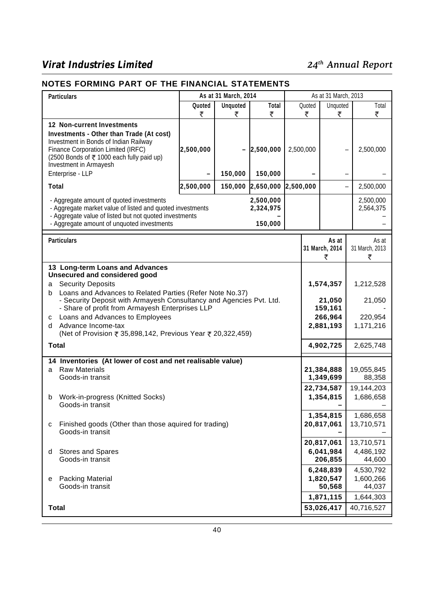# **Virat Industries Limited** 24<sup>th</sup> Annual Report

| <b>Particulars</b>                                                                                                                                                                                                                                                                                                                                                                                                                                        | As at 31 March, 2014 |                      |                                   | As at 31 March, 2013 |                                                                     |                                                              |
|-----------------------------------------------------------------------------------------------------------------------------------------------------------------------------------------------------------------------------------------------------------------------------------------------------------------------------------------------------------------------------------------------------------------------------------------------------------|----------------------|----------------------|-----------------------------------|----------------------|---------------------------------------------------------------------|--------------------------------------------------------------|
|                                                                                                                                                                                                                                                                                                                                                                                                                                                           | Quoted<br>₹          | <b>Unquoted</b><br>₹ | Total<br>₹                        | Quoted<br>₹          | Unquoted<br>₹                                                       | Total<br>₹                                                   |
| <b>12 Non-current Investments</b><br>Investments - Other than Trade (At cost)<br>Investment in Bonds of Indian Railway<br>Finance Corporation Limited (IRFC)<br>(2500 Bonds of ₹ 1000 each fully paid up)<br>Investment in Armayesh<br>Enterprise - LLP                                                                                                                                                                                                   | 2,500,000            | 150,000              | 2,500,000<br>150,000              | 2,500,000            |                                                                     | 2,500,000                                                    |
| <b>Total</b>                                                                                                                                                                                                                                                                                                                                                                                                                                              | 2,500,000            | 150,000              | 2,650,000                         | 2,500,000            |                                                                     | 2,500,000                                                    |
| - Aggregate amount of quoted investments<br>- Aggregate market value of listed and quoted investments<br>- Aggregate value of listed but not quoted investments<br>- Aggregate amount of unquoted investments                                                                                                                                                                                                                                             |                      |                      | 2,500,000<br>2,324,975<br>150,000 |                      |                                                                     | 2,500,000<br>2,564,375                                       |
| <b>Particulars</b>                                                                                                                                                                                                                                                                                                                                                                                                                                        |                      |                      |                                   |                      | As at<br>31 March, 2014<br>₹                                        | As at<br>31 March, 2013<br>₹                                 |
| 13 Long-term Loans and Advances<br>Unsecured and considered good<br><b>Security Deposits</b><br>a<br>Loans and Advances to Related Parties (Refer Note No.37)<br>b<br>- Security Deposit with Armayesh Consultancy and Agencies Pvt. Ltd.<br>- Share of profit from Armayesh Enterprises LLP<br>Loans and Advances to Employees<br>$\mathbf{c}$<br>Advance Income-tax<br>d<br>(Net of Provision ₹ 35,898,142, Previous Year ₹ 20,322,459)<br><b>Total</b> |                      |                      |                                   |                      | 1,574,357<br>21,050<br>159,161<br>266,964<br>2,881,193<br>4,902,725 | 1,212,528<br>21,050<br>220,954<br>1,171,216<br>2,625,748     |
| 14 Inventories (At lower of cost and net realisable value)<br><b>Raw Materials</b><br>a<br>Goods-in transit<br>Work-in-progress (Knitted Socks)<br>b<br>Goods-in transit                                                                                                                                                                                                                                                                                  |                      |                      |                                   |                      | 21,384,888<br>1,349,699<br>22,734,587<br>1,354,815<br>1,354,815     | 19,055,845<br>88,358<br>19,144,203<br>1,686,658<br>1,686,658 |
| Finished goods (Other than those aquired for trading)<br>с<br>Goods-in transit                                                                                                                                                                                                                                                                                                                                                                            |                      |                      |                                   |                      | 20,817,061<br>20,817,061                                            | 13,710,571<br>13,710,571                                     |
| <b>Stores and Spares</b><br>d<br>Goods-in transit                                                                                                                                                                                                                                                                                                                                                                                                         |                      |                      |                                   |                      | 6,041,984<br>206,855                                                | 4,486,192<br>44,600                                          |
| <b>Packing Material</b><br>е<br>Goods-in transit                                                                                                                                                                                                                                                                                                                                                                                                          |                      |                      |                                   |                      | 6,248,839<br>1,820,547<br>50,568                                    | 4,530,792<br>1,600,266<br>44,037                             |
| <b>Total</b>                                                                                                                                                                                                                                                                                                                                                                                                                                              |                      |                      |                                   |                      | 1,871,115<br>53,026,417                                             | 1,644,303<br>40,716,527                                      |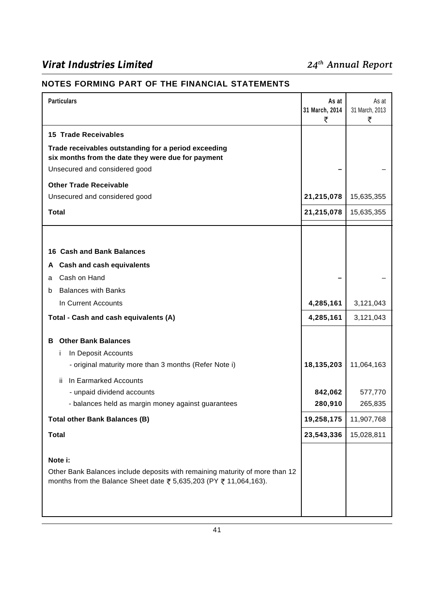| <b>Particulars</b>                                                                                                                                           | As at<br>31 March, 2014<br>₹ | As at<br>31 March, 2013<br>₹ |
|--------------------------------------------------------------------------------------------------------------------------------------------------------------|------------------------------|------------------------------|
| <b>15 Trade Receivables</b>                                                                                                                                  |                              |                              |
| Trade receivables outstanding for a period exceeding<br>six months from the date they were due for payment<br>Unsecured and considered good                  |                              |                              |
| <b>Other Trade Receivable</b>                                                                                                                                |                              |                              |
| Unsecured and considered good                                                                                                                                | 21,215,078                   | 15,635,355                   |
| <b>Total</b>                                                                                                                                                 | 21,215,078                   | 15,635,355                   |
|                                                                                                                                                              |                              |                              |
| 16 Cash and Bank Balances                                                                                                                                    |                              |                              |
| <b>Cash and cash equivalents</b><br>A                                                                                                                        |                              |                              |
| Cash on Hand<br>a                                                                                                                                            |                              |                              |
| <b>Balances with Banks</b><br>b                                                                                                                              |                              |                              |
| In Current Accounts                                                                                                                                          | 4,285,161                    | 3,121,043                    |
| Total - Cash and cash equivalents (A)                                                                                                                        | 4,285,161                    | 3,121,043                    |
| <b>Other Bank Balances</b><br>в                                                                                                                              |                              |                              |
| In Deposit Accounts<br>Î.                                                                                                                                    |                              |                              |
| - original maturity more than 3 months (Refer Note i)                                                                                                        | 18,135,203                   | 11,064,163                   |
| In Earmarked Accounts<br>ii -                                                                                                                                |                              |                              |
| - unpaid dividend accounts                                                                                                                                   | 842,062                      | 577,770                      |
| - balances held as margin money against guarantees                                                                                                           | 280,910                      | 265,835                      |
| <b>Total other Bank Balances (B)</b>                                                                                                                         | 19,258,175                   | 11,907,768                   |
| <b>Total</b>                                                                                                                                                 | 23,543,336                   | 15,028,811                   |
| Note i:<br>Other Bank Balances include deposits with remaining maturity of more than 12<br>months from the Balance Sheet date ₹ 5,635,203 (PY ₹ 11,064,163). |                              |                              |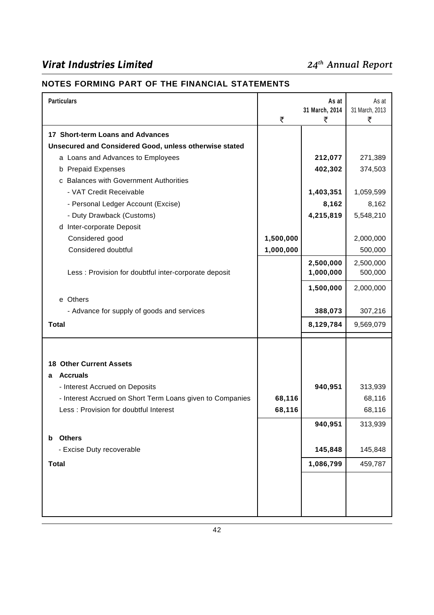| <b>Particulars</b>                                        |           | As at          | As at          |
|-----------------------------------------------------------|-----------|----------------|----------------|
|                                                           |           | 31 March, 2014 | 31 March, 2013 |
|                                                           | ₹         | ₹              | ₹              |
| 17 Short-term Loans and Advances                          |           |                |                |
| Unsecured and Considered Good, unless otherwise stated    |           |                |                |
| a Loans and Advances to Employees                         |           | 212,077        | 271,389        |
| b Prepaid Expenses                                        |           | 402,302        | 374,503        |
| c Balances with Government Authorities                    |           |                |                |
| - VAT Credit Receivable                                   |           | 1,403,351      | 1,059,599      |
| - Personal Ledger Account (Excise)                        |           | 8,162          | 8,162          |
| - Duty Drawback (Customs)                                 |           | 4,215,819      | 5,548,210      |
| d Inter-corporate Deposit                                 |           |                |                |
| Considered good                                           | 1,500,000 |                | 2,000,000      |
| Considered doubtful                                       | 1,000,000 |                | 500,000        |
|                                                           |           | 2,500,000      | 2,500,000      |
| Less : Provision for doubtful inter-corporate deposit     |           | 1,000,000      | 500,000        |
|                                                           |           | 1,500,000      | 2,000,000      |
| e Others                                                  |           |                |                |
| - Advance for supply of goods and services                |           | 388,073        | 307,216        |
| <b>Total</b>                                              |           | 8,129,784      | 9,569,079      |
|                                                           |           |                |                |
|                                                           |           |                |                |
| <b>18 Other Current Assets</b>                            |           |                |                |
| <b>Accruals</b><br>a                                      |           |                |                |
| - Interest Accrued on Deposits                            |           | 940,951        | 313,939        |
| - Interest Accrued on Short Term Loans given to Companies | 68,116    |                | 68,116         |
| Less: Provision for doubtful Interest                     | 68,116    |                | 68,116         |
|                                                           |           |                |                |
|                                                           |           | 940,951        | 313,939        |
| <b>Others</b><br>b                                        |           |                |                |
| - Excise Duty recoverable                                 |           | 145,848        | 145,848        |
| <b>Total</b>                                              |           | 1,086,799      | 459,787        |
|                                                           |           |                |                |
|                                                           |           |                |                |
|                                                           |           |                |                |
|                                                           |           |                |                |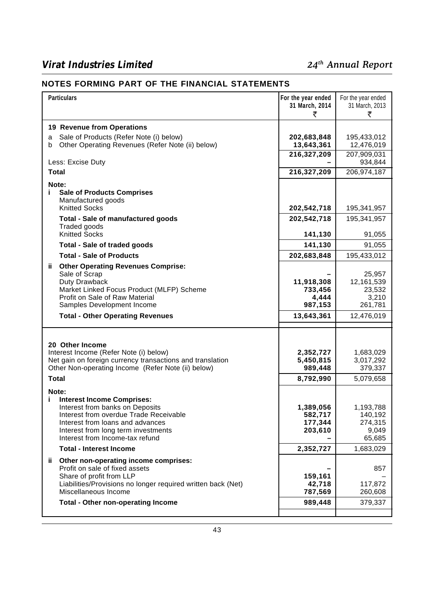| <b>Particulars</b>                                                                                                                                                                                                                          | For the year ended<br>31 March, 2014                    | For the year ended<br>31 March, 2013                             |
|---------------------------------------------------------------------------------------------------------------------------------------------------------------------------------------------------------------------------------------------|---------------------------------------------------------|------------------------------------------------------------------|
|                                                                                                                                                                                                                                             | ₹                                                       | ₹                                                                |
| <b>19 Revenue from Operations</b>                                                                                                                                                                                                           |                                                         |                                                                  |
| Sale of Products (Refer Note (i) below)<br>a<br>Other Operating Revenues (Refer Note (ii) below)<br>b                                                                                                                                       | 202,683,848<br>13,643,361                               | 195,433,012<br>12,476,019                                        |
|                                                                                                                                                                                                                                             | 216,327,209                                             | 207,909,031                                                      |
| Less: Excise Duty                                                                                                                                                                                                                           |                                                         | 934,844                                                          |
| <b>Total</b>                                                                                                                                                                                                                                | 216,327,209                                             | 206,974,187                                                      |
| Note:<br><b>Sale of Products Comprises</b><br>i.<br>Manufactured goods                                                                                                                                                                      |                                                         |                                                                  |
| <b>Knitted Socks</b>                                                                                                                                                                                                                        | 202,542,718                                             | 195,341,957                                                      |
| <b>Total - Sale of manufactured goods</b><br>Traded goods                                                                                                                                                                                   | 202,542,718                                             | 195,341,957                                                      |
| <b>Knitted Socks</b>                                                                                                                                                                                                                        | 141,130                                                 | 91,055                                                           |
| <b>Total - Sale of traded goods</b>                                                                                                                                                                                                         | 141,130                                                 | 91,055                                                           |
| <b>Total - Sale of Products</b>                                                                                                                                                                                                             | 202,683,848                                             | 195,433,012                                                      |
| <b>Other Operating Revenues Comprise:</b><br>ii.<br>Sale of Scrap<br>Duty Drawback<br>Market Linked Focus Product (MLFP) Scheme<br>Profit on Sale of Raw Material<br>Samples Development Income<br><b>Total - Other Operating Revenues</b>  | 11,918,308<br>733,456<br>4,444<br>987,153<br>13,643,361 | 25,957<br>12,161,539<br>23,532<br>3,210<br>261,781<br>12,476,019 |
| 20 Other Income<br>Interest Income (Refer Note (i) below)<br>Net gain on foreign currency transactions and translation<br>Other Non-operating Income (Refer Note (ii) below)<br><b>Total</b>                                                | 2,352,727<br>5,450,815<br>989,448<br>8,792,990          | 1,683,029<br>3,017,292<br>379,337<br>5,079,658                   |
|                                                                                                                                                                                                                                             |                                                         |                                                                  |
| Note:<br><b>Interest Income Comprises:</b><br>i.<br>Interest from banks on Deposits<br>Interest from overdue Trade Receivable<br>Interest from loans and advances<br>Interest from long term investments<br>Interest from Income-tax refund | 1,389,056<br>582,717<br>177,344<br>203,610              | 1,193,788<br>140,192<br>274,315<br>9,049<br>65,685               |
| <b>Total - Interest Income</b>                                                                                                                                                                                                              | 2,352,727                                               | 1,683,029                                                        |
| Other non-operating income comprises:<br>ii.<br>Profit on sale of fixed assets<br>Share of profit from LLP<br>Liabilities/Provisions no longer required written back (Net)<br>Miscellaneous Income                                          | 159,161<br>42,718<br>787,569                            | 857<br>117,872<br>260,608                                        |
| <b>Total - Other non-operating Income</b>                                                                                                                                                                                                   | 989,448                                                 | 379,337                                                          |
|                                                                                                                                                                                                                                             |                                                         |                                                                  |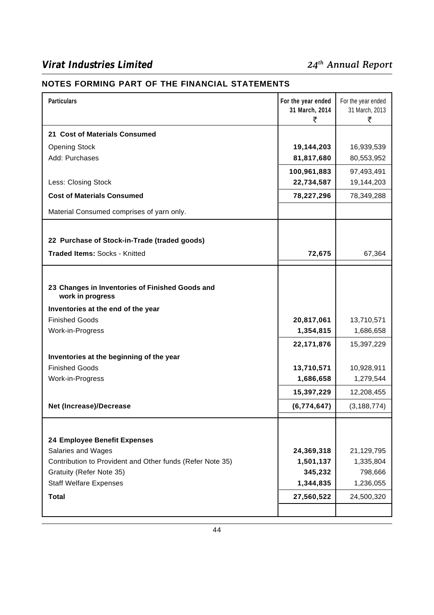| <b>Particulars</b>                                                  | For the year ended<br>31 March, 2014 | For the year ended<br>31 March, 2013 |
|---------------------------------------------------------------------|--------------------------------------|--------------------------------------|
|                                                                     | ₹                                    | ₹                                    |
| 21 Cost of Materials Consumed                                       |                                      |                                      |
| <b>Opening Stock</b>                                                | 19,144,203                           | 16,939,539                           |
| Add: Purchases                                                      | 81,817,680                           | 80,553,952                           |
|                                                                     | 100,961,883                          | 97,493,491                           |
| Less: Closing Stock                                                 | 22,734,587                           | 19,144,203                           |
| <b>Cost of Materials Consumed</b>                                   | 78,227,296                           | 78,349,288                           |
| Material Consumed comprises of yarn only.                           |                                      |                                      |
|                                                                     |                                      |                                      |
| 22 Purchase of Stock-in-Trade (traded goods)                        |                                      |                                      |
| <b>Traded Items: Socks - Knitted</b>                                | 72,675                               | 67,364                               |
|                                                                     |                                      |                                      |
| 23 Changes in Inventories of Finished Goods and<br>work in progress |                                      |                                      |
| Inventories at the end of the year                                  |                                      |                                      |
| <b>Finished Goods</b>                                               | 20,817,061                           | 13,710,571                           |
| Work-in-Progress                                                    | 1,354,815                            | 1,686,658                            |
|                                                                     | 22,171,876                           | 15,397,229                           |
| Inventories at the beginning of the year                            |                                      |                                      |
| <b>Finished Goods</b>                                               | 13,710,571                           | 10,928,911                           |
| Work-in-Progress                                                    | 1,686,658                            | 1,279,544                            |
|                                                                     | 15,397,229                           | 12,208,455                           |
| <b>Net (Increase)/Decrease</b>                                      | (6,774,647)                          | (3, 188, 774)                        |
|                                                                     |                                      |                                      |
| 24 Employee Benefit Expenses                                        |                                      |                                      |
| Salaries and Wages                                                  | 24,369,318                           | 21,129,795                           |
| Contribution to Provident and Other funds (Refer Note 35)           | 1,501,137                            | 1,335,804                            |
| Gratuity (Refer Note 35)                                            | 345,232                              | 798,666                              |
| <b>Staff Welfare Expenses</b>                                       | 1,344,835                            | 1,236,055                            |
| <b>Total</b>                                                        | 27,560,522                           | 24,500,320                           |
|                                                                     |                                      |                                      |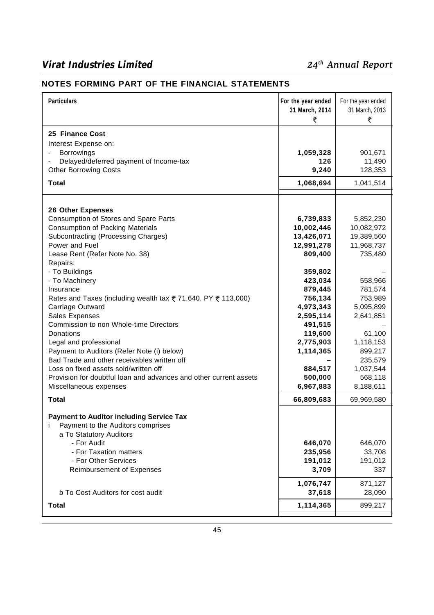# Virat Industries Limited<br>
Virat Industries Limited<br>
Annual Report

| <b>Particulars</b>                                                                                                                                                                                                                                                                                                                                                                                                                                                                                                                                                                                                                                                                                                                                  | For the year ended<br>31 March, 2014<br>₹                                                                                                                                                                                             | For the year ended<br>31 March, 2013<br>₹                                                                                                                                                                                 |
|-----------------------------------------------------------------------------------------------------------------------------------------------------------------------------------------------------------------------------------------------------------------------------------------------------------------------------------------------------------------------------------------------------------------------------------------------------------------------------------------------------------------------------------------------------------------------------------------------------------------------------------------------------------------------------------------------------------------------------------------------------|---------------------------------------------------------------------------------------------------------------------------------------------------------------------------------------------------------------------------------------|---------------------------------------------------------------------------------------------------------------------------------------------------------------------------------------------------------------------------|
| 25 Finance Cost<br>Interest Expense on:<br><b>Borrowings</b><br>Delayed/deferred payment of Income-tax<br><b>Other Borrowing Costs</b><br><b>Total</b>                                                                                                                                                                                                                                                                                                                                                                                                                                                                                                                                                                                              | 1,059,328<br>126<br>9,240<br>1,068,694                                                                                                                                                                                                | 901,671<br>11,490<br>128,353<br>1,041,514                                                                                                                                                                                 |
| <b>26 Other Expenses</b><br>Consumption of Stores and Spare Parts<br><b>Consumption of Packing Materials</b><br>Subcontracting (Processing Charges)<br>Power and Fuel<br>Lease Rent (Refer Note No. 38)<br>Repairs:<br>- To Buildings<br>- To Machinery<br>Insurance<br>Rates and Taxes (including wealth tax $\overline{\zeta}$ 71,640, PY $\overline{\zeta}$ 113,000)<br>Carriage Outward<br>Sales Expenses<br>Commission to non Whole-time Directors<br>Donations<br>Legal and professional<br>Payment to Auditors (Refer Note (i) below)<br>Bad Trade and other receivables written off<br>Loss on fixed assets sold/written off<br>Provision for doubtful loan and advances and other current assets<br>Miscellaneous expenses<br><b>Total</b> | 6,739,833<br>10,002,446<br>13,426,071<br>12,991,278<br>809,400<br>359,802<br>423,034<br>879,445<br>756,134<br>4,973,343<br>2,595,114<br>491,515<br>119,600<br>2,775,903<br>1,114,365<br>884,517<br>500,000<br>6,967,883<br>66,809,683 | 5,852,230<br>10,082,972<br>19,389,560<br>11,968,737<br>735,480<br>558,966<br>781,574<br>753,989<br>5,095,899<br>2,641,851<br>61,100<br>1,118,153<br>899,217<br>235,579<br>1,037,544<br>568,118<br>8,188,611<br>69,969,580 |
| <b>Payment to Auditor including Service Tax</b><br>Payment to the Auditors comprises<br>Ť<br>a To Statutory Auditors<br>- For Audit<br>- For Taxation matters<br>- For Other Services<br><b>Reimbursement of Expenses</b>                                                                                                                                                                                                                                                                                                                                                                                                                                                                                                                           | 646,070<br>235,956<br>191,012<br>3,709                                                                                                                                                                                                | 646,070<br>33,708<br>191,012<br>337                                                                                                                                                                                       |
| b To Cost Auditors for cost audit<br><b>Total</b>                                                                                                                                                                                                                                                                                                                                                                                                                                                                                                                                                                                                                                                                                                   | 1,076,747<br>37,618<br>1,114,365                                                                                                                                                                                                      | 871,127<br>28,090<br>899,217                                                                                                                                                                                              |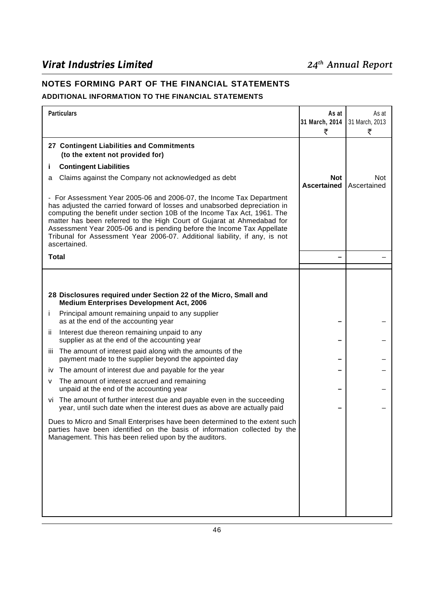## **ADDITIONAL INFORMATION TO THE FINANCIAL STATEMENTS**

| <b>Particulars</b>                                                                                                                                                                                                                                                                                                                                                                                                                                                                                                                                                                                                                                                                                                                                                                                                                                           | As at<br>31 March, 2014<br>₹     | As at<br>31 March, 2013<br>₹ |
|--------------------------------------------------------------------------------------------------------------------------------------------------------------------------------------------------------------------------------------------------------------------------------------------------------------------------------------------------------------------------------------------------------------------------------------------------------------------------------------------------------------------------------------------------------------------------------------------------------------------------------------------------------------------------------------------------------------------------------------------------------------------------------------------------------------------------------------------------------------|----------------------------------|------------------------------|
| 27 Contingent Liabilities and Commitments<br>(to the extent not provided for)                                                                                                                                                                                                                                                                                                                                                                                                                                                                                                                                                                                                                                                                                                                                                                                |                                  |                              |
| <b>Contingent Liabilities</b><br>Ĩ                                                                                                                                                                                                                                                                                                                                                                                                                                                                                                                                                                                                                                                                                                                                                                                                                           |                                  |                              |
| Claims against the Company not acknowledged as debt<br>а                                                                                                                                                                                                                                                                                                                                                                                                                                                                                                                                                                                                                                                                                                                                                                                                     | <b>Not</b><br><b>Ascertained</b> | Not<br>Ascertained           |
| - For Assessment Year 2005-06 and 2006-07, the Income Tax Department<br>has adjusted the carried forward of losses and unabsorbed depreciation in<br>computing the benefit under section 10B of the Income Tax Act, 1961. The<br>matter has been referred to the High Court of Gujarat at Ahmedabad for<br>Assessment Year 2005-06 and is pending before the Income Tax Appellate<br>Tribunal for Assessment Year 2006-07. Additional liability, if any, is not<br>ascertained.                                                                                                                                                                                                                                                                                                                                                                              |                                  |                              |
| Total                                                                                                                                                                                                                                                                                                                                                                                                                                                                                                                                                                                                                                                                                                                                                                                                                                                        |                                  |                              |
| 28 Disclosures required under Section 22 of the Micro, Small and<br><b>Medium Enterprises Development Act, 2006</b><br>Principal amount remaining unpaid to any supplier<br>Ť<br>as at the end of the accounting year<br>Interest due thereon remaining unpaid to any<br>ii.<br>supplier as at the end of the accounting year<br>iii The amount of interest paid along with the amounts of the<br>payment made to the supplier beyond the appointed day<br>The amount of interest due and payable for the year<br>İV.<br>The amount of interest accrued and remaining<br>v<br>unpaid at the end of the accounting year<br>vi The amount of further interest due and payable even in the succeeding<br>year, until such date when the interest dues as above are actually paid<br>Dues to Micro and Small Enterprises have been determined to the extent such |                                  |                              |
| parties have been identified on the basis of information collected by the<br>Management. This has been relied upon by the auditors.                                                                                                                                                                                                                                                                                                                                                                                                                                                                                                                                                                                                                                                                                                                          |                                  |                              |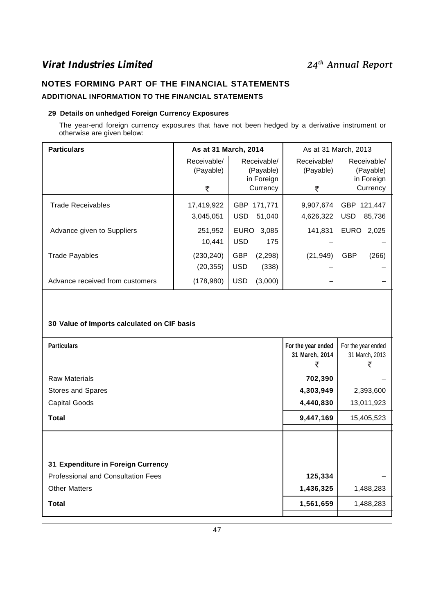### **ADDITIONAL INFORMATION TO THE FINANCIAL STATEMENTS**

#### **29 Details on unhedged Foreign Currency Exposures**

The year-end foreign currency exposures that have not been hedged by a derivative instrument or otherwise are given below:

| <b>Particulars</b>              | As at 31 March, 2014 |                       | As at 31 March, 2013 |                      |  |
|---------------------------------|----------------------|-----------------------|----------------------|----------------------|--|
|                                 | Receivable/          | Receivable/           | Receivable/          | Receivable/          |  |
|                                 | (Payable)            | (Payable)             | (Payable)            | (Payable)            |  |
|                                 |                      | in Foreign            |                      | in Foreign           |  |
|                                 | ₹                    | Currency              | ₹                    | Currency             |  |
| Trade Receivables               | 17,419,922           | GBP 171,771           | 9,907,674            | GBP 121,447          |  |
|                                 | 3,045,051            | <b>USD</b><br>51,040  | 4,626,322            | USD.<br>85,736       |  |
| Advance given to Suppliers      | 251,952              | <b>EURO</b><br>3,085  | 141,831              | <b>EURO</b><br>2,025 |  |
|                                 | 10,441               | <b>USD</b><br>175     |                      |                      |  |
| <b>Trade Payables</b>           | (230, 240)           | GBP<br>(2, 298)       | (21, 949)            | <b>GBP</b><br>(266)  |  |
|                                 | (20, 355)            | <b>USD</b><br>(338)   |                      |                      |  |
| Advance received from customers | (178,980)            | <b>USD</b><br>(3,000) |                      |                      |  |

### **30 Value of Imports calculated on CIF basis**

| <b>Particulars</b>                        | For the year ended<br>31 March, 2014<br>₹ | For the year ended<br>31 March, 2013<br>₹ |
|-------------------------------------------|-------------------------------------------|-------------------------------------------|
| <b>Raw Materials</b>                      | 702,390                                   |                                           |
| <b>Stores and Spares</b>                  | 4,303,949                                 | 2,393,600                                 |
| <b>Capital Goods</b>                      | 4,440,830                                 | 13,011,923                                |
| <b>Total</b>                              | 9,447,169                                 | 15,405,523                                |
|                                           |                                           |                                           |
|                                           |                                           |                                           |
| 31 Expenditure in Foreign Currency        |                                           |                                           |
| <b>Professional and Consultation Fees</b> | 125,334                                   |                                           |
| <b>Other Matters</b>                      | 1,436,325                                 | 1,488,283                                 |
| <b>Total</b>                              | 1,561,659                                 | 1,488,283                                 |
|                                           |                                           |                                           |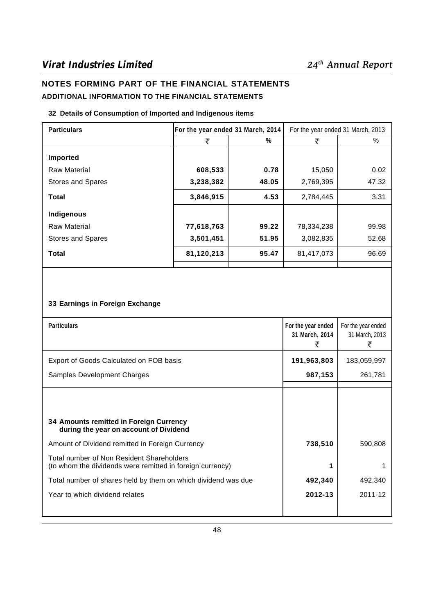## **NOTES FORMING PART OF THE FINANCIAL STATEMENTS ADDITIONAL INFORMATION TO THE FINANCIAL STATEMENTS**

### **32 Details of Consumption of Imported and Indigenous items**

| <b>Particulars</b>       | For the year ended 31 March, 2014 |       | For the year ended 31 March, 2013 |       |
|--------------------------|-----------------------------------|-------|-----------------------------------|-------|
|                          | ₹                                 | %     | ₹                                 | $\%$  |
| Imported                 |                                   |       |                                   |       |
| <b>Raw Material</b>      | 608,533                           | 0.78  | 15,050                            | 0.02  |
| Stores and Spares        | 3,238,382                         | 48.05 | 2,769,395                         | 47.32 |
| <b>Total</b>             | 3,846,915                         | 4.53  | 2,784,445                         | 3.31  |
| Indigenous               |                                   |       |                                   |       |
| <b>Raw Material</b>      | 77,618,763                        | 99.22 | 78,334,238                        | 99.98 |
| <b>Stores and Spares</b> | 3,501,451                         | 51.95 | 3,082,835                         | 52.68 |
| <b>Total</b>             | 81,120,213                        | 95.47 | 81,417,073                        | 96.69 |
|                          |                                   |       |                                   |       |

### **33 Earnings in Foreign Exchange**

| <b>Particulars</b>                                                                                     | For the year ended<br>31 March, 2014<br>₹ | For the year ended<br>31 March, 2013<br>₹ |
|--------------------------------------------------------------------------------------------------------|-------------------------------------------|-------------------------------------------|
| Export of Goods Calculated on FOB basis                                                                | 191,963,803                               | 183,059,997                               |
| Samples Development Charges                                                                            | 987,153                                   | 261,781                                   |
| 34 Amounts remitted in Foreign Currency<br>during the year on account of Dividend                      |                                           |                                           |
| Amount of Dividend remitted in Foreign Currency                                                        | 738,510                                   | 590,808                                   |
| Total number of Non Resident Shareholders<br>(to whom the dividends were remitted in foreign currency) | 1                                         |                                           |
| Total number of shares held by them on which dividend was due                                          | 492,340                                   | 492,340                                   |
| Year to which dividend relates                                                                         | 2012-13                                   | 2011-12                                   |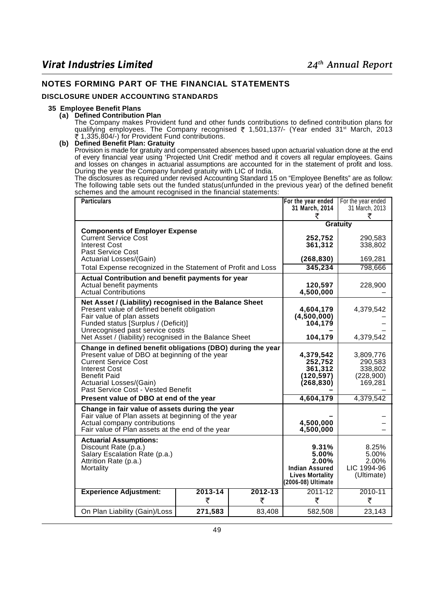#### **DISCLOSURE UNDER ACCOUNTING STANDARDS**

#### **35 Employee Benefit Plans**

### **(a) Defined Contribution Plan**

The Company makes Provident fund and other funds contributions to defined contribution plans for qualifying employees. The Company recognised ₹ 1,501,137/- (Year ended 31<sup>st</sup> March, 2013 1,335,804/-) for Provident Fund contributions.

#### **(b) Defined Benefit Plan: Gratuity**

Provision is made for gratuity and compensated absences based upon actuarial valuation done at the end of every financial year using 'Projected Unit Credit' method and it covers all regular employees. Gains and losses on changes in actuarial assumptions are accounted for in the statement of profit and loss. During the year the Company funded gratuity with LIC of India.

The disclosures as required under revised Accounting Standard 15 on "Employee Benefits" are as follow: The following table sets out the funded status(unfunded in the previous year) of the defined benefit schemes and the amount recognised in the financial statements:

| <b>Particulars</b>                                                                                                                                                                                                                                          |              |                  | For the year ended<br>31 March, 2014<br>₹                                                 | For the year ended<br>31 March, 2013<br>₹               |
|-------------------------------------------------------------------------------------------------------------------------------------------------------------------------------------------------------------------------------------------------------------|--------------|------------------|-------------------------------------------------------------------------------------------|---------------------------------------------------------|
|                                                                                                                                                                                                                                                             |              | Gratuity         |                                                                                           |                                                         |
| <b>Components of Employer Expense</b><br><b>Current Service Cost</b><br>Interest Cost<br><b>Past Service Cost</b>                                                                                                                                           |              |                  | 252,752<br>361,312                                                                        | 290,583<br>338,802                                      |
| Actuarial Losses/(Gain)                                                                                                                                                                                                                                     |              |                  | (268, 830)                                                                                | 169,281                                                 |
| Total Expense recognized in the Statement of Profit and Loss                                                                                                                                                                                                |              |                  | 345,234                                                                                   | 798,666                                                 |
| Actual Contribution and benefit payments for year<br>Actual benefit payments<br><b>Actual Contributions</b>                                                                                                                                                 |              |                  | 120,597<br>4,500,000                                                                      | 228,900                                                 |
| Net Asset / (Liability) recognised in the Balance Sheet<br>Present value of defined benefit obligation<br>Fair value of plan assets<br>Funded status [Surplus / (Deficit)]                                                                                  |              |                  | 4,604,179<br>(4,500,000)<br>104,179                                                       | 4,379,542                                               |
| Unrecognised past service costs<br>Net Asset / (liability) recognised in the Balance Sheet                                                                                                                                                                  |              |                  | 104,179                                                                                   | 4,379,542                                               |
| Change in defined benefit obligations (DBO) during the year<br>Present value of DBO at beginning of the year<br><b>Current Service Cost</b><br><b>Interest Cost</b><br><b>Benefit Paid</b><br>Actuarial Losses/(Gain)<br>Past Service Cost - Vested Benefit |              |                  | 4,379,542<br>252,752<br>361,312<br>(120,597)<br>(268, 830)                                | 3,809,776<br>290,583<br>338,802<br>(228,900)<br>169,281 |
| Present value of DBO at end of the year                                                                                                                                                                                                                     |              |                  | 4,604,179                                                                                 | 4,379,542                                               |
| Change in fair value of assets during the year<br>Fair value of Plan assets at beginning of the year<br>Actual company contributions<br>Fair value of Plan assets at the end of the year                                                                    |              |                  | 4,500,000<br>4,500,000                                                                    |                                                         |
| <b>Actuarial Assumptions:</b><br>Discount Rate (p.a.)<br>Salary Escalation Rate (p.a.)<br>Attrition Rate (p.a.)<br>Mortality                                                                                                                                |              |                  | 9.31%<br>5.00%<br>2.00%<br>Indian Assured<br><b>Lives Mortality</b><br>(2006-08) Ultimate | 8.25%<br>5.00%<br>2.00%<br>LIC 1994-96<br>(Ultimate)    |
| <b>Experience Adjustment:</b>                                                                                                                                                                                                                               | 2013-14<br>₹ | $2012 - 13$<br>₹ | 2011-12<br>₹                                                                              | 2010-11<br>₹                                            |
| On Plan Liability (Gain)/Loss                                                                                                                                                                                                                               | 271,583      | 83,408           | 582,508                                                                                   | 23,143                                                  |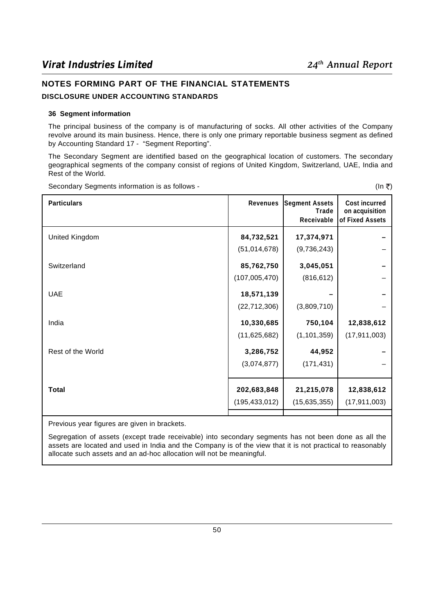### **DISCLOSURE UNDER ACCOUNTING STANDARDS**

#### **36 Segment information**

The principal business of the company is of manufacturing of socks. All other activities of the Company revolve around its main business. Hence, there is only one primary reportable business segment as defined by Accounting Standard 17 - "Segment Reporting".

The Secondary Segment are identified based on the geographical location of customers. The secondary geographical segments of the company consist of regions of United Kingdom, Switzerland, UAE, India and Rest of the World.

| <b>Particulars</b> | <b>Revenues</b> | <b>Segment Assets</b><br>Trade<br>Receivable | <b>Cost incurred</b><br>on acquisition<br>of Fixed Assets |
|--------------------|-----------------|----------------------------------------------|-----------------------------------------------------------|
| United Kingdom     | 84,732,521      | 17,374,971                                   |                                                           |
|                    | (51, 014, 678)  | (9,736,243)                                  |                                                           |
| Switzerland        | 85,762,750      | 3,045,051                                    |                                                           |
|                    | (107,005,470)   | (816, 612)                                   |                                                           |
| <b>UAE</b>         | 18,571,139      |                                              |                                                           |
|                    | (22, 712, 306)  | (3,809,710)                                  |                                                           |
| India              | 10,330,685      | 750,104                                      | 12,838,612                                                |
|                    | (11, 625, 682)  | (1, 101, 359)                                | (17, 911, 003)                                            |
| Rest of the World  | 3,286,752       | 44,952                                       |                                                           |
|                    | (3,074,877)     | (171, 431)                                   |                                                           |
|                    |                 |                                              |                                                           |
| <b>Total</b>       | 202,683,848     | 21,215,078                                   | 12,838,612                                                |
|                    | (195, 433, 012) | (15,635,355)                                 | (17, 911, 003)                                            |
|                    |                 |                                              |                                                           |

Secondary Segments information is as follows -  $(\ln \overline{z})$ 

Previous year figures are given in brackets.

Segregation of assets (except trade receivable) into secondary segments has not been done as all the assets are located and used in India and the Company is of the view that it is not practical to reasonably allocate such assets and an ad-hoc allocation will not be meaningful.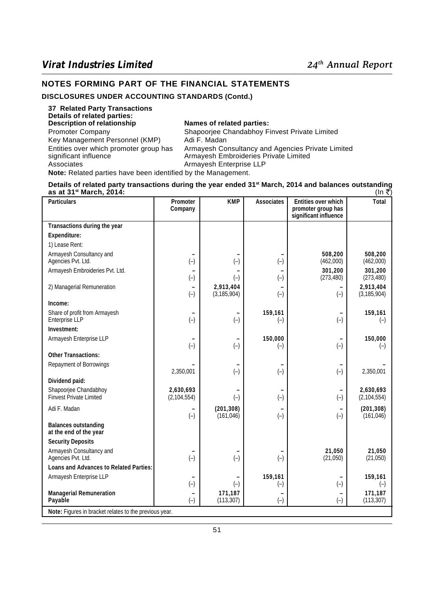#### **DISCLOSURES UNDER ACCOUNTING STANDARDS (Contd.)**

| 37 Related Party Transactions<br>Details of related parties:<br><b>Description of relationship</b> | Names of related parties:                                                                                             |  |  |
|----------------------------------------------------------------------------------------------------|-----------------------------------------------------------------------------------------------------------------------|--|--|
| <b>Promoter Company</b>                                                                            | Shapoorjee Chandabhoy Finvest Private Limited                                                                         |  |  |
| Key Management Personnel (KMP)                                                                     | Adi F. Madan                                                                                                          |  |  |
| Entities over which promoter group has<br>significant influence<br>Associates                      | Armayesh Consultancy and Agencies Private Limited<br>Armayesh Embroideries Private Limited<br>Armayesh Enterprise LLP |  |  |
| Note: Related parties have been identified by the Management.                                      |                                                                                                                       |  |  |

**Details of related party transactions during the year ended 31st March, 2014 and balances outstanding as at 31st March, 2014:** (In )

| <b>Particulars</b>                                      | Promoter<br>Company        | <b>KMP</b>                 | <b>Associates</b> | <b>Entities over which</b><br>promoter group has<br>significant influence | Total                      |
|---------------------------------------------------------|----------------------------|----------------------------|-------------------|---------------------------------------------------------------------------|----------------------------|
| Transactions during the year                            |                            |                            |                   |                                                                           |                            |
| Expenditure:                                            |                            |                            |                   |                                                                           |                            |
| 1) Lease Rent:                                          |                            |                            |                   |                                                                           |                            |
| Armayesh Consultancy and<br>Agencies Pvt. Ltd.          | $(-)$                      | $(-)$                      | $(-)$             | 508,200<br>(462,000)                                                      | 508,200<br>(462,000)       |
| Armayesh Embroideries Pvt. Ltd.                         |                            |                            |                   | 301,200                                                                   | 301,200                    |
|                                                         | $(-)$                      | $(-)$                      | $(-)$             | (273, 480)                                                                | (273, 480)                 |
| 2) Managerial Remuneration                              | $(-)$                      | 2,913,404<br>(3, 185, 904) | $(-)$             | $(-)$                                                                     | 2,913,404<br>(3, 185, 904) |
| Income:                                                 |                            |                            |                   |                                                                           |                            |
| Share of profit from Armayesh                           |                            |                            | 159,161           |                                                                           | 159,161                    |
| Enterprise LLP                                          | $(-)$                      | $(-)$                      | $(-)$             | $(-)$                                                                     | $(-)$                      |
| Investment:                                             |                            |                            |                   |                                                                           |                            |
| Armayesh Enterprise LLP                                 |                            |                            | 150,000           |                                                                           | 150,000                    |
|                                                         | $(-)$                      | $(-)$                      | $(-)$             | $(-)$                                                                     | $(-)$                      |
| <b>Other Transactions:</b>                              |                            |                            |                   |                                                                           |                            |
| Repayment of Borrowings                                 |                            |                            |                   |                                                                           |                            |
|                                                         | 2,350,001                  | $(-)$                      | $(-)$             | $(-)$                                                                     | 2,350,001                  |
| Dividend paid:                                          |                            |                            |                   |                                                                           |                            |
| Shapoorjee Chandabhoy<br><b>Finvest Private Limited</b> | 2,630,693<br>(2, 104, 554) | $(-)$                      | $(-)$             | -<br>$(-)$                                                                | 2,630,693<br>(2, 104, 554) |
|                                                         |                            |                            |                   |                                                                           |                            |
| Adi F. Madan                                            | $(-)$                      | (201, 308)<br>(161, 046)   | $(-)$             | $(-)$                                                                     | (201, 308)<br>(161, 046)   |
| <b>Balances outstanding</b>                             |                            |                            |                   |                                                                           |                            |
| at the end of the year                                  |                            |                            |                   |                                                                           |                            |
| <b>Security Deposits</b>                                |                            |                            |                   |                                                                           |                            |
| Armayesh Consultancy and                                |                            |                            |                   | 21,050                                                                    | 21,050                     |
| Agencies Pvt. Ltd.                                      | $(-)$                      | $(-)$                      | $(-)$             | (21,050)                                                                  | (21,050)                   |
| <b>Loans and Advances to Related Parties:</b>           |                            |                            |                   |                                                                           |                            |
| Armayesh Enterprise LLP                                 | -                          |                            | 159,161           | -                                                                         | 159,161                    |
|                                                         | $(-)$                      | $(-)$                      | $(-)$             | $(-)$                                                                     | $(-)$                      |
| <b>Managerial Remuneration</b><br>Payable               | -<br>$(-)$                 | 171,187<br>(113, 307)      | $(-)$             | $(-)$                                                                     | 171,187<br>(113, 307)      |
| Note: Figures in bracket relates to the previous year.  |                            |                            |                   |                                                                           |                            |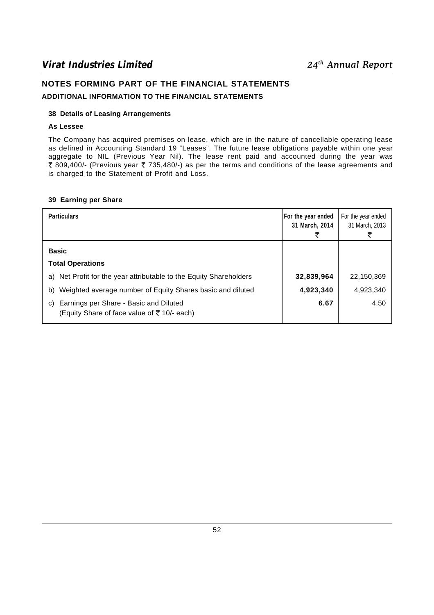**ADDITIONAL INFORMATION TO THE FINANCIAL STATEMENTS**

#### **38 Details of Leasing Arrangements**

#### **As Lessee**

The Company has acquired premises on lease, which are in the nature of cancellable operating lease as defined in Accounting Standard 19 "Leases". The future lease obligations payable within one year aggregate to NIL (Previous Year Nil). The lease rent paid and accounted during the year was  $\overline{\xi}$  809,400/- (Previous year  $\overline{\xi}$  735,480/-) as per the terms and conditions of the lease agreements and is charged to the Statement of Profit and Loss.

#### **39 Earning per Share**

| <b>Particulars</b>                                                                          | For the year ended<br>31 March, 2014 | For the year ended<br>31 March, 2013 |
|---------------------------------------------------------------------------------------------|--------------------------------------|--------------------------------------|
| <b>Basic</b>                                                                                |                                      |                                      |
| <b>Total Operations</b>                                                                     |                                      |                                      |
| a) Net Profit for the year attributable to the Equity Shareholders                          | 32,839,964                           | 22,150,369                           |
| Weighted average number of Equity Shares basic and diluted<br>b)                            | 4,923,340                            | 4,923,340                            |
| Earnings per Share - Basic and Diluted<br>C)<br>(Equity Share of face value of ₹ 10/- each) | 6.67                                 | 4.50                                 |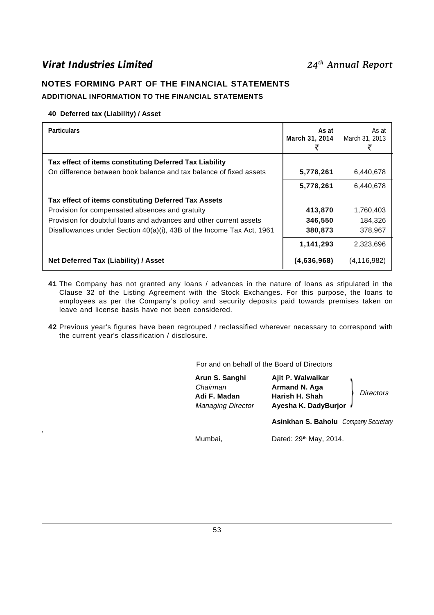## **NOTES FORMING PART OF THE FINANCIAL STATEMENTS ADDITIONAL INFORMATION TO THE FINANCIAL STATEMENTS**

#### **40 Deferred tax (Liability) / Asset**

,

| <b>Particulars</b>                                                       | As at<br>March 31, 2014<br>₹ | As at<br>March 31, 2013 |
|--------------------------------------------------------------------------|------------------------------|-------------------------|
| Tax effect of items constituting Deferred Tax Liability                  |                              |                         |
| On difference between book balance and tax balance of fixed assets       | 5,778,261                    | 6,440,678               |
|                                                                          | 5,778,261                    | 6,440,678               |
| Tax effect of items constituting Deferred Tax Assets                     |                              |                         |
| Provision for compensated absences and gratuity                          | 413,870                      | 1,760,403               |
| Provision for doubtful loans and advances and other current assets       | 346,550                      | 184,326                 |
| Disallowances under Section $40(a)(i)$ , 43B of the Income Tax Act, 1961 | 380,873                      | 378,967                 |
|                                                                          | 1,141,293                    | 2,323,696               |
| Net Deferred Tax (Liability) / Asset                                     | (4,636,968)                  | (4, 116, 982)           |

- **41** The Company has not granted any loans / advances in the nature of loans as stipulated in the Clause 32 of the Listing Agreement with the Stock Exchanges. For this purpose, the loans to employees as per the Company's policy and security deposits paid towards premises taken on leave and license basis have not been considered.
- **42** Previous year's figures have been regrouped / reclassified wherever necessary to correspond with the current year's classification / disclosure.

For and on behalf of the Board of Directors

| Arun S. Sanghi<br>Chairman<br>Adi F. Madan<br><b>Managing Director</b> | Ajit P. Walwaikar<br>Armand N. Aga<br>Harish H. Shah<br>Ayesha K. DadyBurjor | <b>Directors</b> |
|------------------------------------------------------------------------|------------------------------------------------------------------------------|------------------|
|                                                                        | <b>Asinkhan S. Baholu</b> Company Secretary                                  |                  |

Mumbai, Dated: 29**th** May, 2014.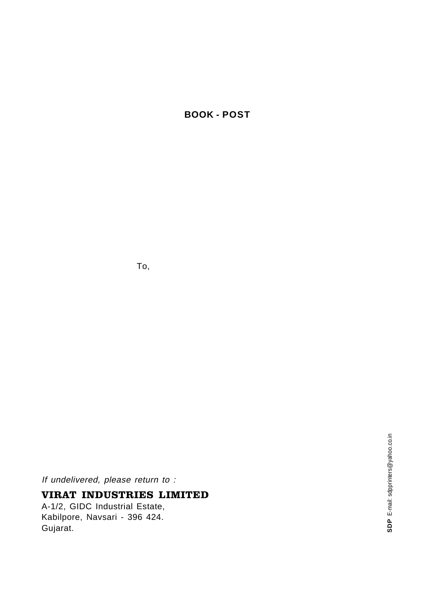## **BOOK - POST**

To,

If undelivered, please return to :

## VIRAT INDUSTRIES LIMITED

A-1/2, GIDC Industrial Estate, Kabilpore, Navsari - 396 424. Gujarat.